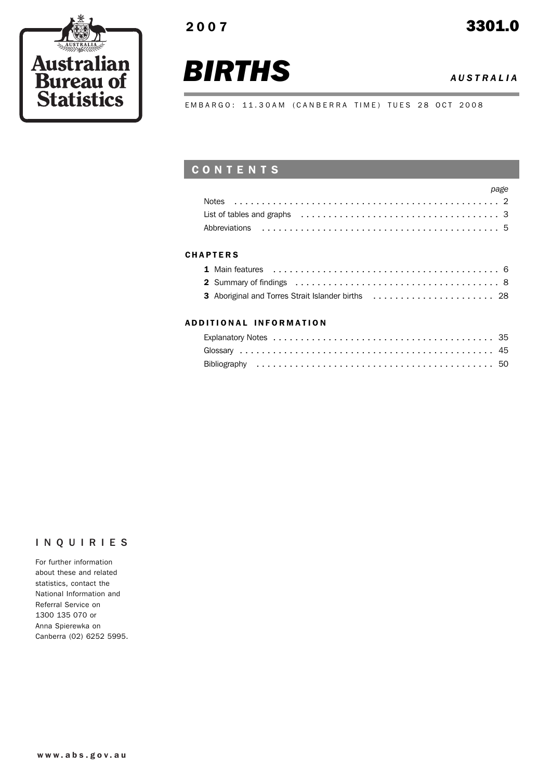



*BIRTHS <sup>A</sup> USTRALIA*

EMBARGO: 11.30AM (CANBERRA TIME) TUES 28 OCT 2008

# CONTENTS

| page |  |
|------|--|
|      |  |
|      |  |
|      |  |

### **CHAPTERS**

| 3 Aboriginal and Torres Strait Islander births  28 |  |
|----------------------------------------------------|--|

### ADD ITIONAL INFORMATION

# INQUIRIES

For further information about these and related statistics, contact the National Information and Referral Service on 1300 135 070 or Anna Spierewka on Canberra (02) 6252 5995.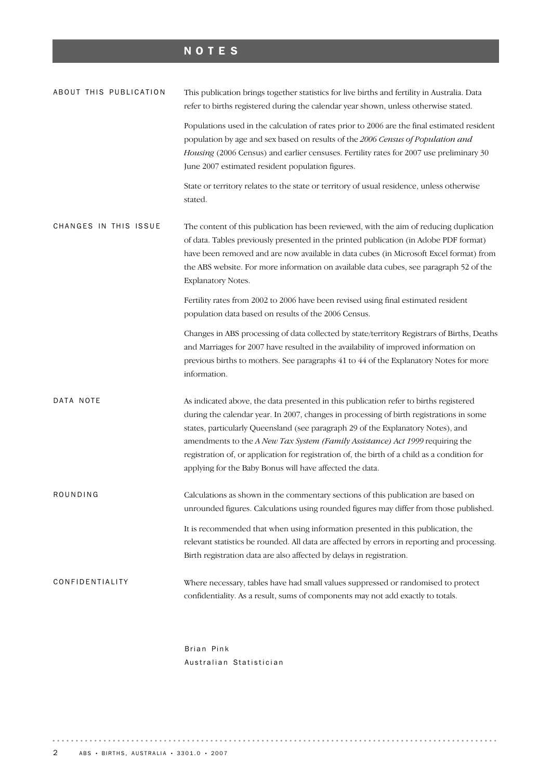# NOTES

| ABOUT THIS PUBLICATION | This publication brings together statistics for live births and fertility in Australia. Data<br>refer to births registered during the calendar year shown, unless otherwise stated.                                                                                                                                                                                                                                                                                                                               |  |  |
|------------------------|-------------------------------------------------------------------------------------------------------------------------------------------------------------------------------------------------------------------------------------------------------------------------------------------------------------------------------------------------------------------------------------------------------------------------------------------------------------------------------------------------------------------|--|--|
|                        | Populations used in the calculation of rates prior to 2006 are the final estimated resident<br>population by age and sex based on results of the 2006 Census of Population and<br>Housing (2006 Census) and earlier censuses. Fertility rates for 2007 use preliminary 30<br>June 2007 estimated resident population figures.                                                                                                                                                                                     |  |  |
|                        | State or territory relates to the state or territory of usual residence, unless otherwise<br>stated.                                                                                                                                                                                                                                                                                                                                                                                                              |  |  |
| CHANGES IN THIS ISSUE  | The content of this publication has been reviewed, with the aim of reducing duplication<br>of data. Tables previously presented in the printed publication (in Adobe PDF format)<br>have been removed and are now available in data cubes (in Microsoft Excel format) from<br>the ABS website. For more information on available data cubes, see paragraph 52 of the<br>Explanatory Notes.                                                                                                                        |  |  |
|                        | Fertility rates from 2002 to 2006 have been revised using final estimated resident<br>population data based on results of the 2006 Census.                                                                                                                                                                                                                                                                                                                                                                        |  |  |
|                        | Changes in ABS processing of data collected by state/territory Registrars of Births, Deaths<br>and Marriages for 2007 have resulted in the availability of improved information on<br>previous births to mothers. See paragraphs 41 to 44 of the Explanatory Notes for more<br>information.                                                                                                                                                                                                                       |  |  |
| DATA NOTE              | As indicated above, the data presented in this publication refer to births registered<br>during the calendar year. In 2007, changes in processing of birth registrations in some<br>states, particularly Queensland (see paragraph 29 of the Explanatory Notes), and<br>amendments to the A New Tax System (Family Assistance) Act 1999 requiring the<br>registration of, or application for registration of, the birth of a child as a condition for<br>applying for the Baby Bonus will have affected the data. |  |  |
| ROUNDING               | Calculations as shown in the commentary sections of this publication are based on<br>unrounded figures. Calculations using rounded figures may differ from those published.                                                                                                                                                                                                                                                                                                                                       |  |  |
|                        | It is recommended that when using information presented in this publication, the<br>relevant statistics be rounded. All data are affected by errors in reporting and processing.<br>Birth registration data are also affected by delays in registration.                                                                                                                                                                                                                                                          |  |  |
| CONFIDENTIALITY        | Where necessary, tables have had small values suppressed or randomised to protect<br>confidentiality. As a result, sums of components may not add exactly to totals.                                                                                                                                                                                                                                                                                                                                              |  |  |

Brian Pink Australian Statistician

. . . . . . . . . . . . . . . . . . .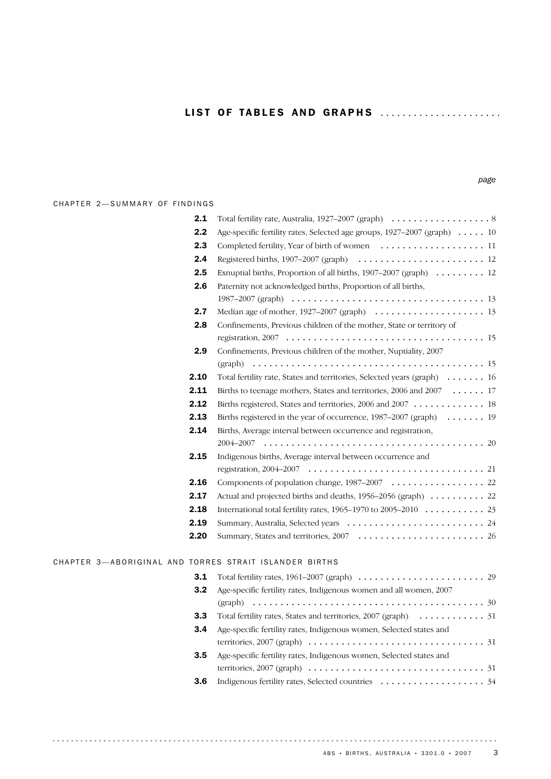#### CHAPTER 2-SUMMARY OF FINDINGS

| 2.1  |                                                                         |
|------|-------------------------------------------------------------------------|
| 2.2  | Age-specific fertility rates, Selected age groups, 1927-2007 (graph) 10 |
| 2.3  | Completed fertility, Year of birth of women  11                         |
| 2.4  |                                                                         |
| 2.5  | Exnuptial births, Proportion of all births, $1907-2007$ (graph) 12      |
| 2.6  | Paternity not acknowledged births, Proportion of all births,            |
|      |                                                                         |
| 2.7  |                                                                         |
| 2.8  | Confinements, Previous children of the mother, State or territory of    |
|      |                                                                         |
| 2.9  | Confinements, Previous children of the mother, Nuptiality, 2007         |
|      |                                                                         |
| 2.10 | Total fertility rate, States and territories, Selected years (graph) 16 |
| 2.11 | Births to teenage mothers, States and territories, 2006 and 2007 17     |
| 2.12 | Births registered, States and territories, 2006 and 2007 18             |
| 2.13 | Births registered in the year of occurrence, 1987-2007 (graph) 19       |
| 2.14 | Births, Average interval between occurrence and registration,           |
|      |                                                                         |
| 2.15 | Indigenous births, Average interval between occurrence and              |
|      |                                                                         |
| 2.16 | Components of population change, 1987–2007 22                           |
| 2.17 | Actual and projected births and deaths, 1956–2056 (graph) 22            |
| 2.18 |                                                                         |
| 2.19 |                                                                         |
| 2.20 |                                                                         |
|      |                                                                         |

#### CHAPTER 3-ABORIGINAL AND TORRES STRAIT ISLANDER BIRTHS

|     | <b>3.1</b> Total fertility rates, $1961-2007$ (graph) $\dots\dots\dots\dots\dots\dots\dots\dots$ 29      |  |
|-----|----------------------------------------------------------------------------------------------------------|--|
| 3.2 | Age-specific fertility rates, Indigenous women and all women, 2007                                       |  |
|     |                                                                                                          |  |
| 3.3 |                                                                                                          |  |
| 3.4 | Age-specific fertility rates, Indigenous women, Selected states and                                      |  |
|     | territories, 2007 (graph) $\ldots \ldots \ldots \ldots \ldots \ldots \ldots \ldots \ldots \ldots \ldots$ |  |
| 3.5 | Age-specific fertility rates, Indigenous women, Selected states and                                      |  |
|     | territories, 2007 (graph) $\ldots \ldots \ldots \ldots \ldots \ldots \ldots \ldots \ldots \ldots \ldots$ |  |
| 3.6 |                                                                                                          |  |
|     |                                                                                                          |  |

 $\alpha = \alpha - \alpha$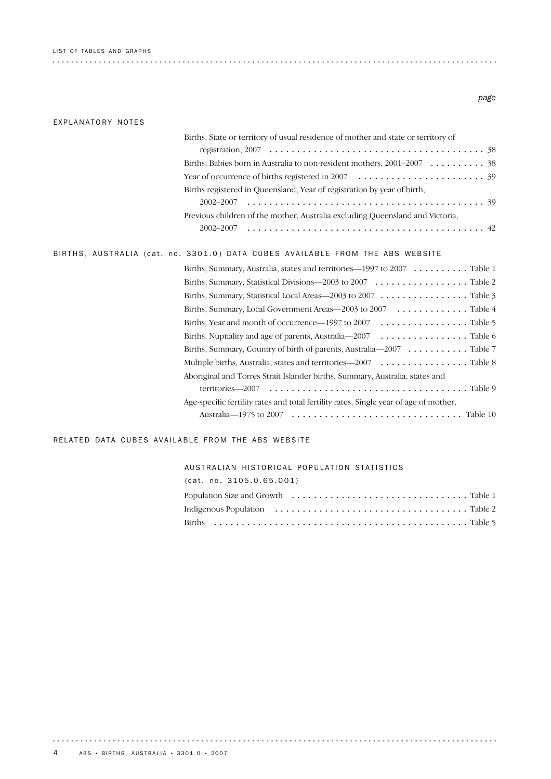|  |  |  |  | LIST OF TABLES AND GRAPHS |
|--|--|--|--|---------------------------|
|--|--|--|--|---------------------------|

#### *page*

#### EXPLANATORY NOTES

| Births, State or territory of usual residence of mother and state or territory of                                  |
|--------------------------------------------------------------------------------------------------------------------|
| registration, $2007 \ldots \ldots \ldots \ldots \ldots \ldots \ldots \ldots \ldots \ldots \ldots \ldots \ldots 38$ |
| Births, Babies born in Australia to non-resident mothers, 2001–2007 38                                             |
| Year of occurrence of births registered in $2007 \ldots \ldots \ldots \ldots \ldots \ldots \ldots 39$              |
| Births registered in Queensland, Year of registration by year of birth,                                            |
|                                                                                                                    |
| Previous children of the mother, Australia excluding Queensland and Victoria,                                      |
|                                                                                                                    |
| BIRTHS, AUSTRALIA (cat. no. 3301.0) DATA CUBES AVAILABLE FROM THE ABS WEBSITE                                      |
| Births, Summary, Australia, states and territories—1997 to $2007 \ldots \ldots \ldots$ . Table 1                   |
| Births, Summary, Statistical Divisions-2003 to 2007 Table 2                                                        |
| Births, Summary, Statistical Local Areas—2003 to $2007 \ldots \ldots \ldots \ldots$ . Table 3                      |
| Births, Summary, Local Government Areas—2003 to 2007 Table 4                                                       |
| Births, Year and month of occurrence—1997 to 2007 Table 5                                                          |
| Births, Nuptiality and age of parents, Australia— $2007 \dots \dots \dots \dots \dots$ . Table 6                   |
| Births, Summary, Country of birth of parents, Australia—2007 Table 7                                               |
| Multiple births, Australia, states and territories—2007 Table 8                                                    |
| Aboriginal and Torres Strait Islander births, Summary, Australia, states and                                       |
|                                                                                                                    |
| Age-specific fertility rates and total fertility rates, Single year of age of mother,                              |
|                                                                                                                    |

### RELATED DATA CUBES AVAILABLE FROM THE ABS WEBSITE

#### AUSTRALIAN HISTORICAL POPULATION STATISTICS

| (cat. no. 3105.0.65.001) |  |
|--------------------------|--|
|                          |  |
|                          |  |
|                          |  |

. . . . . . . . . . . . . . . . . . .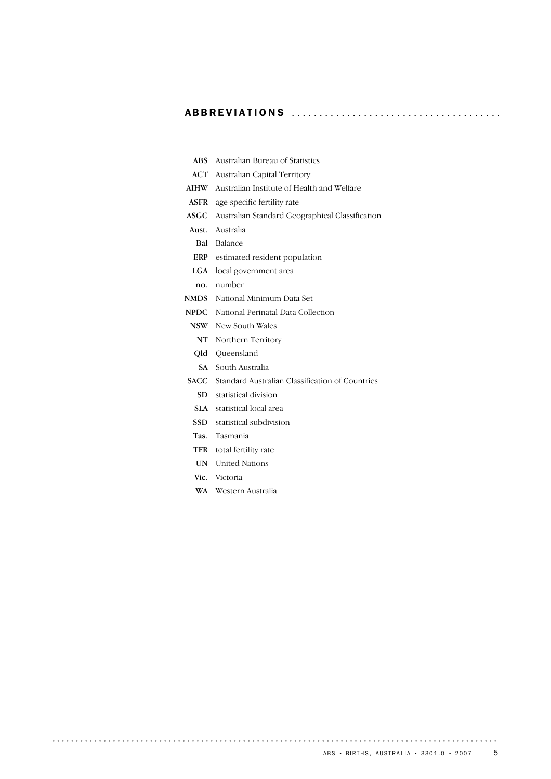### ABBREVIATIONS ..................................... .

| <b>ABS</b>  | Australian Bureau of Statistics                             |  |  |  |  |
|-------------|-------------------------------------------------------------|--|--|--|--|
| ACT         | Australian Capital Territory                                |  |  |  |  |
| <b>AIHW</b> | Australian Institute of Health and Welfare                  |  |  |  |  |
| ASFR        | age-specific fertility rate                                 |  |  |  |  |
| ASGC        | Australian Standard Geographical Classification             |  |  |  |  |
|             | Aust. Australia                                             |  |  |  |  |
| Bal         | Balance                                                     |  |  |  |  |
|             | ERP estimated resident population                           |  |  |  |  |
| LGA         | local government area                                       |  |  |  |  |
| no.         | number                                                      |  |  |  |  |
| <b>NMDS</b> | National Minimum Data Set                                   |  |  |  |  |
|             | <b>NPDC</b> National Perinatal Data Collection              |  |  |  |  |
| NSW –       | New South Wales                                             |  |  |  |  |
| NT          | Northern Territory                                          |  |  |  |  |
| Old         | Oueensland                                                  |  |  |  |  |
|             | <b>SA</b> South Australia                                   |  |  |  |  |
|             | <b>SACC</b> Standard Australian Classification of Countries |  |  |  |  |
|             | SD statistical division                                     |  |  |  |  |
| <b>SLA</b>  | statistical local area                                      |  |  |  |  |
| SSD         | statistical subdivision                                     |  |  |  |  |
| Tas.        | Tasmania                                                    |  |  |  |  |
| <b>TFR</b>  | total fertility rate                                        |  |  |  |  |
| UN –        | <b>United Nations</b>                                       |  |  |  |  |
|             | Vic. Victoria                                               |  |  |  |  |
|             | WA Western Australia                                        |  |  |  |  |
|             |                                                             |  |  |  |  |

 $\frac{1}{2}$ 

 $\cdots$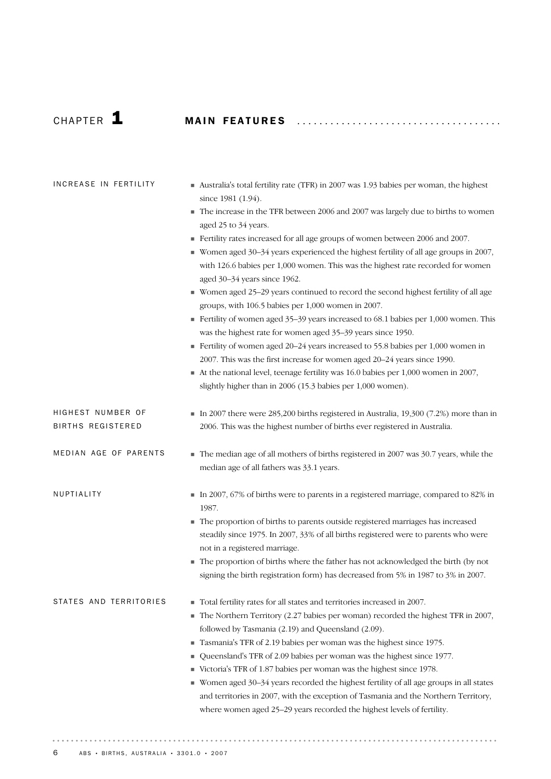# CHAP T E R 1 MA I N FE A T U R E S .................................... .

| INCREASE IN FERTILITY                         | Australia's total fertility rate (TFR) in 2007 was 1.93 babies per woman, the highest<br>since 1981 (1.94).<br>The increase in the TFR between 2006 and 2007 was largely due to births to women<br>٠<br>aged 25 to 34 years.<br>Fertility rates increased for all age groups of women between 2006 and 2007.<br>■ Women aged 30-34 years experienced the highest fertility of all age groups in 2007,<br>with 126.6 babies per 1,000 women. This was the highest rate recorded for women<br>aged 30-34 years since 1962.<br>■ Women aged 25–29 years continued to record the second highest fertility of all age<br>groups, with 106.5 babies per 1,000 women in 2007.<br>Fertility of women aged 35-39 years increased to 68.1 babies per 1,000 women. This<br>was the highest rate for women aged 35-39 years since 1950.<br>Fertility of women aged 20-24 years increased to 55.8 babies per 1,000 women in<br>2007. This was the first increase for women aged 20–24 years since 1990.<br>At the national level, teenage fertility was 16.0 babies per 1,000 women in 2007,<br>slightly higher than in 2006 (15.3 babies per 1,000 women). |
|-----------------------------------------------|------------------------------------------------------------------------------------------------------------------------------------------------------------------------------------------------------------------------------------------------------------------------------------------------------------------------------------------------------------------------------------------------------------------------------------------------------------------------------------------------------------------------------------------------------------------------------------------------------------------------------------------------------------------------------------------------------------------------------------------------------------------------------------------------------------------------------------------------------------------------------------------------------------------------------------------------------------------------------------------------------------------------------------------------------------------------------------------------------------------------------------------------|
| HIGHEST NUMBER OF<br><b>BIRTHS REGISTERED</b> | In 2007 there were 285,200 births registered in Australia, 19,300 (7.2%) more than in<br>2006. This was the highest number of births ever registered in Australia.                                                                                                                                                                                                                                                                                                                                                                                                                                                                                                                                                                                                                                                                                                                                                                                                                                                                                                                                                                             |
| MEDIAN AGE OF PARENTS                         | The median age of all mothers of births registered in 2007 was 30.7 years, while the<br>median age of all fathers was 33.1 years.                                                                                                                                                                                                                                                                                                                                                                                                                                                                                                                                                                                                                                                                                                                                                                                                                                                                                                                                                                                                              |
| NUPTIALITY                                    | In 2007, 67% of births were to parents in a registered marriage, compared to 82% in<br>1987.<br>The proportion of births to parents outside registered marriages has increased<br>steadily since 1975. In 2007, 33% of all births registered were to parents who were<br>not in a registered marriage.<br>The proportion of births where the father has not acknowledged the birth (by not<br>٠<br>signing the birth registration form) has decreased from 5% in 1987 to 3% in 2007.                                                                                                                                                                                                                                                                                                                                                                                                                                                                                                                                                                                                                                                           |
| STATES AND TERRITORIES                        | Total fertility rates for all states and territories increased in 2007.<br>П<br>The Northern Territory (2.27 babies per woman) recorded the highest TFR in 2007,<br>п<br>followed by Tasmania (2.19) and Queensland (2.09).<br>Tasmania's TFR of 2.19 babies per woman was the highest since 1975.<br>п<br>Queensland's TFR of 2.09 babies per woman was the highest since 1977.<br>ш<br>Victoria's TFR of 1.87 babies per woman was the highest since 1978.<br>ш<br>Women aged 30-34 years recorded the highest fertility of all age groups in all states<br>and territories in 2007, with the exception of Tasmania and the Northern Territory,<br>where women aged 25-29 years recorded the highest levels of fertility.                                                                                                                                                                                                                                                                                                                                                                                                                    |

 $\cdots$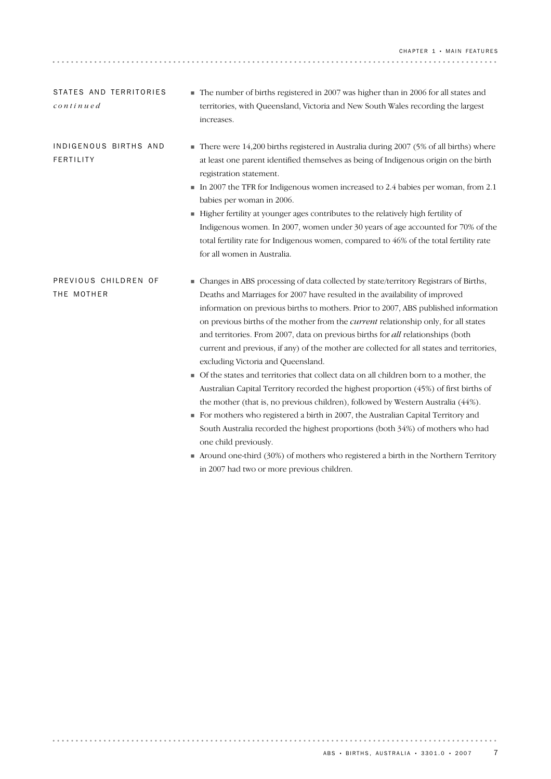## ! Changes in ABS processing of data collected by state/territory Registrars of Births, Deaths and Marriages for 2007 have resulted in the availability of improved information on previous births to mothers. Prior to 2007, ABS published information on previous births of the mother from the *current* relationship only, for all states and territories. From 2007, data on previous births for *all* relationships (both current and previous, if any) of the mother are collected for all states and territories, excluding Victoria and Queensland. ! Of the states and territories that collect data on all children born to a mother, the Australian Capital Territory recorded the highest proportion (45%) of first births of the mother (that is, no previous children), followed by Western Australia (44%). PREVIOUS CHILDREN OF THE MOTHER ! There were 14,200 births registered in Australia during 2007 (5% of all births) where at least one parent identified themselves as being of Indigenous origin on the birth registration statement. In 2007 the TFR for Indigenous women increased to 2.4 babies per woman, from 2.1 babies per woman in 2006. ! Higher fertility at younger ages contributes to the relatively high fertility of Indigenous women. In 2007, women under 30 years of age accounted for 70% of the total fertility rate for Indigenous women, compared to 46% of the total fertility rate for all women in Australia. INDIGENOUS BIRTHS AND FERTILITY

increases.

STATES AND TERRITORIES

*continued*

. . . . . . . . . .

! For mothers who registered a birth in 2007, the Australian Capital Territory and South Australia recorded the highest proportions (both 34%) of mothers who had one child previously.

! The number of births registered in 2007 was higher than in 2006 for all states and territories, with Queensland, Victoria and New South Wales recording the largest

! Around one-third (30%) of mothers who registered a birth in the Northern Territory in 2007 had two or more previous children.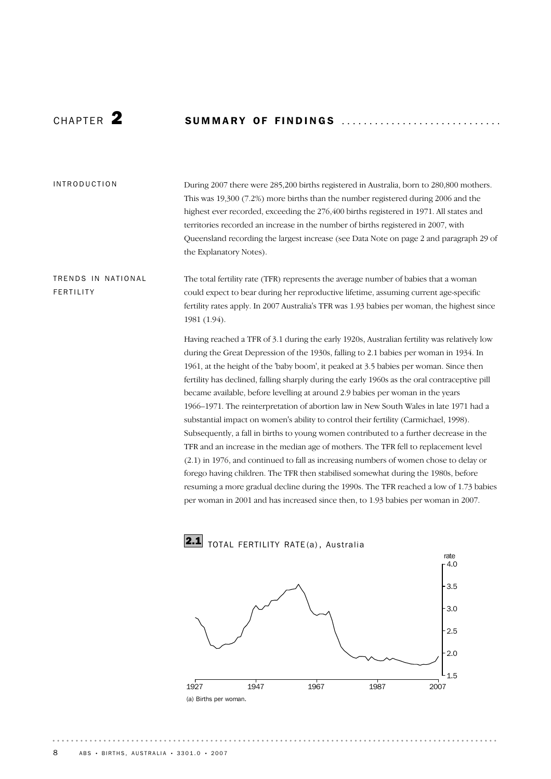# CHAP T E R 2 SU M M A R Y OF FI N D I N G S ............................ .

#### INTRODUCTION

During 2007 there were 285,200 births registered in Australia, born to 280,800 mothers. This was 19,300 (7.2%) more births than the number registered during 2006 and the highest ever recorded, exceeding the 276,400 births registered in 1971. All states and territories recorded an increase in the number of births registered in 2007, with Queensland recording the largest increase (see Data Note on page 2 and paragraph 29 of the Explanatory Notes).

# TRENDS IN NATIONAL FERTILITY

The total fertility rate (TFR) represents the average number of babies that a woman could expect to bear during her reproductive lifetime, assuming current age-specific fertility rates apply. In 2007 Australia's TFR was 1.93 babies per woman, the highest since 1981 (1.94).

Having reached a TFR of 3.1 during the early 1920s, Australian fertility was relatively low during the Great Depression of the 1930s, falling to 2.1 babies per woman in 1934. In 1961, at the height of the 'baby boom', it peaked at 3.5 babies per woman. Since then fertility has declined, falling sharply during the early 1960s as the oral contraceptive pill became available, before levelling at around 2.9 babies per woman in the years 1966–1971. The reinterpretation of abortion law in New South Wales in late 1971 had a substantial impact on women's ability to control their fertility (Carmichael, 1998). Subsequently, a fall in births to young women contributed to a further decrease in the TFR and an increase in the median age of mothers. The TFR fell to replacement level (2.1) in 1976, and continued to fall as increasing numbers of women chose to delay or forego having children. The TFR then stabilised somewhat during the 1980s, before resuming a more gradual decline during the 1990s. The TFR reached a low of 1.73 babies per woman in 2001 and has increased since then, to 1.93 babies per woman in 2007.



2.1 TOTAL FERTILITY RATE(a), Australia

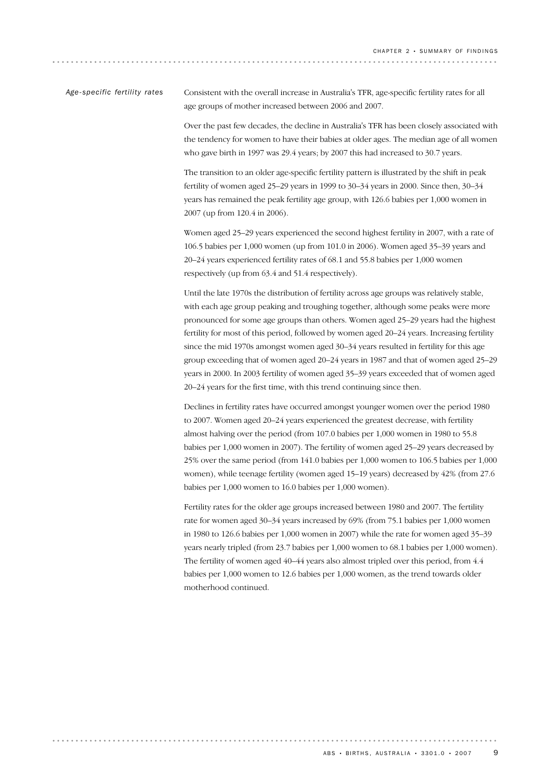Consistent with the overall increase in Australia's TFR, age-specific fertility rates for all age groups of mother increased between 2006 and 2007. *Age-specific fertility rates*

> Over the past few decades, the decline in Australia's TFR has been closely associated with the tendency for women to have their babies at older ages. The median age of all women who gave birth in 1997 was 29.4 years; by 2007 this had increased to 30.7 years.

The transition to an older age-specific fertility pattern is illustrated by the shift in peak fertility of women aged 25–29 years in 1999 to 30–34 years in 2000. Since then, 30–34 years has remained the peak fertility age group, with 126.6 babies per 1,000 women in 2007 (up from 120.4 in 2006).

Women aged 25–29 years experienced the second highest fertility in 2007, with a rate of 106.5 babies per 1,000 women (up from 101.0 in 2006). Women aged 35–39 years and 20–24 years experienced fertility rates of 68.1 and 55.8 babies per 1,000 women respectively (up from 63.4 and 51.4 respectively).

Until the late 1970s the distribution of fertility across age groups was relatively stable, with each age group peaking and troughing together, although some peaks were more pronounced for some age groups than others. Women aged 25–29 years had the highest fertility for most of this period, followed by women aged 20–24 years. Increasing fertility since the mid 1970s amongst women aged 30–34 years resulted in fertility for this age group exceeding that of women aged 20–24 years in 1987 and that of women aged 25–29 years in 2000. In 2003 fertility of women aged 35–39 years exceeded that of women aged 20–24 years for the first time, with this trend continuing since then.

Declines in fertility rates have occurred amongst younger women over the period 1980 to 2007. Women aged 20–24 years experienced the greatest decrease, with fertility almost halving over the period (from 107.0 babies per 1,000 women in 1980 to 55.8 babies per 1,000 women in 2007). The fertility of women aged 25–29 years decreased by 25% over the same period (from 141.0 babies per 1,000 women to 106.5 babies per 1,000 women), while teenage fertility (women aged 15–19 years) decreased by 42% (from 27.6 babies per 1,000 women to 16.0 babies per 1,000 women).

Fertility rates for the older age groups increased between 1980 and 2007. The fertility rate for women aged 30–34 years increased by 69% (from 75.1 babies per 1,000 women in 1980 to 126.6 babies per 1,000 women in 2007) while the rate for women aged 35–39 years nearly tripled (from 23.7 babies per 1,000 women to 68.1 babies per 1,000 women). The fertility of women aged 40–44 years also almost tripled over this period, from 4.4 babies per 1,000 women to 12.6 babies per 1,000 women, as the trend towards older motherhood continued.

. . . . . . . . . . .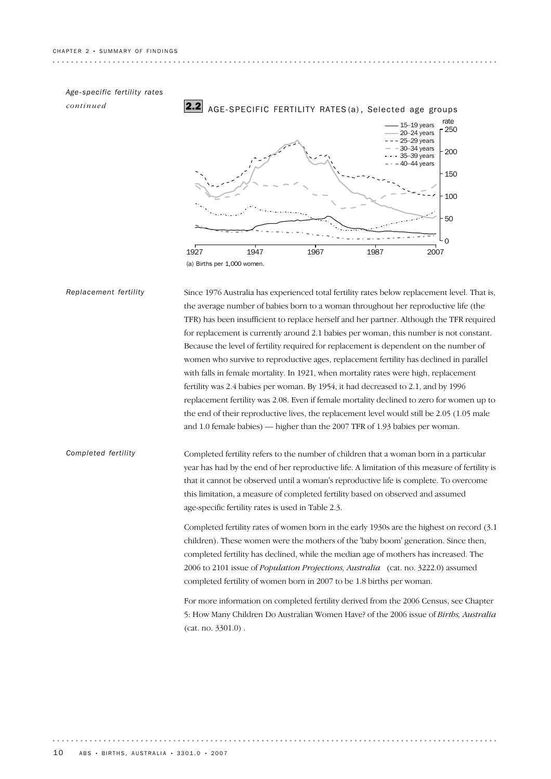*Age-specific fertility rates*

*continued*

*Replacement fertility*



Since 1976 Australia has experienced total fertility rates below replacement level. That is,

the average number of babies born to a woman throughout her reproductive life (the TFR) has been insufficient to replace herself and her partner. Although the TFR required for replacement is currently around 2.1 babies per woman, this number is not constant. Because the level of fertility required for replacement is dependent on the number of women who survive to reproductive ages, replacement fertility has declined in parallel with falls in female mortality. In 1921, when mortality rates were high, replacement fertility was 2.4 babies per woman. By 1954, it had decreased to 2.1, and by 1996 replacement fertility was 2.08. Even if female mortality declined to zero for women up to the end of their reproductive lives, the replacement level would still be 2.05 (1.05 male and 1.0 female babies) — higher than the 2007 TFR of 1.93 babies per woman.

Completed fertility refers to the number of children that a woman born in a particular year has had by the end of her reproductive life. A limitation of this measure of fertility is that it cannot be observed until a woman's reproductive life is complete. To overcome this limitation, a measure of completed fertility based on observed and assumed age-specific fertility rates is used in Table 2.3. *Completed fertility*

> Completed fertility rates of women born in the early 1930s are the highest on record (3.1 children). These women were the mothers of the 'baby boom' generation. Since then, completed fertility has declined, while the median age of mothers has increased. The 2006 to 2101 issue of *Population Projections, Australia* (cat. no. 3222.0) assumed completed fertility of women born in 2007 to be 1.8 births per woman.

> For more information on completed fertility derived from the 2006 Census, see Chapter 5: How Many Children Do Australian Women Have? of the 2006 issue of *Births, Australia* (cat. no. 3301.0) .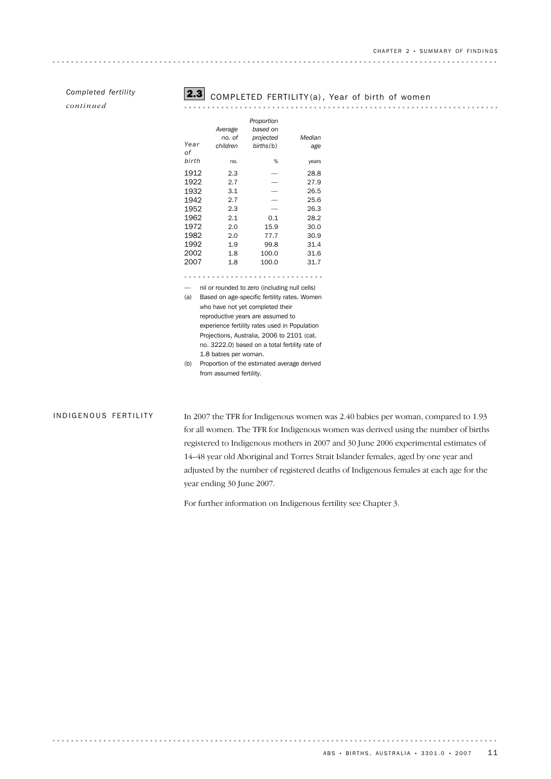*continued*



# Completed fertility<br>
completed fertility
completed fertility
completed
completed
completed
completed
completed
completed
completed
completed
completed
completed
completed
completed
completed
completed
completed
completed
c

|       |                                              | Proportion                                    |        |
|-------|----------------------------------------------|-----------------------------------------------|--------|
|       | Average                                      | based on                                      |        |
|       | no. of                                       | projected                                     | Median |
| Year  | children                                     | births(b)                                     | age    |
| оf    |                                              |                                               |        |
| birth | no.                                          | %                                             | years  |
| 1912  | 2.3                                          |                                               | 28.8   |
| 1922  | 2.7                                          |                                               | 27.9   |
| 1932  | 3.1                                          |                                               | 26.5   |
| 1942  | 2.7                                          |                                               | 25.6   |
| 1952  | 2.3                                          |                                               | 26.3   |
| 1962  | 2.1                                          | 0.1                                           | 28.2   |
| 1972  | 2.0                                          | 15.9                                          | 30.0   |
| 1982  | 2.0                                          | 77.7                                          | 30.9   |
| 1992  | 1.9                                          | 99.8                                          | 31.4   |
| 2002  | 1.8                                          | 100.0                                         | 31.6   |
| 2007  | 1.8                                          | 100.0                                         | 31.7   |
|       |                                              |                                               |        |
|       |                                              | nil or rounded to zero (including null cells) |        |
| (a)   | Based on age-specific fertility rates. Women |                                               |        |
|       |                                              | who have not yet completed their              |        |
|       |                                              |                                               |        |

reproductive years are assumed to experience fertility rates used in Population Projections, Australia, 2006 to 2101 (cat. no. 3222.0) based on a total fertility rate of 1.8 babies per woman.

(b) Proportion of the estimated average derived from assumed fertility.

#### INDIGENOUS FERTILITY

In 2007 the TFR for Indigenous women was 2.40 babies per woman, compared to 1.93 for all women. The TFR for Indigenous women was derived using the number of births registered to Indigenous mothers in 2007 and 30 June 2006 experimental estimates of 14–48 year old Aboriginal and Torres Strait Islander females, aged by one year and adjusted by the number of registered deaths of Indigenous females at each age for the year ending 30 June 2007.

For further information on Indigenous fertility see Chapter 3.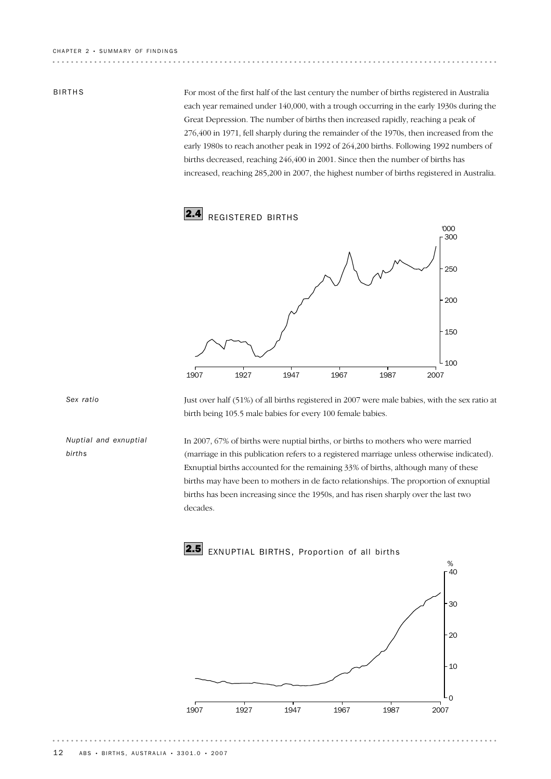#### BIRTHS

For most of the first half of the last century the number of births registered in Australia each year remained under 140,000, with a trough occurring in the early 1930s during the Great Depression. The number of births then increased rapidly, reaching a peak of 276,400 in 1971, fell sharply during the remainder of the 1970s, then increased from the early 1980s to reach another peak in 1992 of 264,200 births. Following 1992 numbers of births decreased, reaching 246,400 in 2001. Since then the number of births has increased, reaching 285,200 in 2007, the highest number of births registered in Australia.



*Sex ratio*

*Nuptial and exnuptial births*

Just over half (51%) of all births registered in 2007 were male babies, with the sex ratio at birth being 105.5 male babies for every 100 female babies.

In 2007, 67% of births were nuptial births, or births to mothers who were married (marriage in this publication refers to a registered marriage unless otherwise indicated). Exnuptial births accounted for the remaining 33% of births, although many of these births may have been to mothers in de facto relationships. The proportion of exnuptial births has been increasing since the 1950s, and has risen sharply over the last two decades.

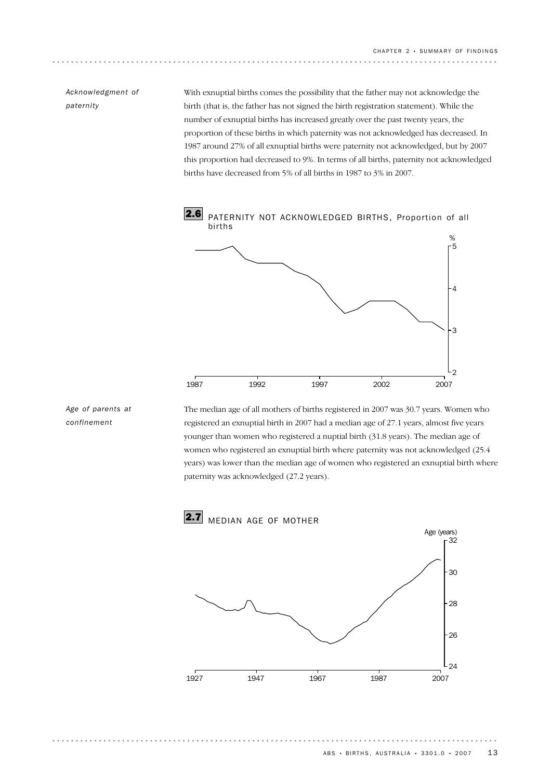# *Acknowledgment of paternity*

With exnuptial births comes the possibility that the father may not acknowledge the birth (that is, the father has not signed the birth registration statement). While the number of exnuptial births has increased greatly over the past twenty years, the proportion of these births in which paternity was not acknowledged has decreased. In 1987 around 27% of all exnuptial births were paternity not acknowledged, but by 2007 this proportion had decreased to 9%. In terms of all births, paternity not acknowledged births have decreased from 5% of all births in 1987 to 3% in 2007.



### *Age of parents at confinement*

The median age of all mothers of births registered in 2007 was 30.7 years. Women who registered an exnuptial birth in 2007 had a median age of 27.1 years, almost five years younger than women who registered a nuptial birth (31.8 years). The median age of women who registered an exnuptial birth where paternity was not acknowledged (25.4 years) was lower than the median age of women who registered an exnuptial birth where paternity was acknowledged (27.2 years).

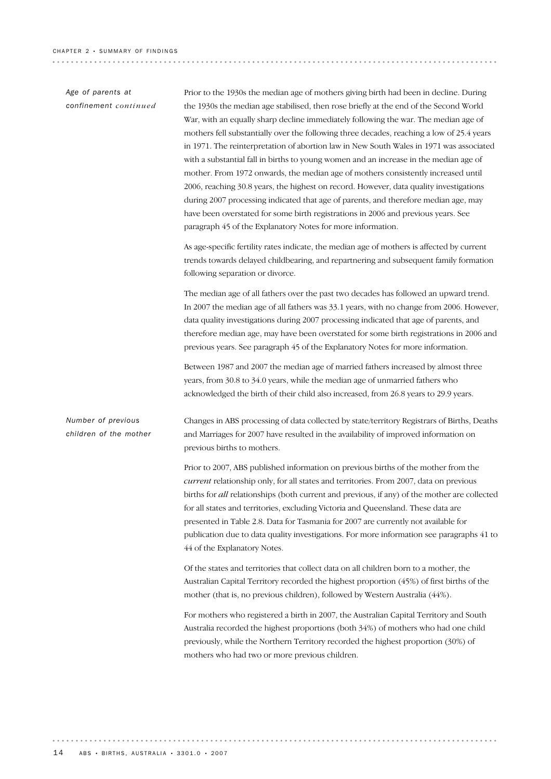### *Age of parents at confinement continued*

Prior to the 1930s the median age of mothers giving birth had been in decline. During the 1930s the median age stabilised, then rose briefly at the end of the Second World War, with an equally sharp decline immediately following the war. The median age of mothers fell substantially over the following three decades, reaching a low of 25.4 years in 1971. The reinterpretation of abortion law in New South Wales in 1971 was associated with a substantial fall in births to young women and an increase in the median age of mother. From 1972 onwards, the median age of mothers consistently increased until 2006, reaching 30.8 years, the highest on record. However, data quality investigations during 2007 processing indicated that age of parents, and therefore median age, may have been overstated for some birth registrations in 2006 and previous years. See paragraph 45 of the Explanatory Notes for more information.

As age-specific fertility rates indicate, the median age of mothers is affected by current trends towards delayed childbearing, and repartnering and subsequent family formation following separation or divorce.

The median age of all fathers over the past two decades has followed an upward trend. In 2007 the median age of all fathers was 33.1 years, with no change from 2006. However, data quality investigations during 2007 processing indicated that age of parents, and therefore median age, may have been overstated for some birth registrations in 2006 and previous years. See paragraph 45 of the Explanatory Notes for more information.

Between 1987 and 2007 the median age of married fathers increased by almost three years, from 30.8 to 34.0 years, while the median age of unmarried fathers who acknowledged the birth of their child also increased, from 26.8 years to 29.9 years.

Changes in ABS processing of data collected by state/territory Registrars of Births, Deaths and Marriages for 2007 have resulted in the availability of improved information on previous births to mothers. *Number of previous children of the mother*

> Prior to 2007, ABS published information on previous births of the mother from the *current* relationship only, for all states and territories. From 2007, data on previous births for *all* relationships (both current and previous, if any) of the mother are collected for all states and territories, excluding Victoria and Queensland. These data are presented in Table 2.8. Data for Tasmania for 2007 are currently not available for publication due to data quality investigations. For more information see paragraphs 41 to 44 of the Explanatory Notes.

Of the states and territories that collect data on all children born to a mother, the Australian Capital Territory recorded the highest proportion (45%) of first births of the mother (that is, no previous children), followed by Western Australia (44%).

For mothers who registered a birth in 2007, the Australian Capital Territory and South Australia recorded the highest proportions (both 34%) of mothers who had one child previously, while the Northern Territory recorded the highest proportion (30%) of mothers who had two or more previous children.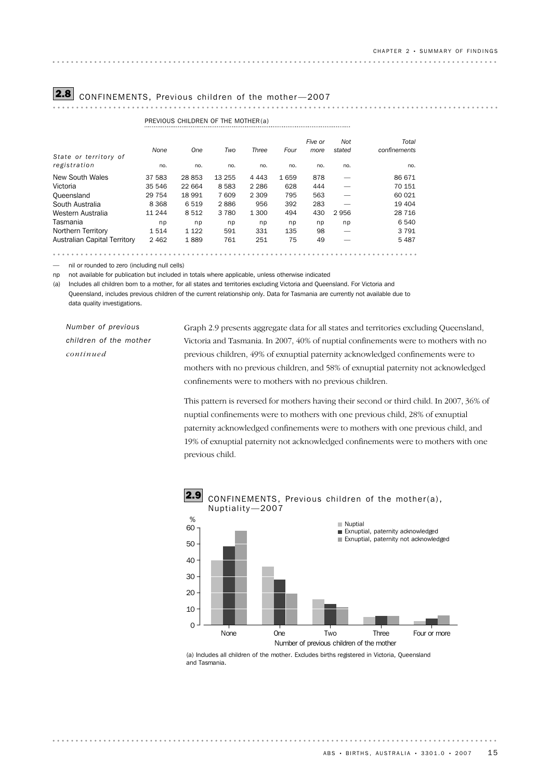# **2.8** CONFINEMENTS, Previous children of the mother-2007

. . . . . . . . . . . . . . . . . . .

|                              |         | PREVIOUS CHILDREN OF THE MOTHER(a) |         |         |      |                 |               |                       |
|------------------------------|---------|------------------------------------|---------|---------|------|-----------------|---------------|-----------------------|
| State or territory of        | None    | One                                | Two     | Three   | Four | Five or<br>more | Not<br>stated | Total<br>confinements |
| registration                 | no.     | no.                                | no.     | no.     | no.  | no.             | no.           | no.                   |
| New South Wales              | 37 583  | 28853                              | 13 255  | 4 4 4 3 | 1659 | 878             |               | 86 671                |
| Victoria                     | 35 546  | 22 664                             | 8 5 8 3 | 2 2 8 6 | 628  | 444             |               | 70 151                |
| Queensland                   | 29 7 54 | 18 991                             | 7609    | 2 309   | 795  | 563             |               | 60 021                |
| South Australia              | 8 3 6 8 | 6 5 1 9                            | 2886    | 956     | 392  | 283             |               | 19 404                |
| Western Australia            | 11 244  | 8512                               | 3 7 8 0 | 1 300   | 494  | 430             | 2956          | 28 716                |
| Tasmania                     | np      | np                                 | np      | np      | np   | np              | np            | 6 540                 |
| Northern Territory           | 1514    | 1 1 2 2                            | 591     | 331     | 135  | 98              | -             | 3 7 9 1               |
| Australian Capital Territory | 2 4 6 2 | 1889                               | 761     | 251     | 75   | 49              |               | 5 4 8 7               |
|                              |         |                                    |         |         |      |                 |               |                       |

— nil or rounded to zero (including null cells)

np not available for publication but included in totals where applicable, unless otherwise indicated

(a) Includes all children born to a mother, for all states and territories excluding Victoria and Queensland. For Victoria and

Queensland, includes previous children of the current relationship only. Data for Tasmania are currently not available due to data quality investigations.

*Number of previous children of the mother continued*

Graph 2.9 presents aggregate data for all states and territories excluding Queensland, Victoria and Tasmania. In 2007, 40% of nuptial confinements were to mothers with no previous children, 49% of exnuptial paternity acknowledged confinements were to mothers with no previous children, and 58% of exnuptial paternity not acknowledged confinements were to mothers with no previous children.

This pattern is reversed for mothers having their second or third child. In 2007, 36% of nuptial confinements were to mothers with one previous child, 28% of exnuptial paternity acknowledged confinements were to mothers with one previous child, and 19% of exnuptial paternity not acknowledged confinements were to mothers with one previous child.



(a) Includes all children of the mother. Excludes births registered in Victoria, Queensland and Tasmania.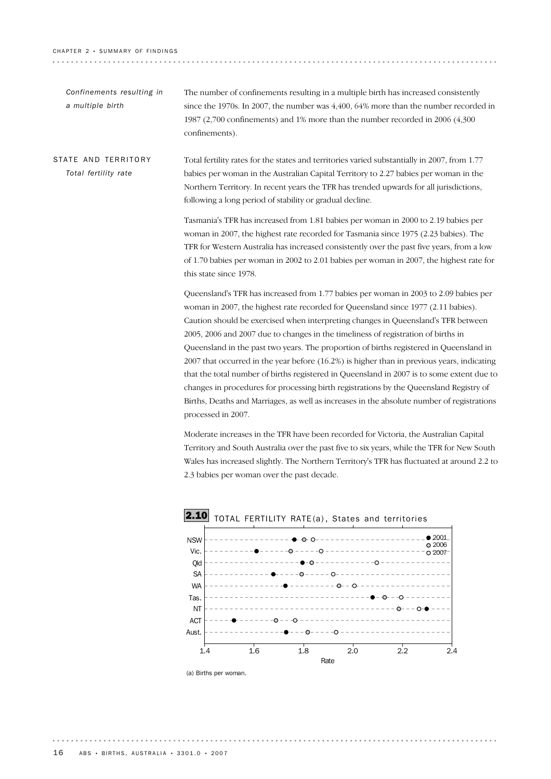. . . . . . . . . . . . . . . . . . . .

| Confinements resulting in<br>a multiple birth | The number of confinements resulting in a multiple birth has increased consistently<br>since the 1970s. In 2007, the number was 4,400, 64% more than the number recorded in<br>1987 (2,700 confinements) and 1% more than the number recorded in 2006 (4,300<br>confinements).                                                                                                                                                                                                                                                                                                                                                                                                                                                     |
|-----------------------------------------------|------------------------------------------------------------------------------------------------------------------------------------------------------------------------------------------------------------------------------------------------------------------------------------------------------------------------------------------------------------------------------------------------------------------------------------------------------------------------------------------------------------------------------------------------------------------------------------------------------------------------------------------------------------------------------------------------------------------------------------|
| STATE AND TERRITORY<br>Total fertility rate   | Total fertility rates for the states and territories varied substantially in 2007, from 1.77<br>babies per woman in the Australian Capital Territory to 2.27 babies per woman in the<br>Northern Territory. In recent years the TFR has trended upwards for all jurisdictions,<br>following a long period of stability or gradual decline.                                                                                                                                                                                                                                                                                                                                                                                         |
|                                               | Tasmania's TFR has increased from 1.81 babies per woman in 2000 to 2.19 babies per<br>woman in 2007, the highest rate recorded for Tasmania since 1975 (2.23 babies). The<br>TFR for Western Australia has increased consistently over the past five years, from a low<br>of 1.70 babies per woman in 2002 to 2.01 babies per woman in 2007, the highest rate for<br>this state since 1978.                                                                                                                                                                                                                                                                                                                                        |
|                                               | Queensland's TFR has increased from 1.77 babies per woman in 2003 to 2.09 babies per<br>woman in 2007, the highest rate recorded for Queensland since 1977 (2.11 babies).<br>Caution should be exercised when interpreting changes in Queensland's TFR between<br>2005, 2006 and 2007 due to changes in the timeliness of registration of births in<br>Queensland in the past two years. The proportion of births registered in Queensland in<br>2007 that occurred in the year before (16.2%) is higher than in previous years, indicating<br>that the total number of births registered in Queensland in 2007 is to some extent due to<br>changes in procedures for processing birth registrations by the Queensland Registry of |

Births, Deaths and Marriages, as well as increases in the absolute number of registrations processed in 2007.

Moderate increases in the TFR have been recorded for Victoria, the Australian Capital Territory and South Australia over the past five to six years, while the TFR for New South Wales has increased slightly. The Northern Territory's TFR has fluctuated at around 2.2 to 2.3 babies per woman over the past decade.



. . . . . . . .

(a) Births per woman.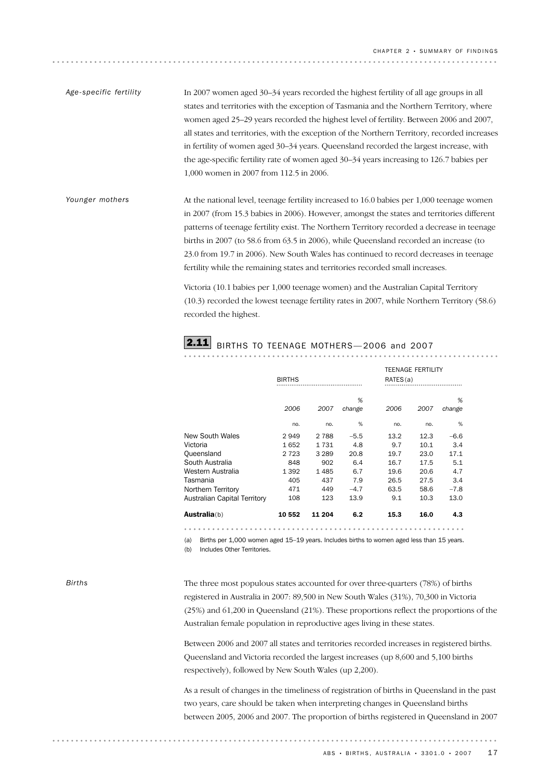In 2007 women aged 30–34 years recorded the highest fertility of all age groups in all states and territories with the exception of Tasmania and the Northern Territory, where women aged 25–29 years recorded the highest level of fertility. Between 2006 and 2007, all states and territories, with the exception of the Northern Territory, recorded increases in fertility of women aged 30–34 years. Queensland recorded the largest increase, with the age-specific fertility rate of women aged 30–34 years increasing to 126.7 babies per 1,000 women in 2007 from 112.5 in 2006. *Age-specific fertility*

At the national level, teenage fertility increased to 16.0 babies per 1,000 teenage women in 2007 (from 15.3 babies in 2006). However, amongst the states and territories different patterns of teenage fertility exist. The Northern Territory recorded a decrease in teenage births in 2007 (to 58.6 from 63.5 in 2006), while Queensland recorded an increase (to 23.0 from 19.7 in 2006). New South Wales has continued to record decreases in teenage fertility while the remaining states and territories recorded small increases. *Younger mothers*

> Victoria (10.1 babies per 1,000 teenage women) and the Australian Capital Territory (10.3) recorded the lowest teenage fertility rates in 2007, while Northern Territory (58.6) recorded the highest.

# **2.11** BIRTHS TO TEENAGE MOTHERS-2006 and 2007

|                              | <b>BIRTHS</b> |         |             | RATES(a) | <b>TEENAGE FERTILITY</b> |             |  |
|------------------------------|---------------|---------|-------------|----------|--------------------------|-------------|--|
|                              | 2006          | 2007    | %<br>change | 2006     | 2007                     | %<br>change |  |
|                              | no.           | no.     | %           | no.      | no.                      | %           |  |
| New South Wales              | 2949          | 2 7 8 8 | $-5.5$      | 13.2     | 12.3                     | $-6.6$      |  |
| Victoria                     | 1652          | 1731    | 4.8         | 9.7      | 10.1                     | 3.4         |  |
| Queensland                   | 2 7 2 3       | 3 2 8 9 | 20.8        | 19.7     | 23.0                     | 17.1        |  |
| South Australia              | 848           | 902     | 6.4         | 16.7     | 17.5                     | 5.1         |  |
| Western Australia            | 1 3 9 2       | 1485    | 6.7         | 19.6     | 20.6                     | 4.7         |  |
| Tasmania                     | 405           | 437     | 7.9         | 26.5     | 27.5                     | 3.4         |  |
| Northern Territory           | 471           | 449     | $-4.7$      | 63.5     | 58.6                     | $-7.8$      |  |
| Australian Capital Territory | 108           | 123     | 13.9        | 9.1      | 10.3                     | 13.0        |  |
| <b>Australia</b> (b)         | 10 552        | 11 204  | 6.2         | 15.3     | 16.0                     | 4.3         |  |

(a) Births per 1,000 women aged 15–19 years. Includes births to women aged less than 15 years.

(b) Includes Other Territories.

*Births*

The three most populous states accounted for over three-quarters (78%) of births registered in Australia in 2007: 89,500 in New South Wales (31%), 70,300 in Victoria (25%) and 61,200 in Queensland (21%). These proportions reflect the proportions of the Australian female population in reproductive ages living in these states.

Between 2006 and 2007 all states and territories recorded increases in registered births. Queensland and Victoria recorded the largest increases (up 8,600 and 5,100 births respectively), followed by New South Wales (up 2,200).

As a result of changes in the timeliness of registration of births in Queensland in the past two years, care should be taken when interpreting changes in Queensland births between 2005, 2006 and 2007. The proportion of births registered in Queensland in 2007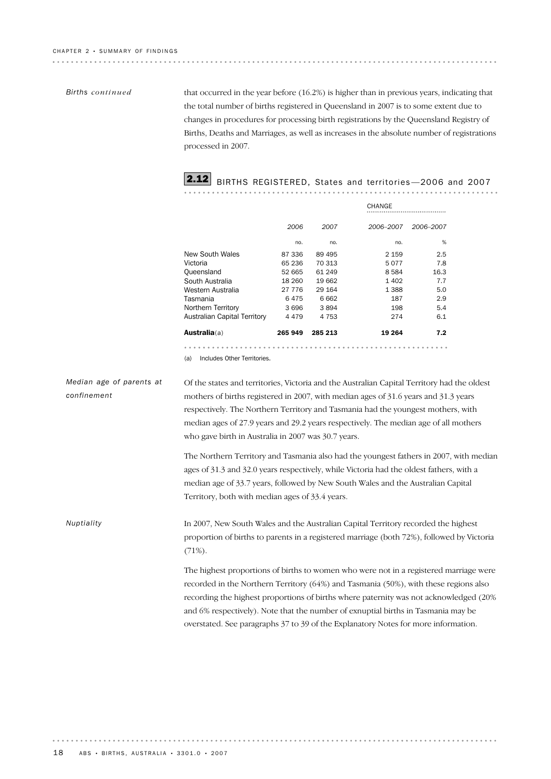#### *Births continued*

that occurred in the year before (16.2%) is higher than in previous years, indicating that the total number of births registered in Queensland in 2007 is to some extent due to changes in procedures for processing birth registrations by the Queensland Registry of Births, Deaths and Marriages, as well as increases in the absolute number of registrations processed in 2007.

# **2.12** BIRTHS REGISTERED, States and territories-2006 and 2007

|                              |         |         | CHANGE    |           |
|------------------------------|---------|---------|-----------|-----------|
|                              | 2006    | 2007    | 2006-2007 | 2006-2007 |
|                              | no.     | no.     | no.       | %         |
| <b>New South Wales</b>       | 87 336  | 89 495  | 2 159     | 2.5       |
| Victoria                     | 65 236  | 70 313  | 5077      | 7.8       |
| Queensland                   | 52 665  | 61 249  | 8584      | 16.3      |
| South Australia              | 18 260  | 19 662  | 1 4 0 2   | 7.7       |
| Western Australia            | 27 776  | 29 164  | 1 3 8 8   | 5.0       |
| Tasmania                     | 6475    | 6662    | 187       | 2.9       |
| Northern Territory           | 3696    | 3894    | 198       | 5.4       |
| Australian Capital Territory | 4479    | 4 7 5 3 | 274       | 6.1       |
| <b>Australia</b> (a)         | 265 949 | 285 213 | 19 264    | 7.2       |
|                              |         |         |           |           |

(a) Includes Other Territories.

*Median age of parents at confinement*

Of the states and territories, Victoria and the Australian Capital Territory had the oldest mothers of births registered in 2007, with median ages of 31.6 years and 31.3 years respectively. The Northern Territory and Tasmania had the youngest mothers, with median ages of 27.9 years and 29.2 years respectively. The median age of all mothers who gave birth in Australia in 2007 was 30.7 years.

The Northern Territory and Tasmania also had the youngest fathers in 2007, with median ages of 31.3 and 32.0 years respectively, while Victoria had the oldest fathers, with a median age of 33.7 years, followed by New South Wales and the Australian Capital Territory, both with median ages of 33.4 years.

In 2007, New South Wales and the Australian Capital Territory recorded the highest proportion of births to parents in a registered marriage (both 72%), followed by Victoria (71%). *Nuptiality*

> The highest proportions of births to women who were not in a registered marriage were recorded in the Northern Territory (64%) and Tasmania (50%), with these regions also recording the highest proportions of births where paternity was not acknowledged (20% and 6% respectively). Note that the number of exnuptial births in Tasmania may be overstated. See paragraphs 37 to 39 of the Explanatory Notes for more information.

. . . . . . . . . . . . . . . .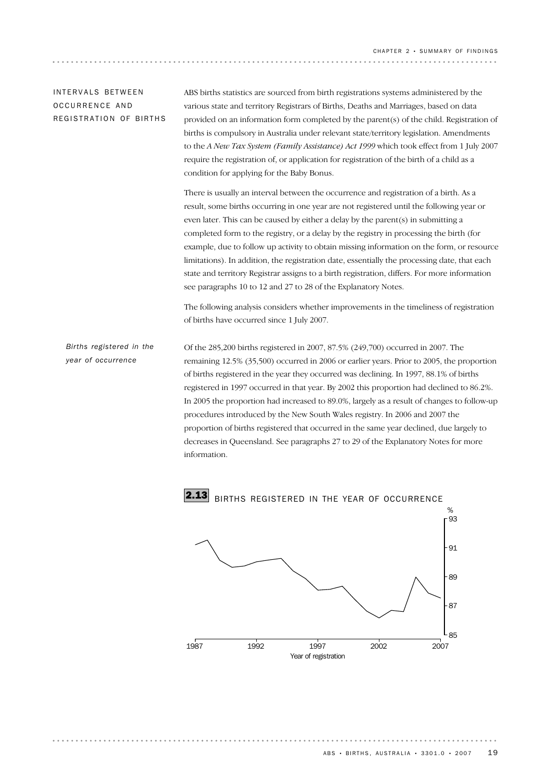# IN T E R V A L S BE T W F E N OCCURRENCE AND REGISTRATION OF BIRTHS

ABS births statistics are sourced from birth registrations systems administered by the various state and territory Registrars of Births, Deaths and Marriages, based on data provided on an information form completed by the parent(s) of the child. Registration of births is compulsory in Australia under relevant state/territory legislation. Amendments to the *A New Tax System (Family Assistance) Act 1999* which took effect from 1 July 2007 require the registration of, or application for registration of the birth of a child as a condition for applying for the Baby Bonus.

There is usually an interval between the occurrence and registration of a birth. As a result, some births occurring in one year are not registered until the following year or even later. This can be caused by either a delay by the parent(s) in submitting a completed form to the registry, or a delay by the registry in processing the birth (for example, due to follow up activity to obtain missing information on the form, or resource limitations). In addition, the registration date, essentially the processing date, that each state and territory Registrar assigns to a birth registration, differs. For more information see paragraphs 10 to 12 and 27 to 28 of the Explanatory Notes.

The following analysis considers whether improvements in the timeliness of registration of births have occurred since 1 July 2007.

Of the 285,200 births registered in 2007, 87.5% (249,700) occurred in 2007. The remaining 12.5% (35,500) occurred in 2006 or earlier years. Prior to 2005, the proportion of births registered in the year they occurred was declining. In 1997, 88.1% of births registered in 1997 occurred in that year. By 2002 this proportion had declined to 86.2%. In 2005 the proportion had increased to 89.0%, largely as a result of changes to follow-up procedures introduced by the New South Wales registry. In 2006 and 2007 the proportion of births registered that occurred in the same year declined, due largely to decreases in Queensland. See paragraphs 27 to 29 of the Explanatory Notes for more information. *Births registered in the year of occurrence*

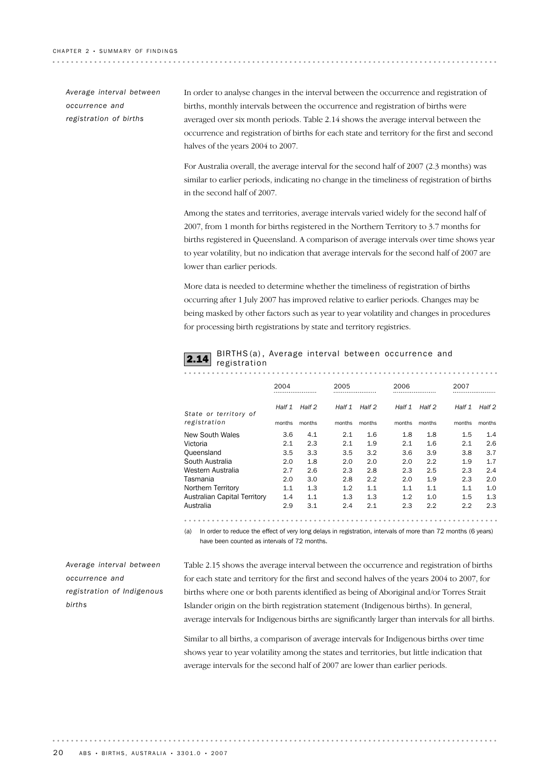| Average interval between |
|--------------------------|
| occurrence and           |
| registration of births   |

In order to analyse changes in the interval between the occurrence and registration of births, monthly intervals between the occurrence and registration of births were averaged over six month periods. Table 2.14 shows the average interval between the occurrence and registration of births for each state and territory for the first and second halves of the years 2004 to 2007.

For Australia overall, the average interval for the second half of 2007 (2.3 months) was similar to earlier periods, indicating no change in the timeliness of registration of births in the second half of 2007.

Among the states and territories, average intervals varied widely for the second half of 2007, from 1 month for births registered in the Northern Territory to 3.7 months for births registered in Queensland. A comparison of average intervals over time shows year to year volatility, but no indication that average intervals for the second half of 2007 are lower than earlier periods.

More data is needed to determine whether the timeliness of registration of births occurring after 1 July 2007 has improved relative to earlier periods. Changes may be being masked by other factors such as year to year volatility and changes in procedures for processing birth registrations by state and territory registries.

| <b>2.14</b> BIRTHS(a), Average interval between occurrence and<br><b>2.14</b> registration |  |  |  |
|--------------------------------------------------------------------------------------------|--|--|--|
|                                                                                            |  |  |  |

|                              | 2004   |        | 2005   |        | 2006   |        | 2007   |        |
|------------------------------|--------|--------|--------|--------|--------|--------|--------|--------|
| State or territory of        | Half 1 | Half 2 | Half 1 | Half 2 | Half 1 | Half 2 | Half 1 | Half 2 |
| registration                 | months | months | months | months | months | months | months | months |
| New South Wales              | 3.6    | 4.1    | 2.1    | 1.6    | 1.8    | 1.8    | 1.5    | 1.4    |
| Victoria                     | 2.1    | 2.3    | 2.1    | 1.9    | 2.1    | 1.6    | 2.1    | 2.6    |
| Queensland                   | 3.5    | 3.3    | 3.5    | 3.2    | 3.6    | 3.9    | 3.8    | 3.7    |
| South Australia              | 2.0    | 1.8    | 2.0    | 2.0    | 2.0    | 2.2    | 1.9    | 1.7    |
| Western Australia            | 2.7    | 2.6    | 2.3    | 2.8    | 2.3    | 2.5    | 2.3    | 2.4    |
| Tasmania                     | 2.0    | 3.0    | 2.8    | 2.2    | 2.0    | 1.9    | 2.3    | 2.0    |
| Northern Territory           | 1.1    | 1.3    | 1.2    | 1.1    | 1.1    | 1.1    | 1.1    | 1.0    |
| Australian Capital Territory | 1.4    | 1.1    | 1.3    | 1.3    | 1.2    | 1.0    | 1.5    | 1.3    |
| Australia                    | 2.9    | 3.1    | 2.4    | 2.1    | 2.3    | 2.2    | 2.2    | 2.3    |

*Average interval between occurrence and registration of Indigenous births*

Table 2.15 shows the average interval between the occurrence and registration of births for each state and territory for the first and second halves of the years 2004 to 2007, for births where one or both parents identified as being of Aboriginal and/or Torres Strait Islander origin on the birth registration statement (Indigenous births). In general, average intervals for Indigenous births are significantly larger than intervals for all births.

(a) In order to reduce the effect of very long delays in registration, intervals of more than 72 months (6 years)

have been counted as intervals of 72 months.

Similar to all births, a comparison of average intervals for Indigenous births over time shows year to year volatility among the states and territories, but little indication that average intervals for the second half of 2007 are lower than earlier periods.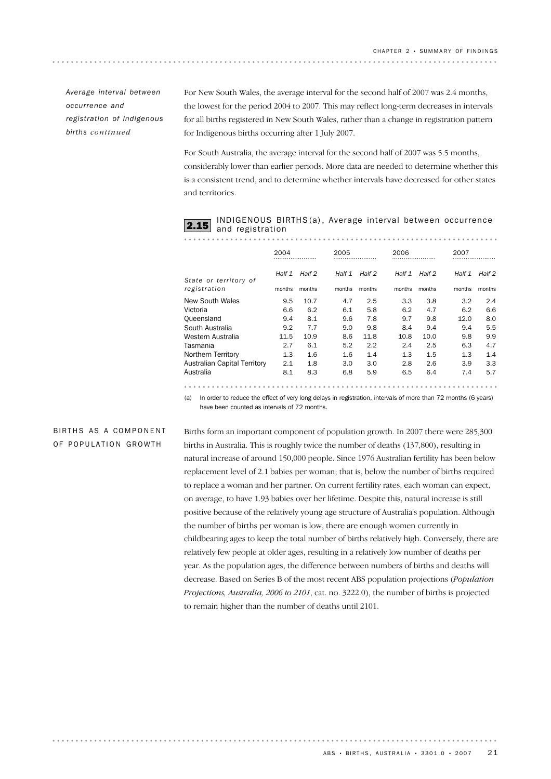*Average interval between occurrence and registration of Indigenous births continued*

For New South Wales, the average interval for the second half of 2007 was 2.4 months, the lowest for the period 2004 to 2007. This may reflect long-term decreases in intervals for all births registered in New South Wales, rather than a change in registration pattern for Indigenous births occurring after 1 July 2007.

For South Australia, the average interval for the second half of 2007 was 5.5 months, considerably lower than earlier periods. More data are needed to determine whether this is a consistent trend, and to determine whether intervals have decreased for other states and territories.

| <b>2.15</b> INDIGENOUS BIRTHS(a), Average interval between occurrence<br><b>2.15</b> and registration |  |  |  |
|-------------------------------------------------------------------------------------------------------|--|--|--|
|                                                                                                       |  |  |  |
|                                                                                                       |  |  |  |

|                              | 2004   |        | 2005   |        | 2006   |         | 2007   |        |
|------------------------------|--------|--------|--------|--------|--------|---------|--------|--------|
| State or territory of        | Half 1 | Half 2 | Half 1 | Half 2 | Half 1 | Half 2  | Half 1 | Half 2 |
| registration                 | months | months | months | months | months | months  | months | months |
| New South Wales              | 9.5    | 10.7   | 4.7    | 2.5    | 3.3    | 3.8     | 3.2    | 2.4    |
| Victoria                     | 6.6    | 6.2    | 6.1    | 5.8    | 6.2    | 4.7     | 6.2    | 6.6    |
| Oueensland                   | 9.4    | 8.1    | 9.6    | 7.8    | 9.7    | 9.8     | 12.0   | 8.0    |
| South Australia              | 9.2    | 7.7    | 9.0    | 9.8    | 8.4    | 9.4     | 9.4    | 5.5    |
| Western Australia            | 11.5   | 10.9   | 8.6    | 11.8   | 10.8   | 10.0    | 9.8    | 9.9    |
| Tasmania                     | 2.7    | 6.1    | 5.2    | 2.2    | 2.4    | 2.5     | 6.3    | 4.7    |
| Northern Territory           | 1.3    | 1.6    | 1.6    | 1.4    | 1.3    | $1.5\,$ | 1.3    | 1.4    |
| Australian Capital Territory | 2.1    | 1.8    | 3.0    | 3.0    | 2.8    | 2.6     | 3.9    | 3.3    |
| Australia                    | 8.1    | 8.3    | 6.8    | 5.9    | 6.5    | 6.4     | 7.4    | 5.7    |

(a) In order to reduce the effect of very long delays in registration, intervals of more than 72 months (6 years) have been counted as intervals of 72 months.

BIRTHS AS A COMPONENT OF POPULATION GROWTH

Births form an important component of population growth. In 2007 there were 285,300 births in Australia. This is roughly twice the number of deaths (137,800), resulting in natural increase of around 150,000 people. Since 1976 Australian fertility has been below replacement level of 2.1 babies per woman; that is, below the number of births required to replace a woman and her partner. On current fertility rates, each woman can expect, on average, to have 1.93 babies over her lifetime. Despite this, natural increase is still positive because of the relatively young age structure of Australia's population. Although the number of births per woman is low, there are enough women currently in childbearing ages to keep the total number of births relatively high. Conversely, there are relatively few people at older ages, resulting in a relatively low number of deaths per year. As the population ages, the difference between numbers of births and deaths will decrease. Based on Series B of the most recent ABS population projections (*Population Projections, Australia, 2006 to 2101*, cat. no. 3222.0), the number of births is projected to remain higher than the number of deaths until 2101.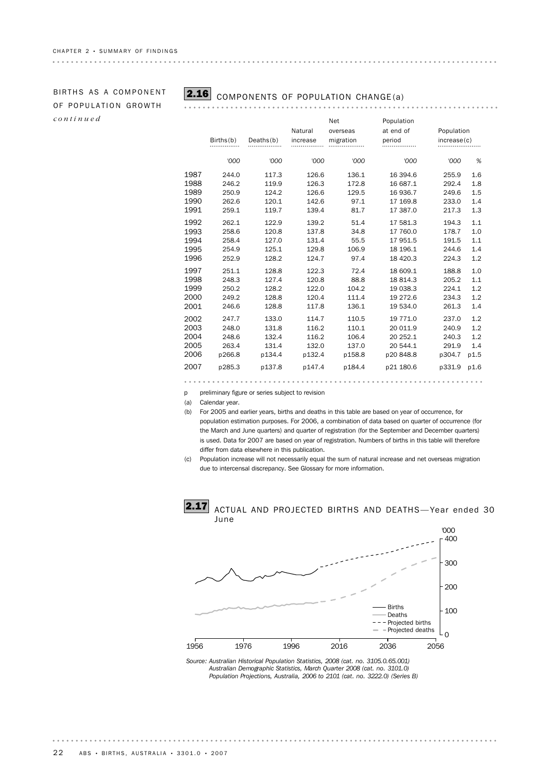# OF POPULATION GROWTH *continued*

# BIRTHS AS A COMPONENT **2.16** COMPONENTS OF POPULATION CHANGE(a)

**\*\*\*\*\*\*\*\*\*\*\*\*\*\*** 

|      | Births(b) | Deaths(b) | Natural<br>increase | Net<br>overseas<br>migration | Population<br>at end of<br>period | Population<br>increase(c) |      |
|------|-----------|-----------|---------------------|------------------------------|-----------------------------------|---------------------------|------|
|      | '000      | '000      | '000                | '000                         | '000                              | '000                      | %    |
| 1987 | 244.0     | 117.3     | 126.6               | 136.1                        | 16 394.6                          | 255.9                     | 1.6  |
| 1988 | 246.2     | 119.9     | 126.3               | 172.8                        | 16 687.1                          | 292.4                     | 1.8  |
| 1989 | 250.9     | 124.2     | 126.6               | 129.5                        | 16 936.7                          | 249.6                     | 1.5  |
| 1990 | 262.6     | 120.1     | 142.6               | 97.1                         | 17 169.8                          | 233.0                     | 1.4  |
| 1991 | 259.1     | 119.7     | 139.4               | 81.7                         | 17 387.0                          | 217.3                     | 1.3  |
| 1992 | 262.1     | 122.9     | 139.2               | 51.4                         | 17 581.3                          | 194.3                     | 1.1  |
| 1993 | 258.6     | 120.8     | 137.8               | 34.8                         | 17 760.0                          | 178.7                     | 1.0  |
| 1994 | 258.4     | 127.0     | 131.4               | 55.5                         | 17 951.5                          | 191.5                     | 1.1  |
| 1995 | 254.9     | 125.1     | 129.8               | 106.9                        | 18 196.1                          | 244.6                     | 1.4  |
| 1996 | 252.9     | 128.2     | 124.7               | 97.4                         | 18 4 20.3                         | 224.3                     | 1.2  |
| 1997 | 251.1     | 128.8     | 122.3               | 72.4                         | 18 609.1                          | 188.8                     | 1.0  |
| 1998 | 248.3     | 127.4     | 120.8               | 88.8                         | 18 814.3                          | 205.2                     | 1.1  |
| 1999 | 250.2     | 128.2     | 122.0               | 104.2                        | 19 038.3                          | 224.1                     | 1.2  |
| 2000 | 249.2     | 128.8     | 120.4               | 111.4                        | 19 272.6                          | 234.3                     | 1.2  |
| 2001 | 246.6     | 128.8     | 117.8               | 136.1                        | 19 534.0                          | 261.3                     | 1.4  |
| 2002 | 247.7     | 133.0     | 114.7               | 110.5                        | 19 771.0                          | 237.0                     | 1.2  |
| 2003 | 248.0     | 131.8     | 116.2               | 110.1                        | 20 011.9                          | 240.9                     | 1.2  |
| 2004 | 248.6     | 132.4     | 116.2               | 106.4                        | 20 252.1                          | 240.3                     | 1.2  |
| 2005 | 263.4     | 131.4     | 132.0               | 137.0                        | 20 544.1                          | 291.9                     | 1.4  |
| 2006 | p266.8    | p134.4    | p132.4              | p158.8                       | p20848.8                          | p304.7                    | p1.5 |
| 2007 | p285.3    | p137.8    | p147.4              | p184.4                       | p21 180.6                         | p331.9                    | p1.6 |
|      |           |           |                     |                              |                                   |                           |      |

. . . . . . . . .

p preliminary figure or series subject to revision

(a) Calendar year.

- (b) For 2005 and earlier years, births and deaths in this table are based on year of occurrence, for population estimation purposes. For 2006, a combination of data based on quarter of occurrence (for the March and June quarters) and quarter of registration (for the September and December quarters) is used. Data for 2007 are based on year of registration. Numbers of births in this table will therefore differ from data elsewhere in this publication.
- (c) Population increase will not necessarily equal the sum of natural increase and net overseas migration due to intercensal discrepancy. See Glossary for more information.



*Source: Australian Historical Population Statistics, 2008 (cat. no. 3105.0.65.001) Australian Demographic Statistics, March Quarter 2008 (cat. no. 3101.0) Population Projections, Australia, 2006 to 2101 (cat. no. 3222.0) (Series B)*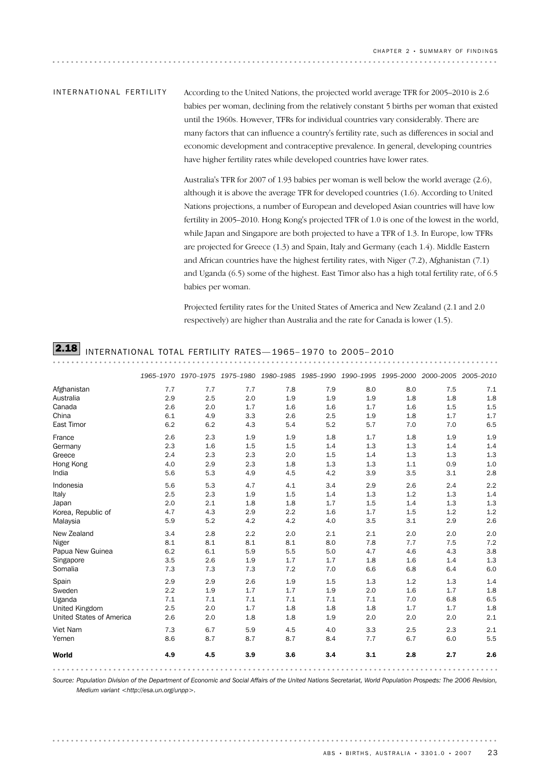According to the United Nations, the projected world average TFR for 2005–2010 is 2.6 babies per woman, declining from the relatively constant 5 births per woman that existed until the 1960s. However, TFRs for individual countries vary considerably. There are many factors that can influence a country's fertility rate, such as differences in social and economic development and contraceptive prevalence. In general, developing countries have higher fertility rates while developed countries have lower rates. IN T E R N A T I O N A L F E R T I LITY

> Australia's TFR for 2007 of 1.93 babies per woman is well below the world average (2.6), although it is above the average TFR for developed countries (1.6). According to United Nations projections, a number of European and developed Asian countries will have low fertility in 2005–2010. Hong Kong's projected TFR of 1.0 is one of the lowest in the world, while Japan and Singapore are both projected to have a TFR of 1.3. In Europe, low TFRs are projected for Greece (1.3) and Spain, Italy and Germany (each 1.4). Middle Eastern and African countries have the highest fertility rates, with Niger (7.2), Afghanistan (7.1) and Uganda (6.5) some of the highest. East Timor also has a high total fertility rate, of 6.5 babies per woman.

Projected fertility rates for the United States of America and New Zealand (2.1 and 2.0 respectively) are higher than Australia and the rate for Canada is lower (1.5).

# 2.18 INTERNATIONAL TOTAL FERTILITY RATES— 1965– 1970 to 2005– <sup>2010</sup>

|                                 |     | 1965-1970 1970-1975 1975-1980 1980-1985 1985-1990 1990-1995 1995-2000 2000-2005 2005-2010 |     |     |     |     |     |     |     |
|---------------------------------|-----|-------------------------------------------------------------------------------------------|-----|-----|-----|-----|-----|-----|-----|
|                                 | 7.7 | 7.7                                                                                       | 7.7 | 7.8 | 7.9 | 8.0 | 8.0 | 7.5 | 7.1 |
|                                 | 2.9 | 2.5                                                                                       | 2.0 | 1.9 | 1.9 | 1.9 | 1.8 | 1.8 | 1.8 |
|                                 | 2.6 | 2.0                                                                                       | 1.7 | 1.6 | 1.6 | 1.7 | 1.6 | 1.5 | 1.5 |
|                                 | 6.1 | 4.9                                                                                       | 3.3 | 2.6 | 2.5 | 1.9 | 1.8 | 1.7 | 1.7 |
|                                 | 6.2 | 6.2                                                                                       | 4.3 | 5.4 | 5.2 | 5.7 | 7.0 | 7.0 | 6.5 |
|                                 | 2.6 | 2.3                                                                                       | 1.9 | 1.9 | 1.8 | 1.7 | 1.8 | 1.9 | 1.9 |
|                                 | 2.3 | 1.6                                                                                       | 1.5 | 1.5 | 1.4 | 1.3 | 1.3 | 1.4 | 1.4 |
|                                 | 2.4 | 2.3                                                                                       | 2.3 | 2.0 | 1.5 | 1.4 | 1.3 | 1.3 | 1.3 |
|                                 | 4.0 | 2.9                                                                                       | 2.3 | 1.8 | 1.3 | 1.3 | 1.1 | 0.9 | 1.0 |
|                                 | 5.6 | 5.3                                                                                       | 4.9 | 4.5 | 4.2 | 3.9 | 3.5 | 3.1 | 2.8 |
|                                 | 5.6 | 5.3                                                                                       | 4.7 | 4.1 | 3.4 | 2.9 | 2.6 | 2.4 | 2.2 |
|                                 | 2.5 | 2.3                                                                                       | 1.9 | 1.5 | 1.4 | 1.3 | 1.2 | 1.3 | 1.4 |
|                                 | 2.0 | 2.1                                                                                       | 1.8 | 1.8 | 1.7 | 1.5 | 1.4 | 1.3 | 1.3 |
| Korea, Republic of              | 4.7 | 4.3                                                                                       | 2.9 | 2.2 | 1.6 | 1.7 | 1.5 | 1.2 | 1.2 |
|                                 | 5.9 | 5.2                                                                                       | 4.2 | 4.2 | 4.0 | 3.5 | 3.1 | 2.9 | 2.6 |
|                                 | 3.4 | 2.8                                                                                       | 2.2 | 2.0 | 2.1 | 2.1 | 2.0 | 2.0 | 2.0 |
|                                 | 8.1 | 8.1                                                                                       | 8.1 | 8.1 | 8.0 | 7.8 | 7.7 | 7.5 | 7.2 |
| Papua New Guinea                | 6.2 | 6.1                                                                                       | 5.9 | 5.5 | 5.0 | 4.7 | 4.6 | 4.3 | 3.8 |
|                                 | 3.5 | 2.6                                                                                       | 1.9 | 1.7 | 1.7 | 1.8 | 1.6 | 1.4 | 1.3 |
|                                 | 7.3 | 7.3                                                                                       | 7.3 | 7.2 | 7.0 | 6.6 | 6.8 | 6.4 | 6.0 |
|                                 | 2.9 | 2.9                                                                                       | 2.6 | 1.9 | 1.5 | 1.3 | 1.2 | 1.3 | 1.4 |
|                                 | 2.2 | 1.9                                                                                       | 1.7 | 1.7 | 1.9 | 2.0 | 1.6 | 1.7 | 1.8 |
|                                 | 7.1 | 7.1                                                                                       | 7.1 | 7.1 | 7.1 | 7.1 | 7.0 | 6.8 | 6.5 |
|                                 | 2.5 | 2.0                                                                                       | 1.7 | 1.8 | 1.8 | 1.8 | 1.7 | 1.7 | 1.8 |
| <b>United States of America</b> | 2.6 | 2.0                                                                                       | 1.8 | 1.8 | 1.9 | 2.0 | 2.0 | 2.0 | 2.1 |
|                                 | 7.3 | 6.7                                                                                       | 5.9 | 4.5 | 4.0 | 3.3 | 2.5 | 2.3 | 2.1 |
|                                 | 8.6 | 8.7                                                                                       | 8.7 | 8.7 | 8.4 | 7.7 | 6.7 | 6.0 | 5.5 |
|                                 | 4.9 | 4.5                                                                                       | 3.9 | 3.6 | 3.4 | 3.1 | 2.8 | 2.7 | 2.6 |
|                                 |     |                                                                                           |     |     |     |     |     |     |     |

*Source: Population Division of the Department of Economic and Social Affairs of the United Nations Secretariat, World Population Prospects: The 2006 Revision, Medium variant <http://esa.un.org/unpp>.*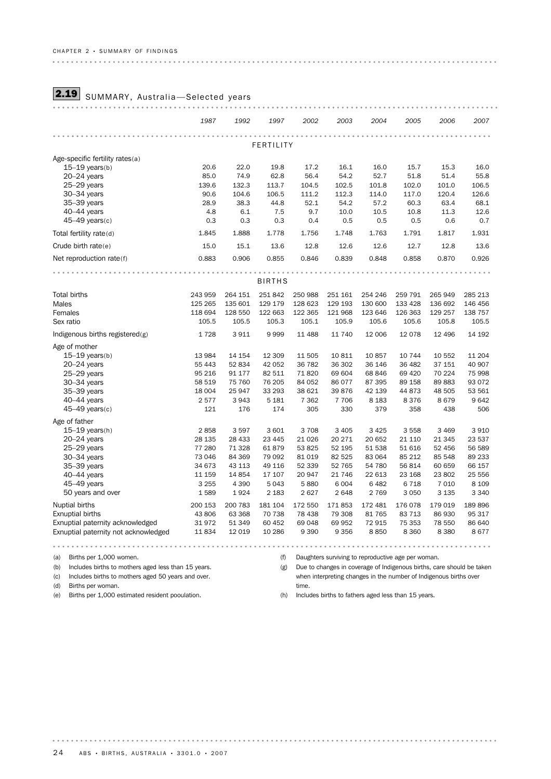# **2.19** SUMMARY, Australia-Selected years

|                                      | 1987    | 1992    | 1997          | 2002    | 2003    | 2004    | 2005    | 2006     | 2007    |  |  |
|--------------------------------------|---------|---------|---------------|---------|---------|---------|---------|----------|---------|--|--|
|                                      |         |         | FERTILITY     |         |         |         |         |          |         |  |  |
| Age-specific fertility rates(a)      |         |         |               |         |         |         |         |          |         |  |  |
| $15-19$ years(b)                     | 20.6    | 22.0    | 19.8          | 17.2    | 16.1    | 16.0    | 15.7    | 15.3     | 16.0    |  |  |
| $20 - 24$ years                      | 85.0    | 74.9    | 62.8          | 56.4    | 54.2    | 52.7    | 51.8    | 51.4     | 55.8    |  |  |
| $25-29$ years                        | 139.6   | 132.3   | 113.7         | 104.5   | 102.5   | 101.8   | 102.0   | 101.0    | 106.5   |  |  |
| $30 - 34$ years                      | 90.6    | 104.6   | 106.5         | 111.2   | 112.3   | 114.0   | 117.0   | 120.4    | 126.6   |  |  |
| 35-39 years                          | 28.9    | 38.3    | 44.8          | 52.1    | 54.2    | 57.2    | 60.3    | 63.4     | 68.1    |  |  |
| 40-44 years                          | 4.8     | 6.1     | 7.5           | 9.7     | 10.0    | 10.5    | 10.8    | 11.3     | 12.6    |  |  |
| $45-49$ years(c)                     | 0.3     | 0.3     | 0.3           | 0.4     | 0.5     | 0.5     | 0.5     | 0.6      | 0.7     |  |  |
| Total fertility rate(d)              | 1.845   | 1.888   | 1.778         | 1.756   | 1.748   | 1.763   | 1.791   | 1.817    | 1.931   |  |  |
| Crude birth $rate(e)$                | 15.0    | 15.1    | 13.6          | 12.8    | 12.6    | 12.6    | 12.7    | 12.8     | 13.6    |  |  |
| Net reproduction rate(f)             | 0.883   | 0.906   | 0.855         | 0.846   | 0.839   | 0.848   | 0.858   | 0.870    | 0.926   |  |  |
|                                      |         |         |               |         |         |         |         |          |         |  |  |
|                                      |         |         | <b>BIRTHS</b> |         |         |         |         |          |         |  |  |
| <b>Total births</b>                  | 243 959 | 264 151 | 251842        | 250 988 | 251 161 | 254 246 | 259 791 | 265 949  | 285 213 |  |  |
| Males                                | 125 265 | 135 601 | 129 179       | 128 623 | 129 193 | 130 600 | 133 428 | 136 692  | 146 456 |  |  |
| Females                              | 118 694 | 128 550 | 122 663       | 122 365 | 121 968 | 123 646 | 126 363 | 129 257  | 138 757 |  |  |
| Sex ratio                            | 105.5   | 105.5   | 105.3         | 105.1   | 105.9   | 105.6   | 105.6   | 105.8    | 105.5   |  |  |
| Indigenous births registered $(g)$   | 1728    | 3911    | 9999          | 11 488  | 11 740  | 12 006  | 12 078  | 12 4 9 6 | 14 192  |  |  |
| Age of mother                        |         |         |               |         |         |         |         |          |         |  |  |
| $15-19$ years(b)                     | 13 984  | 14 154  | 12 309        | 11 505  | 10 811  | 10 857  | 10 744  | 10 552   | 11 204  |  |  |
| $20 - 24$ years                      | 55 4 43 | 52 834  | 42 052        | 36 782  | 36 302  | 36 146  | 36 482  | 37 151   | 40 907  |  |  |
| $25 - 29$ years                      | 95 216  | 91 177  | 82 511        | 71820   | 69 604  | 68 846  | 69 4 20 | 70 224   | 75 998  |  |  |
| 30-34 years                          | 58 519  | 75 760  | 76 205        | 84 052  | 86 077  | 87 395  | 89 158  | 89883    | 93 0 72 |  |  |
| 35-39 years                          | 18 004  | 25 947  | 33 293        | 38 621  | 39876   | 42 139  | 44 873  | 48 505   | 53 561  |  |  |
| $40-44$ years                        | 2577    | 3943    | 5 1 8 1       | 7 3 6 2 | 7 7 0 6 | 8 1 8 3 | 8376    | 8679     | 9642    |  |  |
| $45-49$ years(c)                     | 121     | 176     | 174           | 305     | 330     | 379     | 358     | 438      | 506     |  |  |
| Age of father                        |         |         |               |         |         |         |         |          |         |  |  |
| $15-19$ years(h)                     | 2858    | 3597    | 3 601         | 3708    | 3 4 0 5 | 3 4 2 5 | 3558    | 3 4 6 9  | 3 9 1 0 |  |  |
| 20-24 years                          | 28 135  | 28 4 33 | 23 4 4 5      | 21 0 26 | 20 271  | 20 652  | 21 110  | 21 345   | 23 537  |  |  |
| 25-29 years                          | 77 280  | 71 328  | 61879         | 53 825  | 52 195  | 51 538  | 51 616  | 52 456   | 56 589  |  |  |
| $30 - 34$ years                      | 73 046  | 84 369  | 79 092        | 81 0 19 | 82 5 25 | 83 064  | 85 212  | 85 548   | 89 233  |  |  |
| 35-39 years                          | 34 673  | 43 113  | 49 116        | 52 339  | 52 765  | 54 780  | 56 814  | 60 659   | 66 157  |  |  |
| 40-44 years                          | 11 159  | 14 8 54 | 17 107        | 20 947  | 21 746  | 22 613  | 23 168  | 23 802   | 25 556  |  |  |
| 45-49 years                          | 3 2 5 5 | 4 3 9 0 | 5043          | 5880    | 6 0 0 4 | 6 4 8 2 | 6718    | 7 0 1 0  | 8 1 0 9 |  |  |
| 50 years and over                    | 1589    | 1924    | 2 1 8 3       | 2627    | 2648    | 2 7 6 9 | 3 0 5 0 | 3 1 3 5  | 3 3 4 0 |  |  |
| Nuptial births                       | 200 153 | 200 783 | 181 104       | 172 550 | 171853  | 172 481 | 176 078 | 179 019  | 189 896 |  |  |
| Exnuptial births                     | 43 806  | 63 368  | 70 738        | 78 438  | 79 308  | 81 765  | 83 713  | 86 930   | 95 317  |  |  |
| Exnuptial paternity acknowledged     | 31972   | 51 349  | 60 452        | 69 048  | 69 952  | 72 915  | 75 353  | 78 550   | 86 640  |  |  |
| Exnuptial paternity not acknowledged | 11834   | 12 0 19 | 10 286        | 9 3 9 0 | 9 3 5 6 | 8850    | 8 3 6 0 | 8 3 8 0  | 8677    |  |  |

(a) Births per 1,000 women.

(b) Includes births to mothers aged less than 15 years.

(c) Includes births to mothers aged 50 years and over.

(d) Births per woman.

(e) Births per 1,000 estimated resident pooulation.

(f) Daughters surviving to reproductive age per woman.

(g) Due to changes in coverage of Indigenous births, care should be taken when interpreting changes in the number of Indigenous births over time.

(h) Includes births to fathers aged less than 15 years.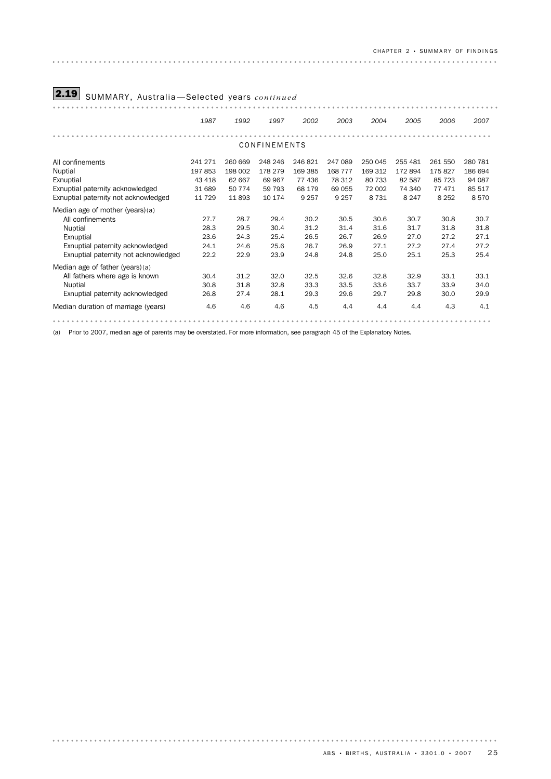# CH A P T E R 2 • SU M M A R Y OF FI N D I N G S

| 2.19<br>SUMMARY, Australia-Selected years continued                                                                                                            |                                                  |                                                 |                                                  |                                                  |                                                   |                                                   |                                                   |                                                  |                                                |  |  |  |
|----------------------------------------------------------------------------------------------------------------------------------------------------------------|--------------------------------------------------|-------------------------------------------------|--------------------------------------------------|--------------------------------------------------|---------------------------------------------------|---------------------------------------------------|---------------------------------------------------|--------------------------------------------------|------------------------------------------------|--|--|--|
|                                                                                                                                                                | 1987                                             | 1992                                            | 1997                                             | 2002                                             | 2003                                              | 2004                                              | 2005                                              | 2006                                             | 2007                                           |  |  |  |
| CONFINEMENTS                                                                                                                                                   |                                                  |                                                 |                                                  |                                                  |                                                   |                                                   |                                                   |                                                  |                                                |  |  |  |
| All confinements<br>Nuptial<br>Exnuptial<br>Exnuptial paternity acknowledged<br>Exnuptial paternity not acknowledged                                           | 241 271<br>197 853<br>43 418<br>31 689<br>11 729 | 260 669<br>198 002<br>62 667<br>50 774<br>11893 | 248 246<br>178 279<br>69 967<br>59 793<br>10 174 | 246821<br>169 385<br>77 436<br>68 179<br>9 2 5 7 | 247 089<br>168 777<br>78 312<br>69 055<br>9 2 5 7 | 250 045<br>169 312<br>80 733<br>72 002<br>8 7 3 1 | 255 481<br>172 894<br>82 587<br>74 340<br>8 2 4 7 | 261 550<br>175827<br>85 7 23<br>77471<br>8 2 5 2 | 280 781<br>186 694<br>94 087<br>85 517<br>8570 |  |  |  |
| Median age of mother (years)(a)<br>All confinements<br><b>Nuptial</b><br>Exnuptial<br>Exnuptial paternity acknowledged<br>Exnuptial paternity not acknowledged | 27.7<br>28.3<br>23.6<br>24.1<br>22.2             | 28.7<br>29.5<br>24.3<br>24.6<br>22.9            | 29.4<br>30.4<br>25.4<br>25.6<br>23.9             | 30.2<br>31.2<br>26.5<br>26.7<br>24.8             | 30.5<br>31.4<br>26.7<br>26.9<br>24.8              | 30.6<br>31.6<br>26.9<br>27.1<br>25.0              | 30.7<br>31.7<br>27.0<br>27.2<br>25.1              | 30.8<br>31.8<br>27.2<br>27.4<br>25.3             | 30.7<br>31.8<br>27.1<br>27.2<br>25.4           |  |  |  |
| Median age of father (years)(a)<br>All fathers where age is known<br><b>Nuptial</b><br>Exnuptial paternity acknowledged                                        | 30.4<br>30.8<br>26.8                             | 31.2<br>31.8<br>27.4                            | 32.0<br>32.8<br>28.1                             | 32.5<br>33.3<br>29.3                             | 32.6<br>33.5<br>29.6                              | 32.8<br>33.6<br>29.7                              | 32.9<br>33.7<br>29.8                              | 33.1<br>33.9<br>30.0                             | 33.1<br>34.0<br>29.9                           |  |  |  |
| Median duration of marriage (years)                                                                                                                            | 4.6                                              | 4.6                                             | 4.6                                              | 4.5                                              | 4.4                                               | 4.4                                               | 4.4                                               | 4.3                                              | 4.1                                            |  |  |  |

(a) Prior to 2007, median age of parents may be overstated. For more information, see paragraph 45 of the Explanatory Notes.

# $ABS \cdot BIRTHS$ , AUSTRALIA  $\cdot$  3301.0  $\cdot$  2007 25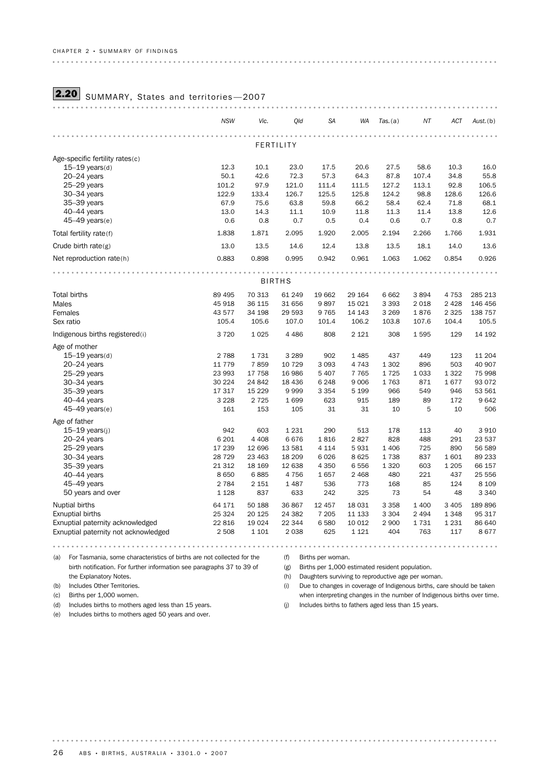# **2.20** SUMMARY, States and territories-2007

|                                      | <b>NSW</b>      | Vic.            | Qld             | <b>SA</b>      | WA             | Tas. (a)       | ΝT            | <b>ACT</b>    | Aust.(b)          |
|--------------------------------------|-----------------|-----------------|-----------------|----------------|----------------|----------------|---------------|---------------|-------------------|
|                                      |                 |                 | FERTILITY       |                |                |                |               |               |                   |
| Age-specific fertility rates(c)      |                 |                 |                 |                |                |                |               |               |                   |
| $15-19$ years(d)                     | 12.3            | 10.1            | 23.0            | 17.5           | 20.6           | 27.5           | 58.6          | 10.3          | 16.0              |
| $20 - 24$ years                      | 50.1            | 42.6            | 72.3            | 57.3           | 64.3           | 87.8           | 107.4         | 34.8          | 55.8              |
| 25-29 years<br>30-34 years           | 101.2<br>122.9  | 97.9<br>133.4   | 121.0<br>126.7  | 111.4<br>125.5 | 111.5<br>125.8 | 127.2<br>124.2 | 113.1<br>98.8 | 92.8<br>128.6 | 106.5<br>126.6    |
| 35-39 years                          | 67.9            | 75.6            | 63.8            | 59.8           | 66.2           | 58.4           | 62.4          | 71.8          | 68.1              |
| $40-44$ years                        | 13.0            | 14.3            | 11.1            | 10.9           | 11.8           | 11.3           | 11.4          | 13.8          | 12.6              |
| $45-49$ years(e)                     | 0.6             | 0.8             | 0.7             | 0.5            | 0.4            | 0.6            | 0.7           | 0.8           | 0.7               |
| Total fertility rate(f)              | 1.838           | 1.871           | 2.095           | 1.920          | 2.005          | 2.194          | 2.266         | 1.766         | 1.931             |
| Crude birth $rate(g)$                | 13.0            | 13.5            | 14.6            | 12.4           | 13.8           | 13.5           | 18.1          | 14.0          | 13.6              |
| Net reproduction rate(h)             | 0.883           | 0.898           | 0.995           | 0.942          | 0.961          | 1.063          | 1.062         | 0.854         | 0.926             |
|                                      |                 |                 |                 |                |                |                |               |               |                   |
|                                      |                 |                 | <b>BIRTHS</b>   |                |                |                |               |               |                   |
| Total births                         | 89 4 95         | 70 313          | 61 249          | 19 662         | 29 164         | 6662           | 3894          | 4 7 5 3       | 285 213           |
| Males                                | 45 918          | 36 115          | 31 656          | 9897           | 15 0 21        | 3 3 9 3        | 2 0 18        | 2 4 2 8       | 146 456           |
| Females                              | 43 577          | 34 198          | 29 5 93         | 9765           | 14 143         | 3 2 6 9        | 1876          | 2 3 2 5       | 138 757           |
| Sex ratio                            | 105.4           | 105.6           | 107.0           | 101.4          | 106.2          | 103.8          | 107.6         | 104.4         | 105.5             |
| Indigenous births registered(i)      | 3720            | 1025            | 4 4 8 6         | 808            | 2 1 2 1        | 308            | 1595          | 129           | 14 192            |
| Age of mother                        |                 |                 |                 |                |                |                |               |               |                   |
| $15-19$ years(d)                     | 2 7 8 8         | 1731            | 3 2 8 9         | 902            | 1 4 8 5        | 437            | 449           | 123           | 11 204            |
| $20 - 24$ years                      | 11 779          | 7859            | 10 7 29         | 3 0 9 3        | 4743           | 1 3 0 2        | 896           | 503           | 40 907            |
| 25-29 years                          | 23 993          | 17 758          | 16 986          | 5 4 0 7        | 7765           | 1725           | 1 0 3 3       | 1 3 2 2       | 75 998            |
| $30 - 34$ years                      | 30 224          | 24 842          | 18 4 36         | 6 2 4 8        | 9006           | 1763           | 871           | 1677          | 93 0 72           |
| 35-39 years                          | 17 317          | 15 2 29         | 9999            | 3 3 5 4        | 5 1 9 9        | 966            | 549           | 946           | 53 561            |
| $40-44$ years                        | 3 2 2 8         | 2 7 2 5         | 1699            | 623            | 915            | 189            | 89            | 172           | 9642              |
| 45-49 years(e)                       | 161             | 153             | 105             | 31             | 31             | 10             | 5             | 10            | 506               |
| Age of father                        |                 |                 |                 |                |                |                |               |               |                   |
| $15-19$ years(j)                     | 942             | 603             | 1 2 3 1         | 290            | 513            | 178            | 113           | 40            | 3910              |
| $20 - 24$ years                      | 6 2 0 1         | 4 4 0 8         | 6676            | 1816           | 2827           | 828            | 488           | 291           | 23 537            |
| 25-29 years                          | 17 239          | 12 696          | 13 5 8 1        | 4 1 1 4        | 5931           | 1 4 0 6        | 725           | 890           | 56 589            |
| $30 - 34$ years                      | 28 7 29         | 23 463          | 18 20 9         | 6026           | 8625           | 1738           | 837           | 1601          | 89 233            |
| 35-39 years                          | 21 312          | 18 16 9         | 12 638          | 4 3 5 0        | 6556           | 1 3 2 0        | 603           | 1 2 0 5       | 66 157            |
| $40-44$ years<br>45-49 years         | 8650<br>2 7 8 4 | 6885<br>2 1 5 1 | 4756<br>1 4 8 7 | 1657<br>536    | 2 4 6 8<br>773 | 480<br>168     | 221<br>85     | 437<br>124    | 25 556<br>8 1 0 9 |
| 50 years and over                    | 1 1 2 8         | 837             | 633             | 242            | 325            | 73             | 54            | 48            | 3 3 4 0           |
|                                      |                 |                 |                 |                |                |                |               |               |                   |
| Nuptial births                       | 64 171          | 50 188          | 36 867          | 12 457         | 18 0 31        | 3 3 5 8        | 1 400         | 3 4 0 5       | 189 896           |
| <b>Exnuptial births</b>              | 25 3 24         | 20 1 25         | 24 3 82         | 7 2 0 5        | 11 133         | 3 3 0 4        | 2 4 9 4       | 1 3 4 8       | 95 317            |
| Exnuptial paternity acknowledged     | 22 816          | 19 0 24         | 22 344          | 6580           | 10 0 12        | 2 9 0 0<br>404 | 1731          | 1 2 3 1       | 86 640            |
| Exnuptial paternity not acknowledged | 2 5 0 8         | 1 1 0 1         | 2 0 3 8         | 625            | 1 1 2 1        |                | 763           | 117           | 8677              |

(a) For Tasmania, some characteristics of births are not collected for the (f) Births per woman. birth notification. For further information see paragraphs 37 to 39 of

(g) Births per 1,000 estimated resident population.

(h) Daughters surviving to reproductive age per woman.

(i) Due to changes in coverage of Indigenous births, care should be taken when interpreting changes in the number of Indigenous births over time.

(d) Includes births to mothers aged less than 15 years.

the Explanatory Notes. (b) Includes Other Territories. (c) Births per 1,000 women.

. . . . . .

(e) Includes births to mothers aged 50 years and over.

(j) Includes births to fathers aged less than 15 years.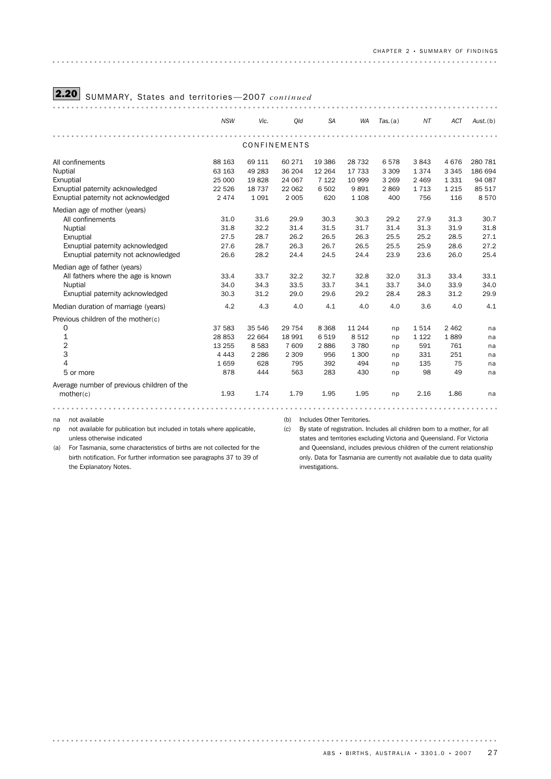# 2.20 SUMMARY, States and territories —2007 *continued*

|                                            | <b>NSW</b> | Vic.    | Old          | <b>SA</b> | <b>WA</b> | Tas. (a) | NT      | <b>ACT</b> | $Aust.$ (b) |
|--------------------------------------------|------------|---------|--------------|-----------|-----------|----------|---------|------------|-------------|
|                                            |            |         |              |           |           |          |         |            |             |
|                                            |            |         | CONFINEMENTS |           |           |          |         |            |             |
| All confinements                           | 88 163     | 69 111  | 60 271       | 19 3 86   | 28 7 32   | 6578     | 3843    | 4676       | 280 781     |
| Nuptial                                    | 63 163     | 49 283  | 36 204       | 12 2 64   | 17 733    | 3 3 0 9  | 1374    | 3 3 4 5    | 186 694     |
| Exnuptial                                  | 25 000     | 19828   | 24 067       | 7 1 2 2   | 10 999    | 3 2 6 9  | 2 4 6 9 | 1331       | 94 087      |
| Exnuptial paternity acknowledged           | 22 5 26    | 18 7 37 | 22 062       | 6 5 0 2   | 9891      | 2869     | 1713    | 1 2 1 5    | 85 517      |
| Exnuptial paternity not acknowledged       | 2 4 7 4    | 1 0 9 1 | 2 0 0 5      | 620       | 1 1 0 8   | 400      | 756     | 116        | 8570        |
| Median age of mother (years)               |            |         |              |           |           |          |         |            |             |
| All confinements                           | 31.0       | 31.6    | 29.9         | 30.3      | 30.3      | 29.2     | 27.9    | 31.3       | 30.7        |
| Nuptial                                    | 31.8       | 32.2    | 31.4         | 31.5      | 31.7      | 31.4     | 31.3    | 31.9       | 31.8        |
| Exnuptial                                  | 27.5       | 28.7    | 26.2         | 26.5      | 26.3      | 25.5     | 25.2    | 28.5       | 27.1        |
| Exnuptial paternity acknowledged           | 27.6       | 28.7    | 26.3         | 26.7      | 26.5      | 25.5     | 25.9    | 28.6       | 27.2        |
| Exnuptial paternity not acknowledged       | 26.6       | 28.2    | 24.4         | 24.5      | 24.4      | 23.9     | 23.6    | 26.0       | 25.4        |
| Median age of father (years)               |            |         |              |           |           |          |         |            |             |
| All fathers where the age is known         | 33.4       | 33.7    | 32.2         | 32.7      | 32.8      | 32.0     | 31.3    | 33.4       | 33.1        |
| Nuptial                                    | 34.0       | 34.3    | 33.5         | 33.7      | 34.1      | 33.7     | 34.0    | 33.9       | 34.0        |
| Exnuptial paternity acknowledged           | 30.3       | 31.2    | 29.0         | 29.6      | 29.2      | 28.4     | 28.3    | 31.2       | 29.9        |
| Median duration of marriage (years)        | 4.2        | 4.3     | 4.0          | 4.1       | 4.0       | 4.0      | 3.6     | 4.0        | 4.1         |
| Previous children of the mother(c)         |            |         |              |           |           |          |         |            |             |
| 0                                          | 37 583     | 35 546  | 29 7 54      | 8 3 6 8   | 11 2 4 4  | np       | 1514    | 2 4 6 2    | na          |
| 1                                          | 28 853     | 22 664  | 18 991       | 6519      | 8512      | np       | 1 1 2 2 | 1889       | na          |
| $\overline{2}$                             | 13 255     | 8 5 8 3 | 7 609        | 2886      | 3780      | np       | 591     | 761        | na          |
| 3                                          | 4 4 4 3    | 2 2 8 6 | 2 3 0 9      | 956       | 1 300     | np       | 331     | 251        | na          |
| 4                                          | 1659       | 628     | 795          | 392       | 494       | np       | 135     | 75         | na          |
| 5 or more                                  | 878        | 444     | 563          | 283       | 430       | np       | 98      | 49         | na          |
| Average number of previous children of the |            |         |              |           |           |          |         |            |             |
| mother(c)                                  | 1.93       | 1.74    | 1.79         | 1.95      | 1.95      | np       | 2.16    | 1.86       | na          |
|                                            |            |         |              |           |           |          |         |            |             |
|                                            |            |         |              |           |           |          |         |            |             |

na not available

np not available for publication but included in totals where applicable, unless otherwise indicated

(a) For Tasmania, some characteristics of births are not collected for the birth notification. For further information see paragraphs 37 to 39 of the Explanatory Notes.

(b) Includes Other Territories.

(c) By state of registration. Includes all children born to a mother, for all states and territories excluding Victoria and Queensland. For Victoria and Queensland, includes previous children of the current relationship only. Data for Tasmania are currently not available due to data quality investigations.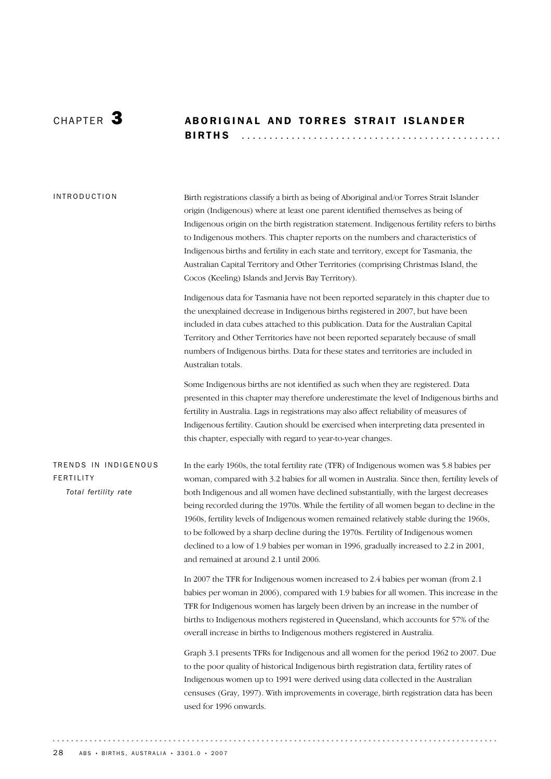# CHAPTER 3 ABORIGINAL AND TORRES STRAIT ISLANDER BIRTHS .............................................. .

Birth registrations classify a birth as being of Aboriginal and/or Torres Strait Islander origin (Indigenous) where at least one parent identified themselves as being of Indigenous origin on the birth registration statement. Indigenous fertility refers to births to Indigenous mothers. This chapter reports on the numbers and characteristics of Indigenous births and fertility in each state and territory, except for Tasmania, the Australian Capital Territory and Other Territories (comprising Christmas Island, the Cocos (Keeling) Islands and Jervis Bay Territory). INTRODUCTION

> Indigenous data for Tasmania have not been reported separately in this chapter due to the unexplained decrease in Indigenous births registered in 2007, but have been included in data cubes attached to this publication. Data for the Australian Capital Territory and Other Territories have not been reported separately because of small numbers of Indigenous births. Data for these states and territories are included in Australian totals.

Some Indigenous births are not identified as such when they are registered. Data presented in this chapter may therefore underestimate the level of Indigenous births and fertility in Australia. Lags in registrations may also affect reliability of measures of Indigenous fertility. Caution should be exercised when interpreting data presented in this chapter, especially with regard to year-to-year changes.

TRENDS IN INDIGENOUS FERTILITY *Total fertility rate*

In the early 1960s, the total fertility rate (TFR) of Indigenous women was 5.8 babies per woman, compared with 3.2 babies for all women in Australia. Since then, fertility levels of both Indigenous and all women have declined substantially, with the largest decreases being recorded during the 1970s. While the fertility of all women began to decline in the 1960s, fertility levels of Indigenous women remained relatively stable during the 1960s, to be followed by a sharp decline during the 1970s. Fertility of Indigenous women declined to a low of 1.9 babies per woman in 1996, gradually increased to 2.2 in 2001, and remained at around 2.1 until 2006.

In 2007 the TFR for Indigenous women increased to 2.4 babies per woman (from 2.1 babies per woman in 2006), compared with 1.9 babies for all women. This increase in the TFR for Indigenous women has largely been driven by an increase in the number of births to Indigenous mothers registered in Queensland, which accounts for 57% of the overall increase in births to Indigenous mothers registered in Australia.

Graph 3.1 presents TFRs for Indigenous and all women for the period 1962 to 2007. Due to the poor quality of historical Indigenous birth registration data, fertility rates of Indigenous women up to 1991 were derived using data collected in the Australian censuses (Gray, 1997). With improvements in coverage, birth registration data has been used for 1996 onwards.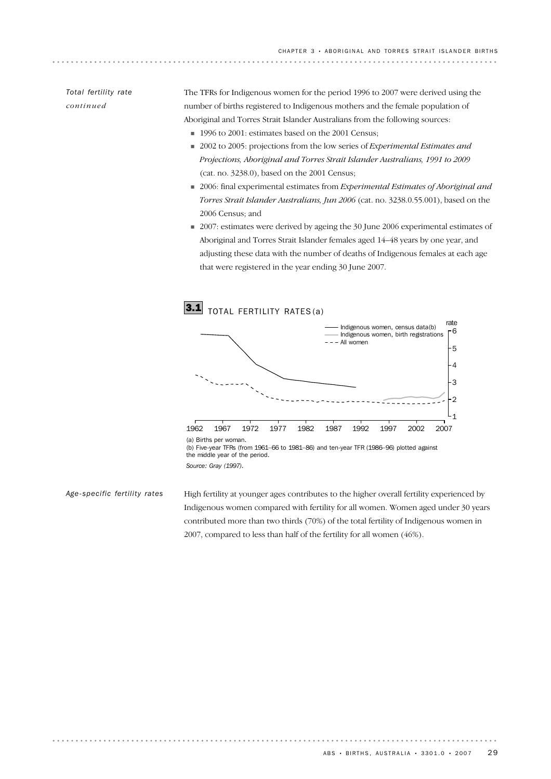# *Total fertility rate continued*

The TFRs for Indigenous women for the period 1996 to 2007 were derived using the number of births registered to Indigenous mothers and the female population of Aboriginal and Torres Strait Islander Australians from the following sources:

- 1996 to 2001: estimates based on the 2001 Census;
- ! 2002 to 2005: projections from the low series of *Experimental Estimates and Projections, Aboriginal and Torres Strait Islander Australians, 1991 to 2009* (cat. no. 3238.0), based on the 2001 Census;
- ! 2006: final experimental estimates from *Experimental Estimates of Aboriginal and Torres Strait Islander Australians, Jun 2006* (cat. no. 3238.0.55.001), based on the 2006 Census; and
- 2007: estimates were derived by ageing the 30 June 2006 experimental estimates of Aboriginal and Torres Strait Islander females aged 14–48 years by one year, and adjusting these data with the number of deaths of Indigenous females at each age that were registered in the year ending 30 June 2007.



(b) Five-year TFRs (from 1961–66 to 1981–86) and ten-year TFR (1986–96) plotted against the middle year of the period.

*Source: Gray (1997).*

High fertility at younger ages contributes to the higher overall fertility experienced by Indigenous women compared with fertility for all women. Women aged under 30 years contributed more than two thirds (70%) of the total fertility of Indigenous women in 2007, compared to less than half of the fertility for all women (46%). *Age-specific fertility rates*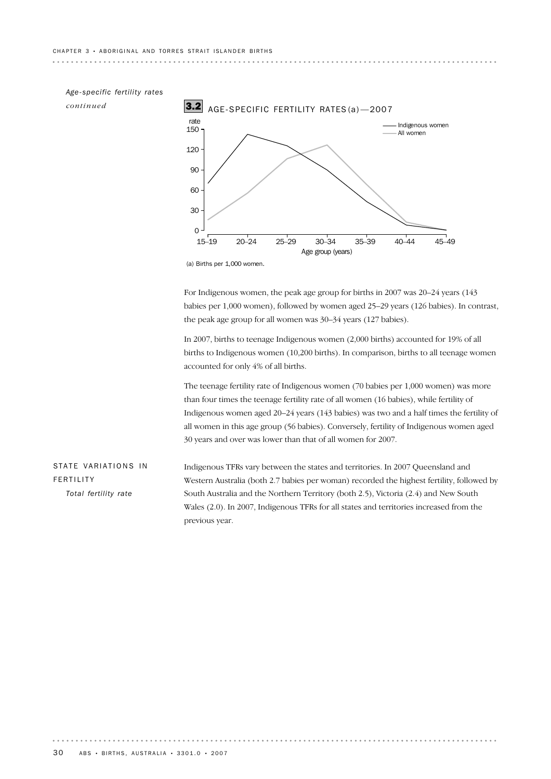

(a) Births per 1,000 women.

For Indigenous women, the peak age group for births in 2007 was 20–24 years (143 babies per 1,000 women), followed by women aged 25–29 years (126 babies). In contrast, the peak age group for all women was 30–34 years (127 babies).

In 2007, births to teenage Indigenous women (2,000 births) accounted for 19% of all births to Indigenous women (10,200 births). In comparison, births to all teenage women accounted for only 4% of all births.

The teenage fertility rate of Indigenous women (70 babies per 1,000 women) was more than four times the teenage fertility rate of all women (16 babies), while fertility of Indigenous women aged 20–24 years (143 babies) was two and a half times the fertility of all women in this age group (56 babies). Conversely, fertility of Indigenous women aged 30 years and over was lower than that of all women for 2007.

Indigenous TFRs vary between the states and territories. In 2007 Queensland and Western Australia (both 2.7 babies per woman) recorded the highest fertility, followed by South Australia and the Northern Territory (both 2.5), Victoria (2.4) and New South Wales (2.0). In 2007, Indigenous TFRs for all states and territories increased from the previous year. STATE VARIATIONS IN FERTILITY *Total fertility rate*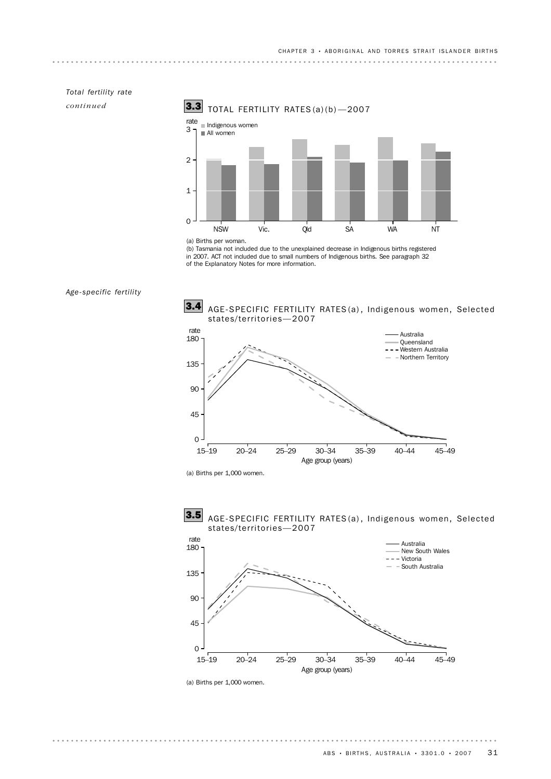# *Total fertility rate*

*continued*



<sup>(</sup>a) Births per woman.

(b) Tasmania not included due to the unexplained decrease in Indigenous births registered in 2007. ACT not included due to small numbers of Indigenous births. See paragraph 32 of the Explanatory Notes for more information.



. . . . . . . . . .



Age group (years)

(a) Births per 1,000 women.



AGE-SPECIFIC FERTILITY RATES (a) , Indigenous women, Selected

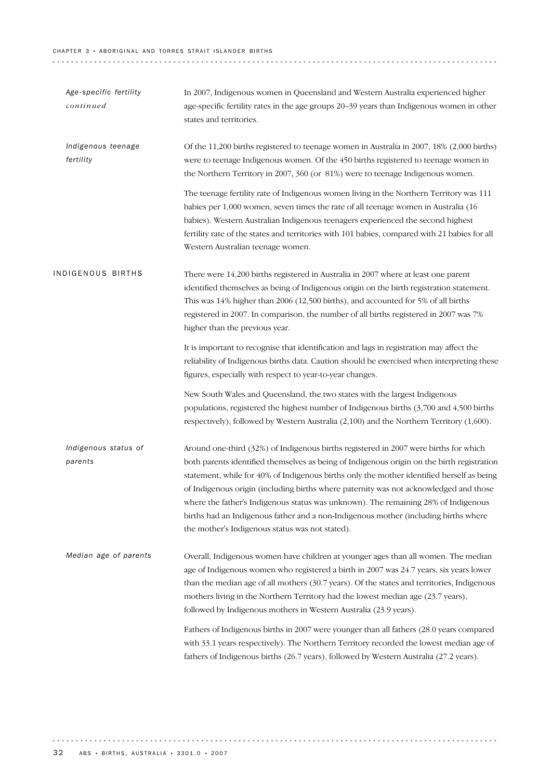#### CHAPTER 3 • ABORIGINAL AND TORRES STRAIT ISLANDER BIRTHS

| Age-specific fertility<br>continued | In 2007, Indigenous women in Queensland and Western Australia experienced higher<br>age-specific fertility rates in the age groups 20–39 years than Indigenous women in other<br>states and territories.                                                                                                                                                                                                                                                                                                                                                                                                 |
|-------------------------------------|----------------------------------------------------------------------------------------------------------------------------------------------------------------------------------------------------------------------------------------------------------------------------------------------------------------------------------------------------------------------------------------------------------------------------------------------------------------------------------------------------------------------------------------------------------------------------------------------------------|
| Indigenous teenage<br>fertility     | Of the 11,200 births registered to teenage women in Australia in 2007, 18% (2,000 births)<br>were to teenage Indigenous women. Of the 450 births registered to teenage women in<br>the Northern Territory in 2007, 360 (or 81%) were to teenage Indigenous women.                                                                                                                                                                                                                                                                                                                                        |
|                                     | The teenage fertility rate of Indigenous women living in the Northern Territory was 111<br>babies per 1,000 women, seven times the rate of all teenage women in Australia (16)<br>babies). Western Australian Indigenous teenagers experienced the second highest<br>fertility rate of the states and territories with 101 babies, compared with 21 babies for all<br>Western Australian teenage women.                                                                                                                                                                                                  |
| INDIGENOUS BIRTHS                   | There were 14,200 births registered in Australia in 2007 where at least one parent<br>identified themselves as being of Indigenous origin on the birth registration statement.<br>This was 14% higher than 2006 (12,500 births), and accounted for 5% of all births<br>registered in 2007. In comparison, the number of all births registered in 2007 was 7%<br>higher than the previous year.                                                                                                                                                                                                           |
|                                     | It is important to recognise that identification and lags in registration may affect the<br>reliability of Indigenous births data. Caution should be exercised when interpreting these<br>figures, especially with respect to year-to-year changes.                                                                                                                                                                                                                                                                                                                                                      |
|                                     | New South Wales and Queensland, the two states with the largest Indigenous<br>populations, registered the highest number of Indigenous births (3,700 and 4,500 births<br>respectively), followed by Western Australia (2,100) and the Northern Territory (1,600).                                                                                                                                                                                                                                                                                                                                        |
| Indigenous status of<br>parents     | Around one-third (32%) of Indigenous births registered in 2007 were births for which<br>both parents identified themselves as being of Indigenous origin on the birth registration<br>statement, while for 40% of Indigenous births only the mother identified herself as being<br>of Indigenous origin (including births where paternity was not acknowledged and those<br>where the father's Indigenous status was unknown). The remaining 28% of Indigenous<br>births had an Indigenous father and a non-Indigenous mother (including births where<br>the mother's Indigenous status was not stated). |
| Median age of parents               | Overall, Indigenous women have children at younger ages than all women. The median<br>age of Indigenous women who registered a birth in 2007 was 24.7 years, six years lower<br>than the median age of all mothers (30.7 years). Of the states and territories, Indigenous<br>mothers living in the Northern Territory had the lowest median age (23.7 years),<br>followed by Indigenous mothers in Western Australia (23.9 years).                                                                                                                                                                      |
|                                     | Fathers of Indigenous births in 2007 were younger than all fathers (28.0 years compared<br>with 33.1 years respectively). The Northern Territory recorded the lowest median age of<br>fathers of Indigenous births (26.7 years), followed by Western Australia (27.2 years).                                                                                                                                                                                                                                                                                                                             |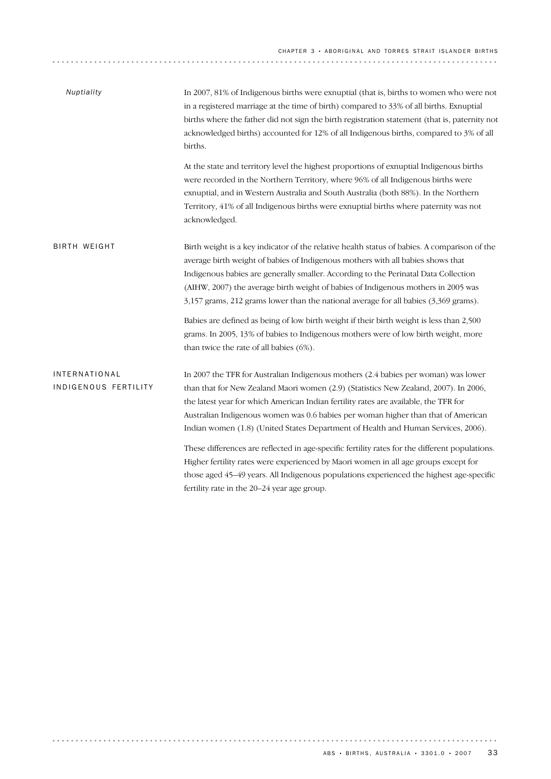| Nuptiality                                   | In 2007, 81% of Indigenous births were exnuptial (that is, births to women who were not<br>in a registered marriage at the time of birth) compared to 33% of all births. Exnuptial<br>births where the father did not sign the birth registration statement (that is, paternity not<br>acknowledged births) accounted for 12% of all Indigenous births, compared to 3% of all<br>births.                                                                                                                                                                                                                                                                                                                                                                                        |  |  |  |  |  |
|----------------------------------------------|---------------------------------------------------------------------------------------------------------------------------------------------------------------------------------------------------------------------------------------------------------------------------------------------------------------------------------------------------------------------------------------------------------------------------------------------------------------------------------------------------------------------------------------------------------------------------------------------------------------------------------------------------------------------------------------------------------------------------------------------------------------------------------|--|--|--|--|--|
|                                              | At the state and territory level the highest proportions of exnuptial Indigenous births<br>were recorded in the Northern Territory, where 96% of all Indigenous births were<br>exnuptial, and in Western Australia and South Australia (both 88%). In the Northern<br>Territory, 41% of all Indigenous births were exnuptial births where paternity was not<br>acknowledged.                                                                                                                                                                                                                                                                                                                                                                                                    |  |  |  |  |  |
| BIRTH WEIGHT                                 | Birth weight is a key indicator of the relative health status of babies. A comparison of the<br>average birth weight of babies of Indigenous mothers with all babies shows that<br>Indigenous babies are generally smaller. According to the Perinatal Data Collection<br>(AIHW, 2007) the average birth weight of babies of Indigenous mothers in 2005 was<br>3,157 grams, 212 grams lower than the national average for all babies (3,369 grams).<br>Babies are defined as being of low birth weight if their birth weight is less than 2,500<br>grams. In 2005, 13% of babies to Indigenous mothers were of low birth weight, more<br>than twice the rate of all babies (6%).                                                                                                |  |  |  |  |  |
| <b>INTERNATIONAL</b><br>INDIGENOUS FERTILITY | In 2007 the TFR for Australian Indigenous mothers (2.4 babies per woman) was lower<br>than that for New Zealand Maori women (2.9) (Statistics New Zealand, 2007). In 2006,<br>the latest year for which American Indian fertility rates are available, the TFR for<br>Australian Indigenous women was 0.6 babies per woman higher than that of American<br>Indian women (1.8) (United States Department of Health and Human Services, 2006).<br>These differences are reflected in age-specific fertility rates for the different populations.<br>Higher fertility rates were experienced by Maori women in all age groups except for<br>those aged 45–49 years. All Indigenous populations experienced the highest age-specific<br>fertility rate in the 20-24 year age group. |  |  |  |  |  |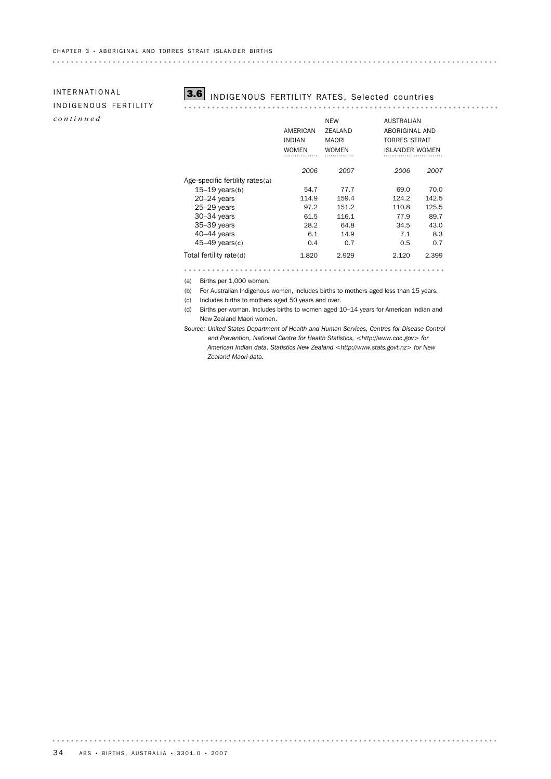# INDIGENOUS FERTILITY *continued*



# INTERNATIONAL **3.6** INDIGENOUS FERTILITY RATES, Selected countries

. . . . . . . . . .

|                                 | AMERICAN<br><b>INDIAN</b> | <b>NEW</b><br>ZEALAND<br><b>MAORI</b> | <b>AUSTRALIAN</b><br>ABORIGINAL AND<br>TORRES STRAIT |  |
|---------------------------------|---------------------------|---------------------------------------|------------------------------------------------------|--|
|                                 | <b>WOMEN</b>              | <b>WOMEN</b>                          | <b>ISLANDER WOMEN</b>                                |  |
|                                 | 2006                      | 2007                                  | 2006<br>2007                                         |  |
| Age-specific fertility rates(a) |                           |                                       |                                                      |  |
| $15-19$ years(b)                | 54.7                      | 77.7                                  | 70.0<br>69.0                                         |  |
| $20 - 24$ years                 | 114.9                     | 159.4                                 | 124.2<br>142.5                                       |  |
| $25-29$ years                   | 97.2                      | 151.2                                 | 110.8<br>125.5                                       |  |
| $30 - 34$ years                 | 61.5                      | 116.1                                 | 77.9<br>89.7                                         |  |
| $35 - 39$ years                 | 28.2                      | 64.8                                  | 34.5<br>43.0                                         |  |
| $40-44$ years                   | 6.1                       | 14.9                                  | 7.1<br>8.3                                           |  |
| $45-49$ vears(c)                | 0.4                       | 0.7                                   | 0.7<br>0.5                                           |  |
| Total fertility rate(d)         | 1.820                     | 2.929                                 | 2.120<br>2.399                                       |  |
|                                 |                           |                                       |                                                      |  |

(a) Births per 1,000 women.

(b) For Australian Indigenous women, includes births to mothers aged less than 15 years.

(c) Includes births to mothers aged 50 years and over.

(d) Births per woman. Includes births to women aged 10–14 years for American Indian and New Zealand Maori women.

*Source: United States Department of Health and Human Services, Centres for Disease Control and Prevention, National Centre for Health Statistics, <http://www.cdc.gov> for American Indian data. Statistics New Zealand <http://www.stats.govt.nz> for New Zealand Maori data.*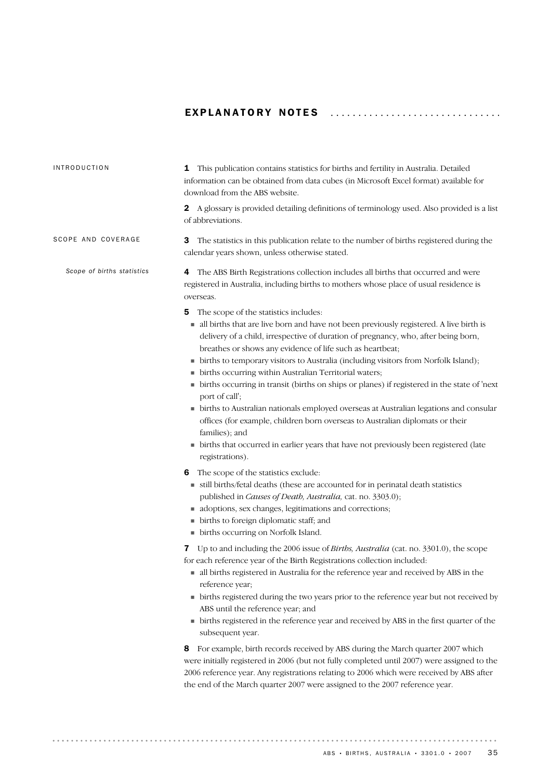### EXPLANATORY NOTES .................................

| <b>INTRODUCTION</b>        | 1 This publication contains statistics for births and fertility in Australia. Detailed<br>information can be obtained from data cubes (in Microsoft Excel format) available for<br>download from the ABS website.                                                                                                                                                                                                                                                                                                                                                                                                                                                                                                                                                                                                                                                          |
|----------------------------|----------------------------------------------------------------------------------------------------------------------------------------------------------------------------------------------------------------------------------------------------------------------------------------------------------------------------------------------------------------------------------------------------------------------------------------------------------------------------------------------------------------------------------------------------------------------------------------------------------------------------------------------------------------------------------------------------------------------------------------------------------------------------------------------------------------------------------------------------------------------------|
|                            | 2 A glossary is provided detailing definitions of terminology used. Also provided is a list<br>of abbreviations.                                                                                                                                                                                                                                                                                                                                                                                                                                                                                                                                                                                                                                                                                                                                                           |
| SCOPE AND COVERAGE         | The statistics in this publication relate to the number of births registered during the<br>3<br>calendar years shown, unless otherwise stated.                                                                                                                                                                                                                                                                                                                                                                                                                                                                                                                                                                                                                                                                                                                             |
| Scope of births statistics | The ABS Birth Registrations collection includes all births that occurred and were<br>4<br>registered in Australia, including births to mothers whose place of usual residence is<br>overseas.                                                                                                                                                                                                                                                                                                                                                                                                                                                                                                                                                                                                                                                                              |
|                            | The scope of the statistics includes:<br>5<br>all births that are live born and have not been previously registered. A live birth is<br>delivery of a child, irrespective of duration of pregnancy, who, after being born,<br>breathes or shows any evidence of life such as heartbeat;<br>• births to temporary visitors to Australia (including visitors from Norfolk Island);<br>• births occurring within Australian Territorial waters;<br>• births occurring in transit (births on ships or planes) if registered in the state of 'next<br>port of call';<br>• births to Australian nationals employed overseas at Australian legations and consular<br>offices (for example, children born overseas to Australian diplomats or their<br>families); and<br>• births that occurred in earlier years that have not previously been registered (late<br>registrations). |
|                            | The scope of the statistics exclude:<br>6<br>still births/fetal deaths (these are accounted for in perinatal death statistics<br>published in Causes of Death, Australia, cat. no. 3303.0);<br>adoptions, sex changes, legitimations and corrections;<br>• births to foreign diplomatic staff; and<br>• births occurring on Norfolk Island.                                                                                                                                                                                                                                                                                                                                                                                                                                                                                                                                |
|                            | Up to and including the 2006 issue of Births, Australia (cat. no. 3301.0), the scope<br>7<br>for each reference year of the Birth Registrations collection included:<br>all births registered in Australia for the reference year and received by ABS in the<br>reference year;<br>• births registered during the two years prior to the reference year but not received by<br>ABS until the reference year; and<br>• births registered in the reference year and received by ABS in the first quarter of the<br>subsequent year.                                                                                                                                                                                                                                                                                                                                          |
|                            | For example, birth records received by ABS during the March quarter 2007 which<br>8<br>were initially registered in 2006 (but not fully completed until 2007) were assigned to the<br>2006 reference year. Any registrations relating to 2006 which were received by ABS after<br>the end of the March quarter 2007 were assigned to the 2007 reference year.                                                                                                                                                                                                                                                                                                                                                                                                                                                                                                              |

. . . . . . . . . . . .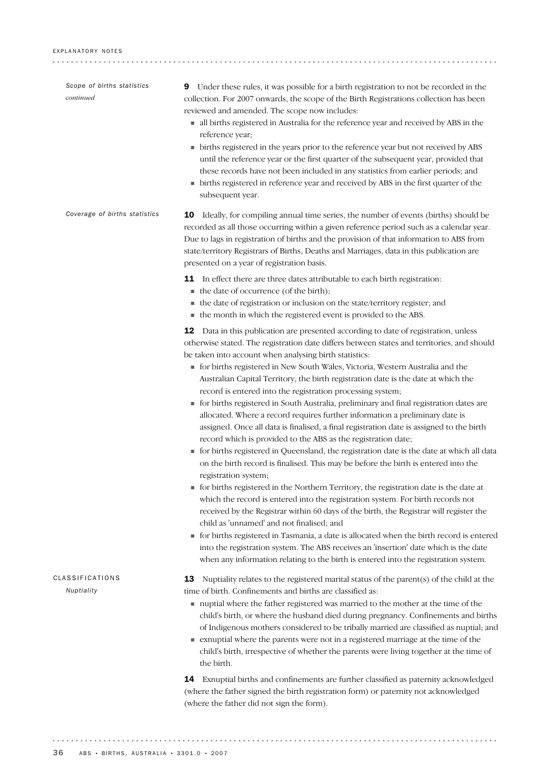| Scope of births statistics<br>continued | <b>9</b> Under these rules, it was possible for a birth registration to not be recorded in the<br>collection. For 2007 onwards, the scope of the Birth Registrations collection has been<br>reviewed and amended. The scope now includes:<br>all births registered in Australia for the reference year and received by ABS in the<br>reference year;<br>• births registered in the years prior to the reference year but not received by ABS<br>until the reference year or the first quarter of the subsequent year, provided that<br>these records have not been included in any statistics from earlier periods; and<br>• births registered in reference year and received by ABS in the first quarter of the<br>subsequent year.                                                                                                                                                                                                                                                                                                                                                                                                                                                                                                                                                                                                                                                                                                                                                                                                                                                                                                     |
|-----------------------------------------|------------------------------------------------------------------------------------------------------------------------------------------------------------------------------------------------------------------------------------------------------------------------------------------------------------------------------------------------------------------------------------------------------------------------------------------------------------------------------------------------------------------------------------------------------------------------------------------------------------------------------------------------------------------------------------------------------------------------------------------------------------------------------------------------------------------------------------------------------------------------------------------------------------------------------------------------------------------------------------------------------------------------------------------------------------------------------------------------------------------------------------------------------------------------------------------------------------------------------------------------------------------------------------------------------------------------------------------------------------------------------------------------------------------------------------------------------------------------------------------------------------------------------------------------------------------------------------------------------------------------------------------|
| Coverage of births statistics           | Ideally, for compiling annual time series, the number of events (births) should be<br>10<br>recorded as all those occurring within a given reference period such as a calendar year.<br>Due to lags in registration of births and the provision of that information to ABS from<br>state/territory Registrars of Births, Deaths and Marriages, data in this publication are<br>presented on a year of registration basis.                                                                                                                                                                                                                                                                                                                                                                                                                                                                                                                                                                                                                                                                                                                                                                                                                                                                                                                                                                                                                                                                                                                                                                                                                |
|                                         | 11 In effect there are three dates attributable to each birth registration:<br>• the date of occurrence (of the birth);<br>• the date of registration or inclusion on the state/territory register; and<br>• the month in which the registered event is provided to the ABS.                                                                                                                                                                                                                                                                                                                                                                                                                                                                                                                                                                                                                                                                                                                                                                                                                                                                                                                                                                                                                                                                                                                                                                                                                                                                                                                                                             |
|                                         | 12 Data in this publication are presented according to date of registration, unless<br>otherwise stated. The registration date differs between states and territories, and should<br>be taken into account when analysing birth statistics:<br>• for births registered in New South Wales, Victoria, Western Australia and the<br>Australian Capital Territory, the birth registration date is the date at which the<br>record is entered into the registration processing system;<br>• for births registered in South Australia, preliminary and final registration dates are<br>allocated. Where a record requires further information a preliminary date is<br>assigned. Once all data is finalised, a final registration date is assigned to the birth<br>record which is provided to the ABS as the registration date;<br>• for births registered in Queensland, the registration date is the date at which all data<br>on the birth record is finalised. This may be before the birth is entered into the<br>registration system;<br>• for births registered in the Northern Territory, the registration date is the date at<br>which the record is entered into the registration system. For birth records not<br>received by the Registrar within 60 days of the birth, the Registrar will register the<br>child as 'unnamed' and not finalised; and<br>• for births registered in Tasmania, a date is allocated when the birth record is entered<br>into the registration system. The ABS receives an 'insertion' date which is the date<br>when any information relating to the birth is entered into the registration system. |
| CLASSIFICATIONS<br>Nuptiality           | Nuptiality relates to the registered marital status of the parent $(s)$ of the child at the<br>13<br>time of birth. Confinements and births are classified as:<br>nuptial where the father registered was married to the mother at the time of the<br>child's birth, or where the husband died during pregnancy. Confinements and births<br>of Indigenous mothers considered to be tribally married are classified as nuptial; and<br>• exnuptial where the parents were not in a registered marriage at the time of the<br>child's birth, irrespective of whether the parents were living together at the time of<br>the birth.                                                                                                                                                                                                                                                                                                                                                                                                                                                                                                                                                                                                                                                                                                                                                                                                                                                                                                                                                                                                         |
|                                         | 14 Exnuptial births and confinements are further classified as paternity acknowledged<br>(where the father signed the birth registration form) or paternity not acknowledged<br>(where the father did not sign the form).                                                                                                                                                                                                                                                                                                                                                                                                                                                                                                                                                                                                                                                                                                                                                                                                                                                                                                                                                                                                                                                                                                                                                                                                                                                                                                                                                                                                                |
|                                         |                                                                                                                                                                                                                                                                                                                                                                                                                                                                                                                                                                                                                                                                                                                                                                                                                                                                                                                                                                                                                                                                                                                                                                                                                                                                                                                                                                                                                                                                                                                                                                                                                                          |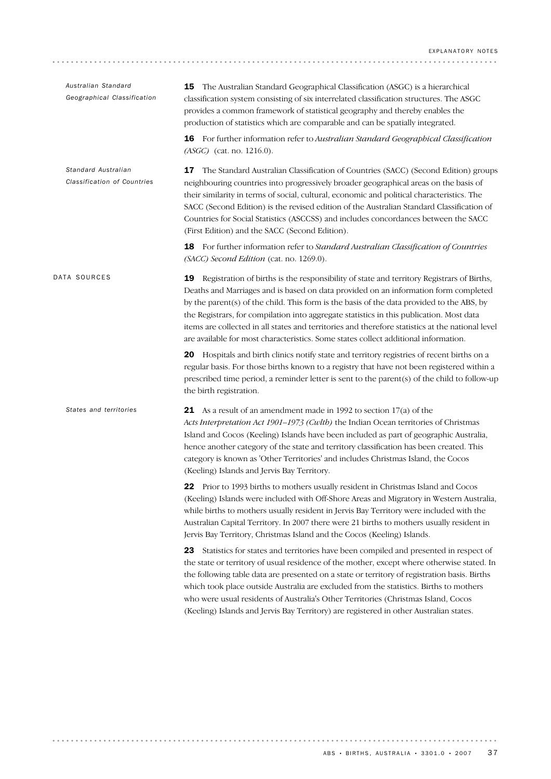| Australian Standard<br>Geographical Classification | 15 The Australian Standard Geographical Classification (ASGC) is a hierarchical<br>classification system consisting of six interrelated classification structures. The ASGC<br>provides a common framework of statistical geography and thereby enables the<br>production of statistics which are comparable and can be spatially integrated.                                                                                                                                                                                                                           |
|----------------------------------------------------|-------------------------------------------------------------------------------------------------------------------------------------------------------------------------------------------------------------------------------------------------------------------------------------------------------------------------------------------------------------------------------------------------------------------------------------------------------------------------------------------------------------------------------------------------------------------------|
|                                                    | <b>16</b> For further information refer to Australian Standard Geographical Classification<br>(ASGC) (cat. no. 1216.0).                                                                                                                                                                                                                                                                                                                                                                                                                                                 |
| Standard Australian<br>Classification of Countries | The Standard Australian Classification of Countries (SACC) (Second Edition) groups<br>17<br>neighbouring countries into progressively broader geographical areas on the basis of<br>their similarity in terms of social, cultural, economic and political characteristics. The<br>SACC (Second Edition) is the revised edition of the Australian Standard Classification of<br>Countries for Social Statistics (ASCCSS) and includes concordances between the SACC<br>(First Edition) and the SACC (Second Edition).                                                    |
|                                                    | <b>18</b> For further information refer to <i>Standard Australian Classification of Countries</i><br>(SACC) Second Edition (cat. no. 1269.0).                                                                                                                                                                                                                                                                                                                                                                                                                           |
| DATA SOURCES                                       | 19 Registration of births is the responsibility of state and territory Registrars of Births,<br>Deaths and Marriages and is based on data provided on an information form completed<br>by the parent(s) of the child. This form is the basis of the data provided to the ABS, by<br>the Registrars, for compilation into aggregate statistics in this publication. Most data<br>items are collected in all states and territories and therefore statistics at the national level<br>are available for most characteristics. Some states collect additional information. |
|                                                    | 20 Hospitals and birth clinics notify state and territory registries of recent births on a<br>regular basis. For those births known to a registry that have not been registered within a<br>prescribed time period, a reminder letter is sent to the parent(s) of the child to follow-up<br>the birth registration.                                                                                                                                                                                                                                                     |
| States and territories                             | 21 As a result of an amendment made in 1992 to section $17(a)$ of the<br>Acts Interpretation Act 1901-1973 (Cwlth) the Indian Ocean territories of Christmas<br>Island and Cocos (Keeling) Islands have been included as part of geographic Australia,<br>hence another category of the state and territory classification has been created. This<br>category is known as 'Other Territories' and includes Christmas Island, the Cocos<br>(Keeling) Islands and Jervis Bay Territory.                                                                                   |
|                                                    | 22 Prior to 1993 births to mothers usually resident in Christmas Island and Cocos<br>(Keeling) Islands were included with Off-Shore Areas and Migratory in Western Australia,<br>while births to mothers usually resident in Jervis Bay Territory were included with the<br>Australian Capital Territory. In 2007 there were 21 births to mothers usually resident in<br>Jervis Bay Territory, Christmas Island and the Cocos (Keeling) Islands.                                                                                                                        |
|                                                    | Statistics for states and territories have been compiled and presented in respect of<br>23<br>the state or territory of usual residence of the mother, except where otherwise stated. In<br>the following table data are presented on a state or territory of registration basis. Births<br>which took place outside Australia are excluded from the statistics. Births to mothers<br>who were usual residents of Australia's Other Territories (Christmas Island, Cocos<br>(Keeling) Islands and Jervis Bay Territory) are registered in other Australian states.      |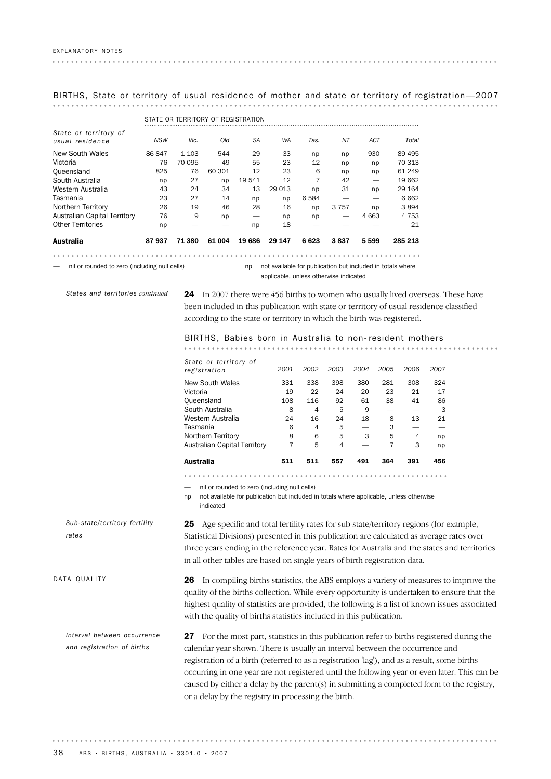BIRTHS, State or territory of usual residence of mother and state or territory of registration —2007

|                                          |            | STATE OR TERRITORY OF REGISTRATION |        |        |        |         |         |            |         |
|------------------------------------------|------------|------------------------------------|--------|--------|--------|---------|---------|------------|---------|
| State or territory of<br>usual residence | <b>NSW</b> | Vic.                               | Old    | SA     | WA     | Tas.    | NΤ      | <b>ACT</b> | Total   |
| New South Wales                          | 86847      | 1 1 0 3                            | 544    | 29     | 33     | np      | np      | 930        | 89 495  |
| Victoria                                 | 76         | 70 095                             | 49     | 55     | 23     | 12      | np      | np         | 70 313  |
| Queensland                               | 825        | 76                                 | 60 301 | 12     | 23     | 6       | np      | np         | 61 249  |
| South Australia                          | np         | 27                                 | np     | 19 541 | 12     | 7       | 42      |            | 19 662  |
| Western Australia                        | 43         | 24                                 | 34     | 13     | 29 013 | np      | 31      | np         | 29 164  |
| Tasmania                                 | 23         | 27                                 | 14     | np     | np     | 6 5 8 4 |         |            | 6 6 6 2 |
| Northern Territory                       | 26         | 19                                 | 46     | 28     | 16     | np      | 3 7 5 7 | np         | 3894    |
| Australian Capital Territory             | 76         | 9                                  | np     |        | np     | np      |         | 4 6 63     | 4 7 5 3 |
| <b>Other Territories</b>                 | np         |                                    |        | np     | 18     |         |         |            | 21      |
| Australia                                | 87937      | 71 380                             | 61 004 | 19686  | 29 147 | 6623    | 3837    | 5599       | 285 213 |
|                                          |            |                                    |        |        |        |         |         |            |         |

— nil or rounded to zero (including null cells)

np not available for publication but included in totals where applicable, unless otherwise indicated

*States and territories continued*

24 In 2007 there were 456 births to women who usually lived overseas. These have been included in this publication with state or territory of usual residence classified according to the state or territory in which the birth was registered.

#### BIRTHS, Babies born in Australia to non- resident mothers

| State or territory of<br>registration | 2001 | 2002 | 2003 | 2004 | 2005 | 2006 | 2007 |
|---------------------------------------|------|------|------|------|------|------|------|
| New South Wales                       | 331  | 338  | 398  | 380  | 281  | 308  | 324  |
| Victoria                              | 19   | 22   | 24   | 20   | 23   | 21   | 17   |
| Queensland                            | 108  | 116  | 92   | 61   | 38   | 41   | 86   |
| South Australia                       | 8    | 4    | 5    | 9    |      |      | 3    |
| Western Australia                     | 24   | 16   | 24   | 18   | 8    | 13   | 21   |
| Tasmania                              | 6    | 4    | 5    | -    | 3    |      |      |
| Northern Territory                    | 8    | 6    | 5    | 3    | 5    | 4    | np   |
| Australian Capital Territory          | 7    | 5    | 4    |      | 7    | 3    | np   |
| Australia                             | 511  | 511  | 557  | 491  | 364  | 391  | 456  |

— nil or rounded to zero (including null cells)

np not available for publication but included in totals where applicable, unless otherwise indicated

25 Age-specific and total fertility rates for sub-state/territory regions (for example, Statistical Divisions) presented in this publication are calculated as average rates over three years ending in the reference year. Rates for Australia and the states and territories in all other tables are based on single years of birth registration data. *Sub-state/territory fertility*

DATA QUALITY

*rates*

26 In compiling births statistics, the ABS employs a variety of measures to improve the quality of the births collection. While every opportunity is undertaken to ensure that the highest quality of statistics are provided, the following is a list of known issues associated with the quality of births statistics included in this publication.

27 For the most part, statistics in this publication refer to births registered during the calendar year shown. There is usually an interval between the occurrence and registration of a birth (referred to as a registration 'lag'), and as a result, some births occurring in one year are not registered until the following year or even later. This can be caused by either a delay by the parent(s) in submitting a completed form to the registry, or a delay by the registry in processing the birth. *Interval between occurrence and registration of births*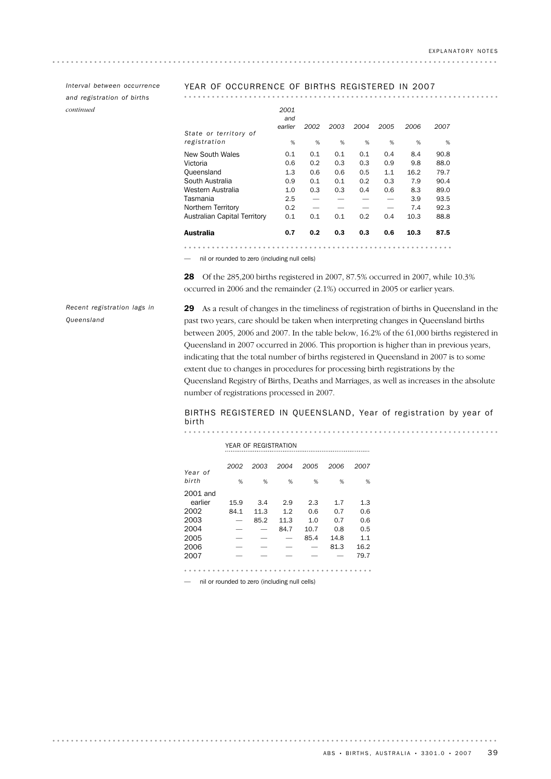*and registration of births continued*

### *Interval between occurrence* YEAR OF OCCURRENCE OF BIRTHS REGISTERED IN 2007

| Australia                             | 0.7                    | 0.2  | 0.3  | 0.3  | 0.6  | 10.3 | 87.5 |
|---------------------------------------|------------------------|------|------|------|------|------|------|
| Australian Capital Territory          | 0.1                    | 0.1  | 0.1  | 0.2  | 0.4  | 10.3 | 88.8 |
| Northern Territory                    | 0.2                    |      |      |      |      | 7.4  | 92.3 |
| Tasmania                              | 2.5                    |      |      |      |      | 3.9  | 93.5 |
| Western Australia                     | 1.0                    | 0.3  | 0.3  | 0.4  | 0.6  | 8.3  | 89.0 |
| South Australia                       | 0.9                    | 0.1  | 0.1  | 0.2  | 0.3  | 7.9  | 90.4 |
| Queensland                            | 1.3                    | 0.6  | 0.6  | 0.5  | 1.1  | 16.2 | 79.7 |
| Victoria                              | 0.6                    | 0.2  | 0.3  | 0.3  | 0.9  | 9.8  | 88.0 |
| New South Wales                       | 0.1                    | 0.1  | 0.1  | 0.1  | 0.4  | 8.4  | 90.8 |
| State or territory of<br>registration | %                      | %    | %    | %    | %    | %    | %    |
|                                       | 2001<br>and<br>earlier | 2002 | 2003 | 2004 | 2005 | 2006 | 2007 |

— nil or rounded to zero (including null cells)

28 Of the 285,200 births registered in 2007, 87.5% occurred in 2007, while 10.3% occurred in 2006 and the remainder (2.1%) occurred in 2005 or earlier years.

*Recent registration lags in Queensland*

29 As a result of changes in the timeliness of registration of births in Queensland in the past two years, care should be taken when interpreting changes in Queensland births between 2005, 2006 and 2007. In the table below, 16.2% of the 61,000 births registered in Queensland in 2007 occurred in 2006. This proportion is higher than in previous years, indicating that the total number of births registered in Queensland in 2007 is to some extent due to changes in procedures for processing birth registrations by the Queensland Registry of Births, Deaths and Marriages, as well as increases in the absolute number of registrations processed in 2007.

#### BIRTHS REGISTERED IN QUEENSLAND, Year of registration by year of birth

|          |      |      | YEAR OF REGISTRATION |      |      |      |
|----------|------|------|----------------------|------|------|------|
| Year of  | 2002 | 2003 | 2004                 | 2005 | 2006 | 2007 |
| birth    | %    | %    | %                    | %    | %    | %    |
| 2001 and |      |      |                      |      |      |      |
| earlier  | 15.9 | 3.4  | 2.9                  | 2.3  | 1.7  | 1.3  |
| 2002     | 84.1 | 11.3 | 1.2                  | 0.6  | 0.7  | 0.6  |
| 2003     | -    | 85.2 | 11.3                 | 1.0  | 0.7  | 0.6  |
| 2004     |      |      | 84.7                 | 10.7 | 0.8  | 0.5  |
| 2005     |      |      |                      | 85.4 | 14.8 | 1.1  |
| 2006     |      |      |                      |      | 81.3 | 16.2 |
| 2007     |      |      |                      |      |      | 79.7 |
|          |      |      |                      |      |      |      |

— nil or rounded to zero (including null cells)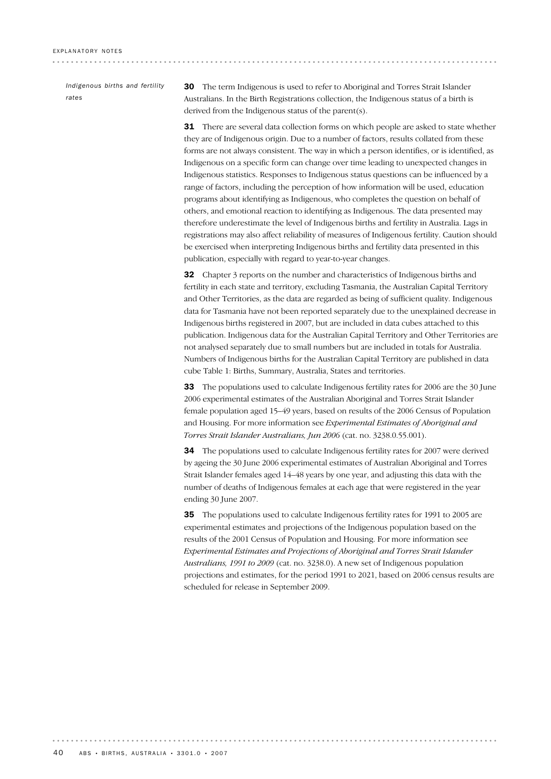. . . . . . . . . . . . . . . . .

*Indigenous births and fertility rates*

30 The term Indigenous is used to refer to Aboriginal and Torres Strait Islander Australians. In the Birth Registrations collection, the Indigenous status of a birth is derived from the Indigenous status of the parent(s).

**31** There are several data collection forms on which people are asked to state whether they are of Indigenous origin. Due to a number of factors, results collated from these forms are not always consistent. The way in which a person identifies, or is identified, as Indigenous on a specific form can change over time leading to unexpected changes in Indigenous statistics. Responses to Indigenous status questions can be influenced by a range of factors, including the perception of how information will be used, education programs about identifying as Indigenous, who completes the question on behalf of others, and emotional reaction to identifying as Indigenous. The data presented may therefore underestimate the level of Indigenous births and fertility in Australia. Lags in registrations may also affect reliability of measures of Indigenous fertility. Caution should be exercised when interpreting Indigenous births and fertility data presented in this publication, especially with regard to year-to-year changes.

32 Chapter 3 reports on the number and characteristics of Indigenous births and fertility in each state and territory, excluding Tasmania, the Australian Capital Territory and Other Territories, as the data are regarded as being of sufficient quality. Indigenous data for Tasmania have not been reported separately due to the unexplained decrease in Indigenous births registered in 2007, but are included in data cubes attached to this publication. Indigenous data for the Australian Capital Territory and Other Territories are not analysed separately due to small numbers but are included in totals for Australia. Numbers of Indigenous births for the Australian Capital Territory are published in data cube Table 1: Births, Summary, Australia, States and territories.

33 The populations used to calculate Indigenous fertility rates for 2006 are the 30 June 2006 experimental estimates of the Australian Aboriginal and Torres Strait Islander female population aged 15–49 years, based on results of the 2006 Census of Population and Housing. For more information see *Experimental Estimates of Aboriginal and Torres Strait Islander Australians, Jun 2006* (cat. no. 3238.0.55.001).

34 The populations used to calculate Indigenous fertility rates for 2007 were derived by ageing the 30 June 2006 experimental estimates of Australian Aboriginal and Torres Strait Islander females aged 14–48 years by one year, and adjusting this data with the number of deaths of Indigenous females at each age that were registered in the year ending 30 June 2007.

**35** The populations used to calculate Indigenous fertility rates for 1991 to 2005 are experimental estimates and projections of the Indigenous population based on the results of the 2001 Census of Population and Housing. For more information see *Experimental Estimates and Projections of Aboriginal and Torres Strait Islander Australians, 1991 to 2009* (cat. no. 3238.0). A new set of Indigenous population projections and estimates, for the period 1991 to 2021, based on 2006 census results are scheduled for release in September 2009.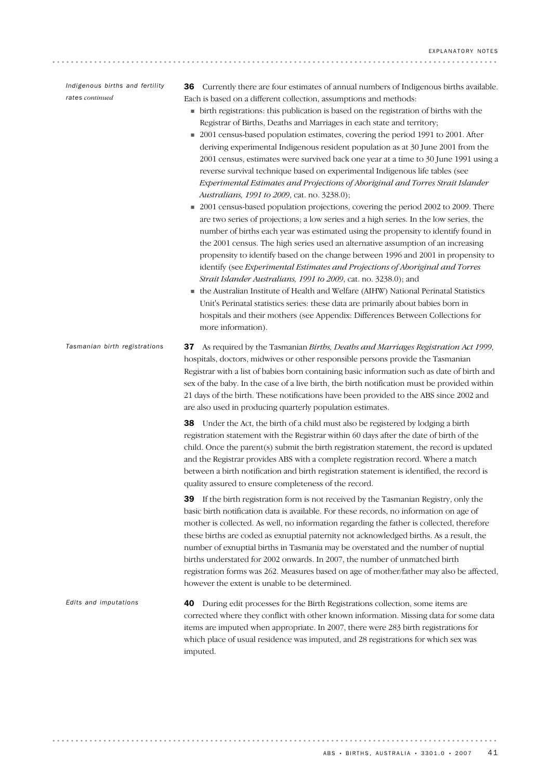*Indigenous births and fertility rates continued*

. . . . . . . . . .

36 Currently there are four estimates of annual numbers of Indigenous births available. Each is based on a different collection, assumptions and methods:

- ! birth registrations: this publication is based on the registration of births with the Registrar of Births, Deaths and Marriages in each state and territory;
- 2001 census-based population estimates, covering the period 1991 to 2001. After deriving experimental Indigenous resident population as at 30 June 2001 from the 2001 census, estimates were survived back one year at a time to 30 June 1991 using a reverse survival technique based on experimental Indigenous life tables (see *Experimental Estimates and Projections of Aboriginal and Torres Strait Islander Australians, 1991 to 2009*, cat. no. 3238.0);
- 2001 census-based population projections, covering the period 2002 to 2009. There are two series of projections; a low series and a high series. In the low series, the number of births each year was estimated using the propensity to identify found in the 2001 census. The high series used an alternative assumption of an increasing propensity to identify based on the change between 1996 and 2001 in propensity to identify (see *Experimental Estimates and Projections of Aboriginal and Torres Strait Islander Australians, 1991 to 2009*, cat. no. 3238.0); and
- ! the Australian Institute of Health and Welfare (AIHW) National Perinatal Statistics Unit's Perinatal statistics series: these data are primarily about babies born in hospitals and their mothers (see Appendix: Differences Between Collections for more information).
- 37 As required by the Tasmanian *Births, Deaths and Marriages Registration Act 1999*, hospitals, doctors, midwives or other responsible persons provide the Tasmanian Registrar with a list of babies born containing basic information such as date of birth and sex of the baby. In the case of a live birth, the birth notification must be provided within 21 days of the birth. These notifications have been provided to the ABS since 2002 and are also used in producing quarterly population estimates. **38** Under the Act, the birth of a child must also be registered by lodging a birth *Tasmanian birth registrations*

registration statement with the Registrar within 60 days after the date of birth of the child. Once the parent(s) submit the birth registration statement, the record is updated and the Registrar provides ABS with a complete registration record. Where a match between a birth notification and birth registration statement is identified, the record is quality assured to ensure completeness of the record.

39 If the birth registration form is not received by the Tasmanian Registry, only the basic birth notification data is available. For these records, no information on age of mother is collected. As well, no information regarding the father is collected, therefore these births are coded as exnuptial paternity not acknowledged births. As a result, the number of exnuptial births in Tasmania may be overstated and the number of nuptial births understated for 2002 onwards. In 2007, the number of unmatched birth registration forms was 262. Measures based on age of mother/father may also be affected, however the extent is unable to be determined.

40 During edit processes for the Birth Registrations collection, some items are corrected where they conflict with other known information. Missing data for some data items are imputed when appropriate. In 2007, there were 283 birth registrations for which place of usual residence was imputed, and 28 registrations for which sex was imputed. *Edits and imputations*

ABS • BIRTHS, AUSTRALIA • 3301.0 • 2007 41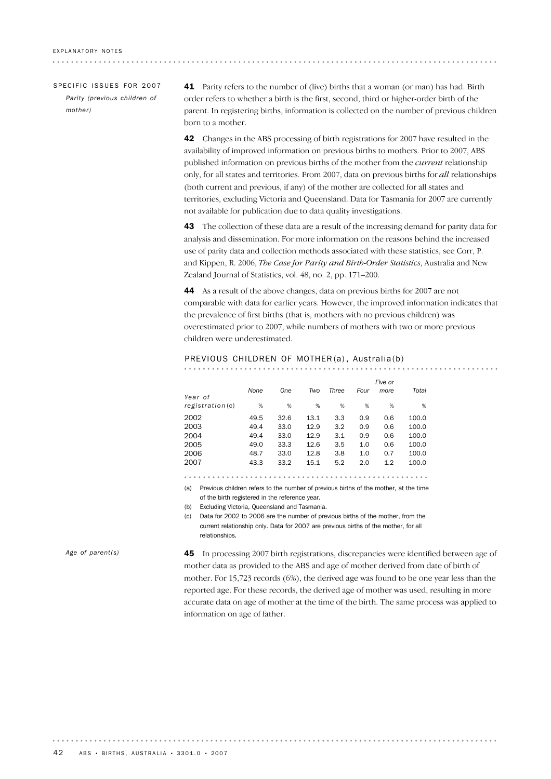. . . . . . . . . . . . . . . . . . . .

#### SPECIFIC ISSUES FOR 2007 *Parity (previous children of mother)*

41 Parity refers to the number of (live) births that a woman (or man) has had. Birth order refers to whether a birth is the first, second, third or higher-order birth of the parent. In registering births, information is collected on the number of previous children born to a mother.

42 Changes in the ABS processing of birth registrations for 2007 have resulted in the availability of improved information on previous births to mothers. Prior to 2007, ABS published information on previous births of the mother from the *current* relationship only, for all states and territories. From 2007, data on previous births for *all* relationships (both current and previous, if any) of the mother are collected for all states and territories, excluding Victoria and Queensland. Data for Tasmania for 2007 are currently not available for publication due to data quality investigations.

43 The collection of these data are a result of the increasing demand for parity data for analysis and dissemination. For more information on the reasons behind the increased use of parity data and collection methods associated with these statistics, see Corr, P. and Kippen, R. 2006, *The Case for Parity and Birth-Order Statistics*, Australia and New Zealand Journal of Statistics, vol. 48, no. 2, pp. 171–200.

44 As a result of the above changes, data on previous births for 2007 are not comparable with data for earlier years. However, the improved information indicates that the prevalence of first births (that is, mothers with no previous children) was overestimated prior to 2007, while numbers of mothers with two or more previous children were underestimated.

. . . . . . . . . . . . . . . . .

#### PREVIOUS CHILDREN OF MOTHER (a) , Australia(b)

| Year of   | None | One  | Two  | Three | Four | Five or<br>more | Total |
|-----------|------|------|------|-------|------|-----------------|-------|
| region(c) | %    | %    | %    | %     | %    | %               | %     |
| 2002      | 49.5 | 32.6 | 13.1 | 3.3   | 0.9  | 0.6             | 100.0 |
| 2003      | 49.4 | 33.0 | 12.9 | 3.2   | 0.9  | 0.6             | 100.0 |
| 2004      | 49.4 | 33.0 | 12.9 | 3.1   | 0.9  | 0.6             | 100.0 |
| 2005      | 49.0 | 33.3 | 12.6 | 3.5   | 1.0  | 0.6             | 100.0 |
| 2006      | 48.7 | 33.0 | 12.8 | 3.8   | 1.0  | 0.7             | 100.0 |
| 2007      | 43.3 | 33.2 | 15.1 | 5.2   | 2.0  | 1.2             | 100.0 |
| . .       |      |      |      |       |      |                 | .     |

(a) Previous children refers to the number of previous births of the mother, at the time of the birth registered in the reference year.

(b) Excluding Victoria, Queensland and Tasmania.

(c) Data for 2002 to 2006 are the number of previous births of the mother, from the current relationship only. Data for 2007 are previous births of the mother, for all relationshing

. . . . . . . . . . . . . . .

*Age of parent(s)*

45 In processing 2007 birth registrations, discrepancies were identified between age of mother data as provided to the ABS and age of mother derived from date of birth of mother. For 15,723 records (6%), the derived age was found to be one year less than the reported age. For these records, the derived age of mother was used, resulting in more accurate data on age of mother at the time of the birth. The same process was applied to information on age of father.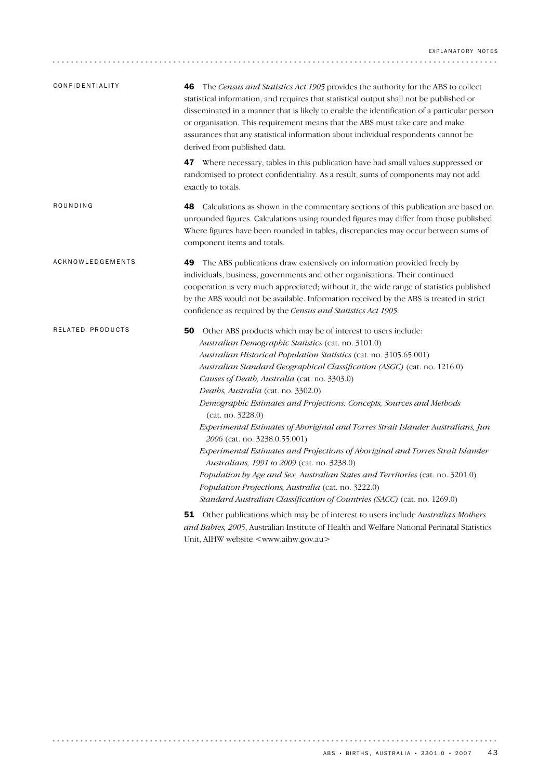| CONFIDENTIALITY  | The Census and Statistics Act 1905 provides the authority for the ABS to collect<br>46<br>statistical information, and requires that statistical output shall not be published or<br>disseminated in a manner that is likely to enable the identification of a particular person<br>or organisation. This requirement means that the ABS must take care and make<br>assurances that any statistical information about individual respondents cannot be<br>derived from published data.                                                                                                                                                                                                                                                                                                                                                                                                                                                           |
|------------------|--------------------------------------------------------------------------------------------------------------------------------------------------------------------------------------------------------------------------------------------------------------------------------------------------------------------------------------------------------------------------------------------------------------------------------------------------------------------------------------------------------------------------------------------------------------------------------------------------------------------------------------------------------------------------------------------------------------------------------------------------------------------------------------------------------------------------------------------------------------------------------------------------------------------------------------------------|
|                  | 47 Where necessary, tables in this publication have had small values suppressed or<br>randomised to protect confidentiality. As a result, sums of components may not add<br>exactly to totals.                                                                                                                                                                                                                                                                                                                                                                                                                                                                                                                                                                                                                                                                                                                                                   |
| ROUNDING         | Calculations as shown in the commentary sections of this publication are based on<br>48<br>unrounded figures. Calculations using rounded figures may differ from those published.<br>Where figures have been rounded in tables, discrepancies may occur between sums of<br>component items and totals.                                                                                                                                                                                                                                                                                                                                                                                                                                                                                                                                                                                                                                           |
| ACKNOWLEDGEMENTS | The ABS publications draw extensively on information provided freely by<br>49<br>individuals, business, governments and other organisations. Their continued<br>cooperation is very much appreciated; without it, the wide range of statistics published<br>by the ABS would not be available. Information received by the ABS is treated in strict<br>confidence as required by the Census and Statistics Act 1905.                                                                                                                                                                                                                                                                                                                                                                                                                                                                                                                             |
| RELATED PRODUCTS | 50 Other ABS products which may be of interest to users include:<br>Australian Demographic Statistics (cat. no. 3101.0)<br>Australian Historical Population Statistics (cat. no. 3105.65.001)<br>Australian Standard Geographical Classification (ASGC) (cat. no. 1216.0)<br>Causes of Death, Australia (cat. no. 3303.0)<br>Deaths, Australia (cat. no. 3302.0)<br>Demographic Estimates and Projections: Concepts, Sources and Methods<br>(cat. no. 3228.0)<br>Experimental Estimates of Aboriginal and Torres Strait Islander Australians, Jun<br><i>2006</i> (cat. no. 3238.0.55.001)<br>Experimental Estimates and Projections of Aboriginal and Torres Strait Islander<br>Australians, 1991 to 2009 (cat. no. 3238.0)<br>Population by Age and Sex, Australian States and Territories (cat. no. 3201.0)<br>Population Projections, Australia (cat. no. 3222.0)<br>Standard Australian Classification of Countries (SACC) (cat. no. 1269.0) |
|                  | <b>51</b> Other publications which may be of interest to users include Australia's Mothers<br>and Babies, 2005, Australian Institute of Health and Welfare National Perinatal Statistics                                                                                                                                                                                                                                                                                                                                                                                                                                                                                                                                                                                                                                                                                                                                                         |

Unit, AIHW website <www.aihw.gov.au>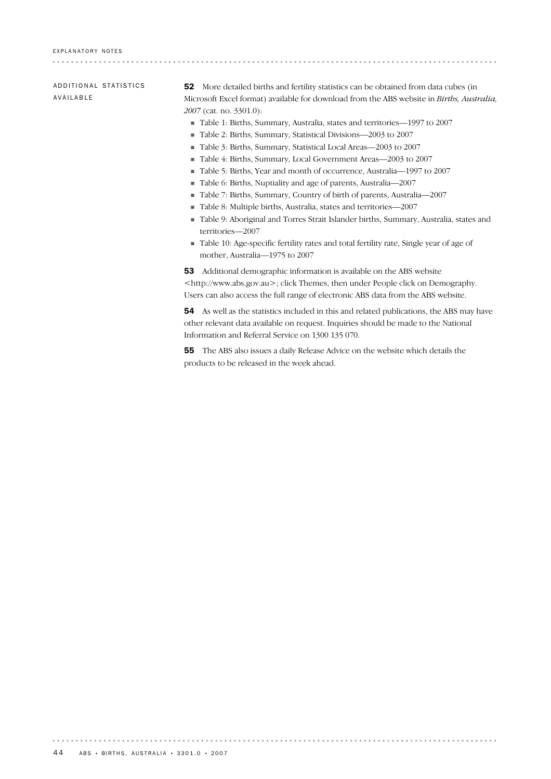ADDITIONAL STATISTICS AVAILABLE

52 More detailed births and fertility statistics can be obtained from data cubes (in Microsoft Excel format) available for download from the ABS website in *Births, Australia, 2007* (cat. no. 3301.0):

................................

- ! Table 1: Births, Summary, Australia, states and territories—1997 to 2007
- ! Table 2: Births, Summary, Statistical Divisions—2003 to 2007
- ! Table 3: Births, Summary, Statistical Local Areas—2003 to 2007
- ! Table 4: Births, Summary, Local Government Areas—2003 to 2007
- ! Table 5: Births, Year and month of occurrence, Australia—1997 to 2007
- ! Table 6: Births, Nuptiality and age of parents, Australia—2007
- ! Table 7: Births, Summary, Country of birth of parents, Australia—2007
- ! Table 8: Multiple births, Australia, states and territories—2007
- ! Table 9: Aboriginal and Torres Strait Islander births, Summary, Australia, states and territories—2007
- ! Table 10: Age-specific fertility rates and total fertility rate, Single year of age of mother, Australia—1975 to 2007

53 Additional demographic information is available on the ABS website <http://www.abs.gov.au>; click Themes, then under People click on Demography. Users can also access the full range of electronic ABS data from the ABS website.

54 As well as the statistics included in this and related publications, the ABS may have other relevant data available on request. Inquiries should be made to the National Information and Referral Service on 1300 135 070.

. . . . . . . . . .

55 The ABS also issues a daily Release Advice on the website which details the products to be released in the week ahead.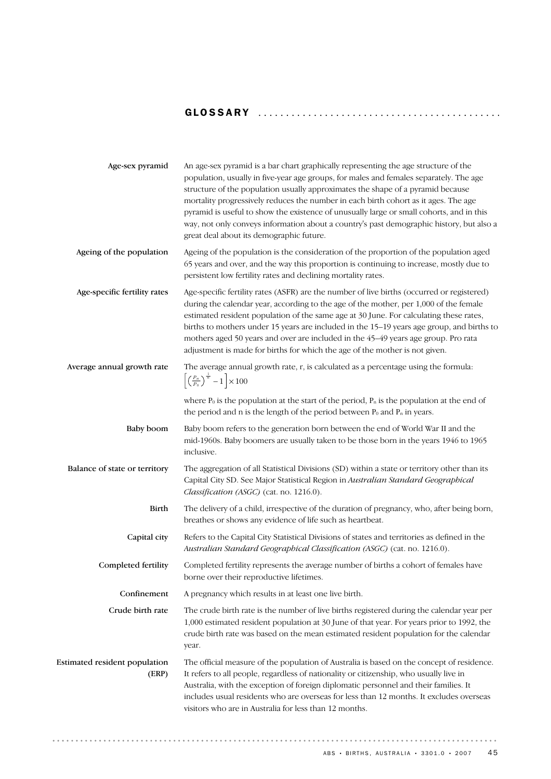# GLOSSARY ........................................... .

| Age-sex pyramid                        | An age-sex pyramid is a bar chart graphically representing the age structure of the<br>population, usually in five-year age groups, for males and females separately. The age<br>structure of the population usually approximates the shape of a pyramid because<br>mortality progressively reduces the number in each birth cohort as it ages. The age<br>pyramid is useful to show the existence of unusually large or small cohorts, and in this<br>way, not only conveys information about a country's past demographic history, but also a<br>great deal about its demographic future. |
|----------------------------------------|---------------------------------------------------------------------------------------------------------------------------------------------------------------------------------------------------------------------------------------------------------------------------------------------------------------------------------------------------------------------------------------------------------------------------------------------------------------------------------------------------------------------------------------------------------------------------------------------|
| Ageing of the population               | Ageing of the population is the consideration of the proportion of the population aged<br>65 years and over, and the way this proportion is continuing to increase, mostly due to<br>persistent low fertility rates and declining mortality rates.                                                                                                                                                                                                                                                                                                                                          |
| Age-specific fertility rates           | Age-specific fertility rates (ASFR) are the number of live births (occurred or registered)<br>during the calendar year, according to the age of the mother, per 1,000 of the female<br>estimated resident population of the same age at 30 June. For calculating these rates,<br>births to mothers under 15 years are included in the 15-19 years age group, and births to<br>mothers aged 50 years and over are included in the 45-49 years age group. Pro rata<br>adjustment is made for births for which the age of the mother is not given.                                             |
| Average annual growth rate             | The average annual growth rate, r, is calculated as a percentage using the formula:<br>$\left[\left(\frac{P_n}{P_0}\right)^{\frac{1}{n}}-1\right]\times 100$                                                                                                                                                                                                                                                                                                                                                                                                                                |
|                                        | where $P_0$ is the population at the start of the period, $P_n$ is the population at the end of<br>the period and n is the length of the period between $P_0$ and $P_n$ in years.                                                                                                                                                                                                                                                                                                                                                                                                           |
| Baby boom                              | Baby boom refers to the generation born between the end of World War II and the<br>mid-1960s. Baby boomers are usually taken to be those born in the years 1946 to 1965<br>inclusive.                                                                                                                                                                                                                                                                                                                                                                                                       |
| Balance of state or territory          | The aggregation of all Statistical Divisions (SD) within a state or territory other than its<br>Capital City SD. See Major Statistical Region in Australian Standard Geographical<br>Classification (ASGC) (cat. no. 1216.0).                                                                                                                                                                                                                                                                                                                                                               |
| <b>Birth</b>                           | The delivery of a child, irrespective of the duration of pregnancy, who, after being born,<br>breathes or shows any evidence of life such as heartbeat.                                                                                                                                                                                                                                                                                                                                                                                                                                     |
| Capital city                           | Refers to the Capital City Statistical Divisions of states and territories as defined in the<br>Australian Standard Geographical Classification (ASGC) (cat. no. 1216.0).                                                                                                                                                                                                                                                                                                                                                                                                                   |
| Completed fertility                    | Completed fertility represents the average number of births a cohort of females have<br>borne over their reproductive lifetimes.                                                                                                                                                                                                                                                                                                                                                                                                                                                            |
| Confinement                            | A pregnancy which results in at least one live birth.                                                                                                                                                                                                                                                                                                                                                                                                                                                                                                                                       |
| Crude birth rate                       | The crude birth rate is the number of live births registered during the calendar year per<br>1,000 estimated resident population at 30 June of that year. For years prior to 1992, the<br>crude birth rate was based on the mean estimated resident population for the calendar<br>year.                                                                                                                                                                                                                                                                                                    |
| Estimated resident population<br>(ERP) | The official measure of the population of Australia is based on the concept of residence.<br>It refers to all people, regardless of nationality or citizenship, who usually live in<br>Australia, with the exception of foreign diplomatic personnel and their families. It<br>includes usual residents who are overseas for less than 12 months. It excludes overseas<br>visitors who are in Australia for less than 12 months.                                                                                                                                                            |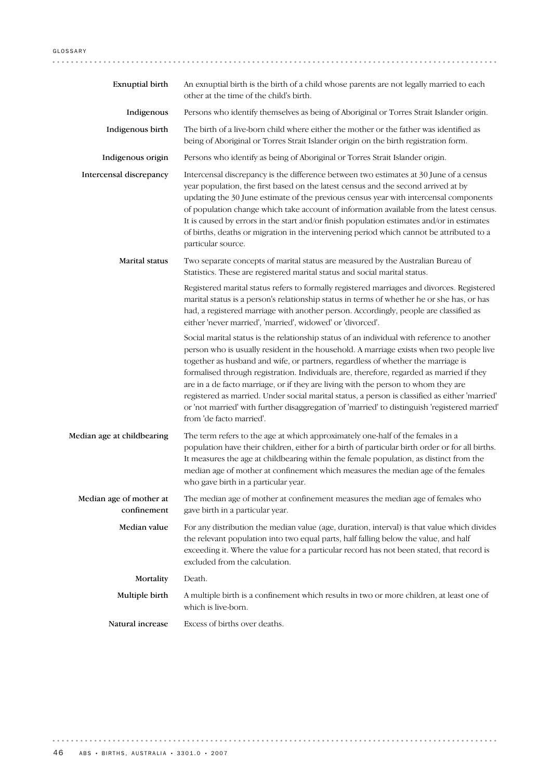| Exnuptial birth                        | An exnuptial birth is the birth of a child whose parents are not legally married to each<br>other at the time of the child's birth.                                                                                                                                                                                                                                                                                                                                                                                                                                                                                                                                                         |
|----------------------------------------|---------------------------------------------------------------------------------------------------------------------------------------------------------------------------------------------------------------------------------------------------------------------------------------------------------------------------------------------------------------------------------------------------------------------------------------------------------------------------------------------------------------------------------------------------------------------------------------------------------------------------------------------------------------------------------------------|
| Indigenous                             | Persons who identify themselves as being of Aboriginal or Torres Strait Islander origin.                                                                                                                                                                                                                                                                                                                                                                                                                                                                                                                                                                                                    |
| Indigenous birth                       | The birth of a live-born child where either the mother or the father was identified as<br>being of Aboriginal or Torres Strait Islander origin on the birth registration form.                                                                                                                                                                                                                                                                                                                                                                                                                                                                                                              |
| Indigenous origin                      | Persons who identify as being of Aboriginal or Torres Strait Islander origin.                                                                                                                                                                                                                                                                                                                                                                                                                                                                                                                                                                                                               |
| Intercensal discrepancy                | Intercensal discrepancy is the difference between two estimates at 30 June of a census<br>year population, the first based on the latest census and the second arrived at by<br>updating the 30 June estimate of the previous census year with intercensal components<br>of population change which take account of information available from the latest census.<br>It is caused by errors in the start and/or finish population estimates and/or in estimates<br>of births, deaths or migration in the intervening period which cannot be attributed to a<br>particular source.                                                                                                           |
| Marital status                         | Two separate concepts of marital status are measured by the Australian Bureau of<br>Statistics. These are registered marital status and social marital status.                                                                                                                                                                                                                                                                                                                                                                                                                                                                                                                              |
|                                        | Registered marital status refers to formally registered marriages and divorces. Registered<br>marital status is a person's relationship status in terms of whether he or she has, or has<br>had, a registered marriage with another person. Accordingly, people are classified as<br>either 'never married', 'married', widowed' or 'divorced'.                                                                                                                                                                                                                                                                                                                                             |
|                                        | Social marital status is the relationship status of an individual with reference to another<br>person who is usually resident in the household. A marriage exists when two people live<br>together as husband and wife, or partners, regardless of whether the marriage is<br>formalised through registration. Individuals are, therefore, regarded as married if they<br>are in a de facto marriage, or if they are living with the person to whom they are<br>registered as married. Under social marital status, a person is classified as either 'married'<br>or 'not married' with further disaggregation of 'married' to distinguish 'registered married'<br>from 'de facto married'. |
| Median age at childbearing             | The term refers to the age at which approximately one-half of the females in a<br>population have their children, either for a birth of particular birth order or for all births.<br>It measures the age at childbearing within the female population, as distinct from the<br>median age of mother at confinement which measures the median age of the females<br>who gave birth in a particular year.                                                                                                                                                                                                                                                                                     |
| Median age of mother at<br>confinement | The median age of mother at confinement measures the median age of females who<br>gave birth in a particular year.                                                                                                                                                                                                                                                                                                                                                                                                                                                                                                                                                                          |
| Median value                           | For any distribution the median value (age, duration, interval) is that value which divides<br>the relevant population into two equal parts, half falling below the value, and half<br>exceeding it. Where the value for a particular record has not been stated, that record is<br>excluded from the calculation.                                                                                                                                                                                                                                                                                                                                                                          |
| Mortality                              | Death.                                                                                                                                                                                                                                                                                                                                                                                                                                                                                                                                                                                                                                                                                      |
| Multiple birth                         | A multiple birth is a confinement which results in two or more children, at least one of<br>which is live-born.                                                                                                                                                                                                                                                                                                                                                                                                                                                                                                                                                                             |
| Natural increase                       | Excess of births over deaths.                                                                                                                                                                                                                                                                                                                                                                                                                                                                                                                                                                                                                                                               |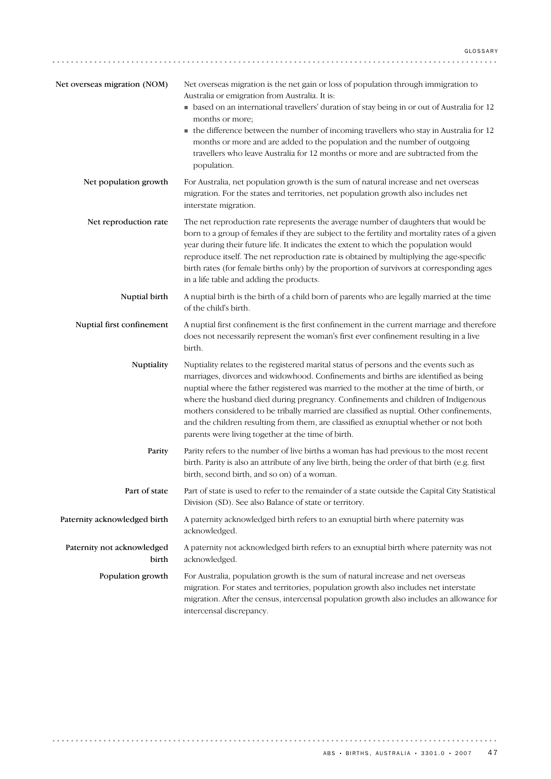| Net overseas migration (NOM)        | Net overseas migration is the net gain or loss of population through immigration to<br>Australia or emigration from Australia. It is:<br>• based on an international travellers' duration of stay being in or out of Australia for 12<br>months or more;<br>• the difference between the number of incoming travellers who stay in Australia for 12<br>months or more and are added to the population and the number of outgoing<br>travellers who leave Australia for 12 months or more and are subtracted from the<br>population.                                                                  |
|-------------------------------------|------------------------------------------------------------------------------------------------------------------------------------------------------------------------------------------------------------------------------------------------------------------------------------------------------------------------------------------------------------------------------------------------------------------------------------------------------------------------------------------------------------------------------------------------------------------------------------------------------|
| Net population growth               | For Australia, net population growth is the sum of natural increase and net overseas<br>migration. For the states and territories, net population growth also includes net<br>interstate migration.                                                                                                                                                                                                                                                                                                                                                                                                  |
| Net reproduction rate               | The net reproduction rate represents the average number of daughters that would be<br>born to a group of females if they are subject to the fertility and mortality rates of a given<br>year during their future life. It indicates the extent to which the population would<br>reproduce itself. The net reproduction rate is obtained by multiplying the age-specific<br>birth rates (for female births only) by the proportion of survivors at corresponding ages<br>in a life table and adding the products.                                                                                     |
| Nuptial birth                       | A nuptial birth is the birth of a child born of parents who are legally married at the time<br>of the child's birth.                                                                                                                                                                                                                                                                                                                                                                                                                                                                                 |
| Nuptial first confinement           | A nuptial first confinement is the first confinement in the current marriage and therefore<br>does not necessarily represent the woman's first ever confinement resulting in a live<br>birth.                                                                                                                                                                                                                                                                                                                                                                                                        |
| Nuptiality                          | Nuptiality relates to the registered marital status of persons and the events such as<br>marriages, divorces and widowhood. Confinements and births are identified as being<br>nuptial where the father registered was married to the mother at the time of birth, or<br>where the husband died during pregnancy. Confinements and children of Indigenous<br>mothers considered to be tribally married are classified as nuptial. Other confinements,<br>and the children resulting from them, are classified as exnuptial whether or not both<br>parents were living together at the time of birth. |
| Parity                              | Parity refers to the number of live births a woman has had previous to the most recent<br>birth. Parity is also an attribute of any live birth, being the order of that birth (e.g. first<br>birth, second birth, and so on) of a woman.                                                                                                                                                                                                                                                                                                                                                             |
| Part of state                       | Part of state is used to refer to the remainder of a state outside the Capital City Statistical<br>Division (SD). See also Balance of state or territory.                                                                                                                                                                                                                                                                                                                                                                                                                                            |
| Paternity acknowledged birth        | A paternity acknowledged birth refers to an exnuptial birth where paternity was<br>acknowledged.                                                                                                                                                                                                                                                                                                                                                                                                                                                                                                     |
| Paternity not acknowledged<br>birth | A paternity not acknowledged birth refers to an exnuptial birth where paternity was not<br>acknowledged.                                                                                                                                                                                                                                                                                                                                                                                                                                                                                             |
| Population growth                   | For Australia, population growth is the sum of natural increase and net overseas<br>migration. For states and territories, population growth also includes net interstate<br>migration. After the census, intercensal population growth also includes an allowance for<br>intercensal discrepancy.                                                                                                                                                                                                                                                                                                   |

 $ABS \cdot B$ IRTHS, AUSTRALIA · 3301.0 · 2007 47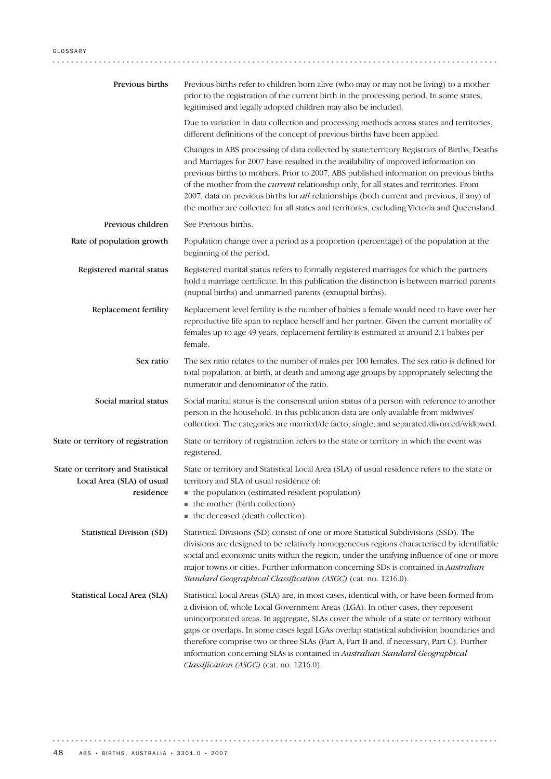| Previous births                                                              | Previous births refer to children born alive (who may or may not be living) to a mother<br>prior to the registration of the current birth in the processing period. In some states,<br>legitimised and legally adopted children may also be included.                                                                                                                                                                                                                                                                                                                                            |
|------------------------------------------------------------------------------|--------------------------------------------------------------------------------------------------------------------------------------------------------------------------------------------------------------------------------------------------------------------------------------------------------------------------------------------------------------------------------------------------------------------------------------------------------------------------------------------------------------------------------------------------------------------------------------------------|
|                                                                              | Due to variation in data collection and processing methods across states and territories,<br>different definitions of the concept of previous births have been applied.                                                                                                                                                                                                                                                                                                                                                                                                                          |
|                                                                              | Changes in ABS processing of data collected by state/territory Registrars of Births, Deaths<br>and Marriages for 2007 have resulted in the availability of improved information on<br>previous births to mothers. Prior to 2007, ABS published information on previous births<br>of the mother from the <i>current</i> relationship only, for all states and territories. From<br>2007, data on previous births for all relationships (both current and previous, if any) of<br>the mother are collected for all states and territories, excluding Victoria and Queensland.                      |
| Previous children                                                            | See Previous births.                                                                                                                                                                                                                                                                                                                                                                                                                                                                                                                                                                             |
| Rate of population growth                                                    | Population change over a period as a proportion (percentage) of the population at the<br>beginning of the period.                                                                                                                                                                                                                                                                                                                                                                                                                                                                                |
| Registered marital status                                                    | Registered marital status refers to formally registered marriages for which the partners<br>hold a marriage certificate. In this publication the distinction is between married parents<br>(nuptial births) and unmarried parents (exnuptial births).                                                                                                                                                                                                                                                                                                                                            |
| Replacement fertility                                                        | Replacement level fertility is the number of babies a female would need to have over her<br>reproductive life span to replace herself and her partner. Given the current mortality of<br>females up to age 49 years, replacement fertility is estimated at around 2.1 babies per<br>female.                                                                                                                                                                                                                                                                                                      |
| Sex ratio                                                                    | The sex ratio relates to the number of males per 100 females. The sex ratio is defined for<br>total population, at birth, at death and among age groups by appropriately selecting the<br>numerator and denominator of the ratio.                                                                                                                                                                                                                                                                                                                                                                |
| Social marital status                                                        | Social marital status is the consensual union status of a person with reference to another<br>person in the household. In this publication data are only available from midwives'<br>collection. The categories are married/de facto; single; and separated/divorced/widowed.                                                                                                                                                                                                                                                                                                                    |
| State or territory of registration                                           | State or territory of registration refers to the state or territory in which the event was<br>registered.                                                                                                                                                                                                                                                                                                                                                                                                                                                                                        |
| State or territory and Statistical<br>Local Area (SLA) of usual<br>residence | State or territory and Statistical Local Area (SLA) of usual residence refers to the state or<br>territory and SLA of usual residence of:<br>• the population (estimated resident population)<br>• the mother (birth collection)<br>the deceased (death collection).                                                                                                                                                                                                                                                                                                                             |
| <b>Statistical Division (SD)</b>                                             | Statistical Divisions (SD) consist of one or more Statistical Subdivisions (SSD). The<br>divisions are designed to be relatively homogeneous regions characterised by identifiable<br>social and economic units within the region, under the unifying influence of one or more<br>major towns or cities. Further information concerning SDs is contained in Australian<br>Standard Geographical Classification (ASGC) (cat. no. 1216.0).                                                                                                                                                         |
| Statistical Local Area (SLA)                                                 | Statistical Local Areas (SLA) are, in most cases, identical with, or have been formed from<br>a division of, whole Local Government Areas (LGA). In other cases, they represent<br>unincorporated areas. In aggregate, SLAs cover the whole of a state or territory without<br>gaps or overlaps. In some cases legal LGAs overlap statistical subdivision boundaries and<br>therefore comprise two or three SLAs (Part A, Part B and, if necessary, Part C). Further<br>information concerning SLAs is contained in Australian Standard Geographical<br>Classification (ASGC) (cat. no. 1216.0). |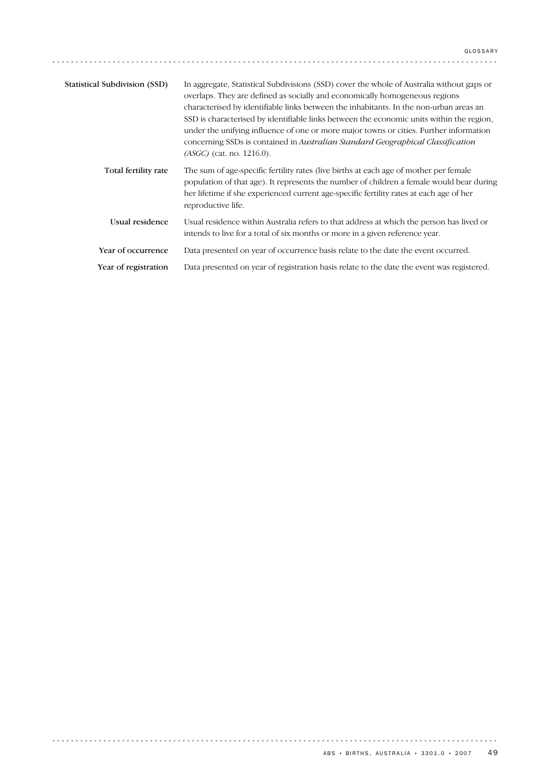| <b>Statistical Subdivision (SSD)</b> | In aggregate, Statistical Subdivisions (SSD) cover the whole of Australia without gaps or<br>overlaps. They are defined as socially and economically homogeneous regions<br>characterised by identifiable links between the inhabitants. In the non-urban areas an<br>SSD is characterised by identifiable links between the economic units within the region,<br>under the unifying influence of one or more major towns or cities. Further information<br>concerning SSDs is contained in Australian Standard Geographical Classification<br>$(ASGC)$ (cat. no. 1216.0). |
|--------------------------------------|----------------------------------------------------------------------------------------------------------------------------------------------------------------------------------------------------------------------------------------------------------------------------------------------------------------------------------------------------------------------------------------------------------------------------------------------------------------------------------------------------------------------------------------------------------------------------|
| Total fertility rate                 | The sum of age-specific fertility rates (live births at each age of mother per female<br>population of that age). It represents the number of children a female would bear during<br>her lifetime if she experienced current age-specific fertility rates at each age of her<br>reproductive life.                                                                                                                                                                                                                                                                         |
| Usual residence                      | Usual residence within Australia refers to that address at which the person has lived or<br>intends to live for a total of six months or more in a given reference year.                                                                                                                                                                                                                                                                                                                                                                                                   |
| Year of occurrence                   | Data presented on year of occurrence basis relate to the date the event occurred.                                                                                                                                                                                                                                                                                                                                                                                                                                                                                          |
| Year of registration                 | Data presented on year of registration basis relate to the date the event was registered.                                                                                                                                                                                                                                                                                                                                                                                                                                                                                  |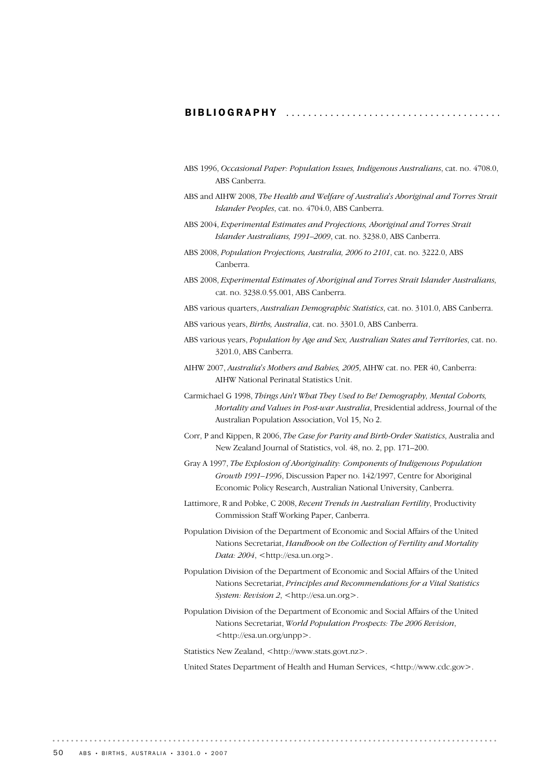### BIBLIOGRAPHY ............................

- ABS 1996, *Occasional Paper: Population Issues, Indigenous Australians*, cat. no. 4708.0, ABS Canberra.
- ABS and AIHW 2008, *The Health and Welfare of Australia's Aboriginal and Torres Strait Islander Peoples*, cat. no. 4704.0, ABS Canberra.
- ABS 2004, *Experimental Estimates and Projections, Aboriginal and Torres Strait Islander Australians, 1991–2009*, cat. no. 3238.0, ABS Canberra.
- ABS 2008, *Population Projections, Australia, 2006 to 2101*, cat. no. 3222.0, ABS Canberra.
- ABS 2008, *Experimental Estimates of Aboriginal and Torres Strait Islander Australians*, cat. no. 3238.0.55.001, ABS Canberra.
- ABS various quarters, *Australian Demographic Statistics*, cat. no. 3101.0, ABS Canberra.
- ABS various years, *Births, Australia*, cat. no. 3301.0, ABS Canberra.
- ABS various years, *Population by Age and Sex, Australian States and Territories*, cat. no. 3201.0, ABS Canberra.
- AIHW 2007, *Australia's Mothers and Babies, 2005*, AIHW cat. no. PER 40, Canberra: AIHW National Perinatal Statistics Unit.
- Carmichael G 1998, *Things Ain't What They Used to Be! Demography, Mental Cohorts, Mortality and Values in Post-war Australia*, Presidential address, Journal of the Australian Population Association, Vol 15, No 2.
- Corr, P and Kippen, R 2006, *The Case for Parity and Birth-Order Statistics*, Australia and New Zealand Journal of Statistics, vol. 48, no. 2, pp. 171–200.
- Gray A 1997, *The Explosion of Aboriginality: Components of Indigenous Population Growth 1991–1996*, Discussion Paper no. 142/1997, Centre for Aboriginal Economic Policy Research, Australian National University, Canberra.
- Lattimore, R and Pobke, C 2008, *Recent Trends in Australian Fertility*, Productivity Commission Staff Working Paper, Canberra.
- Population Division of the Department of Economic and Social Affairs of the United Nations Secretariat, *Handbook on the Collection of Fertility and Mortality Data: 2004*, <http://esa.un.org>.
- Population Division of the Department of Economic and Social Affairs of the United Nations Secretariat, *Principles and Recommendations for a Vital Statistics System: Revision 2*, <http://esa.un.org>.
- Population Division of the Department of Economic and Social Affairs of the United Nations Secretariat, *World Population Prospects: The 2006 Revision*, <http://esa.un.org/unpp>.

Statistics New Zealand, <http://www.stats.govt.nz>.

United States Department of Health and Human Services, <http://www.cdc.gov>.